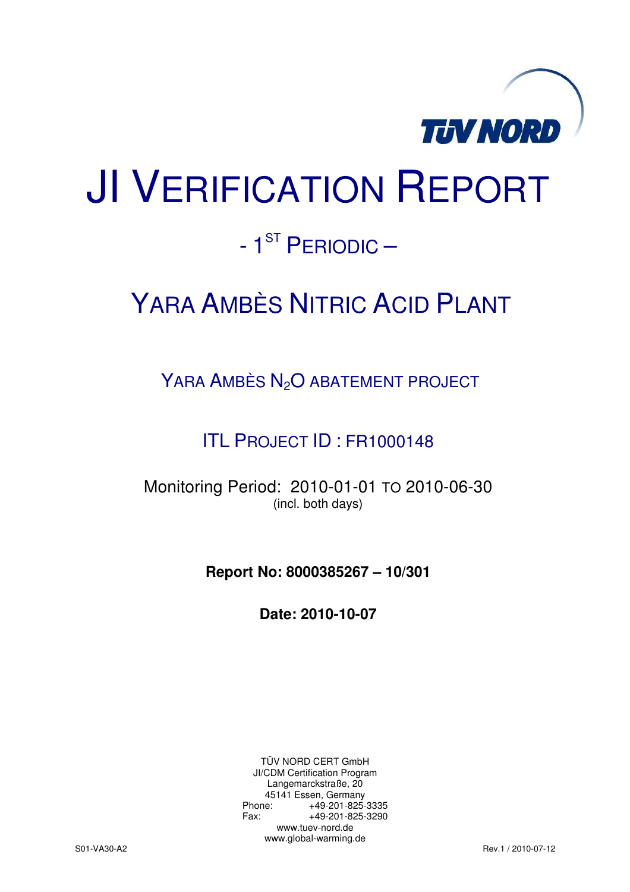

# JI VERIFICATION REPORT

# - 1<sup>ST</sup> PERIODIC –

# YARA AMBÈS NITRIC ACID PLANT

YARA AMBÈS N<sub>2</sub>O ABATEMENT PROJECT

ITL PROJECT ID : FR1000148

Monitoring Period: 2010-01-01 TO 2010-06-30 (incl. both days)

**Report No: 8000385267 – 10/301** 

**Date: 2010-10-07** 

TÜV NORD CERT GmbH JI/CDM Certification Program Langemarckstraße, 20 45141 Essen, Germany<br>+49-201-825-49 +49-201-825-3335 Fax: +49-201-825-3290 www.tuev-nord.de www.global-warming.de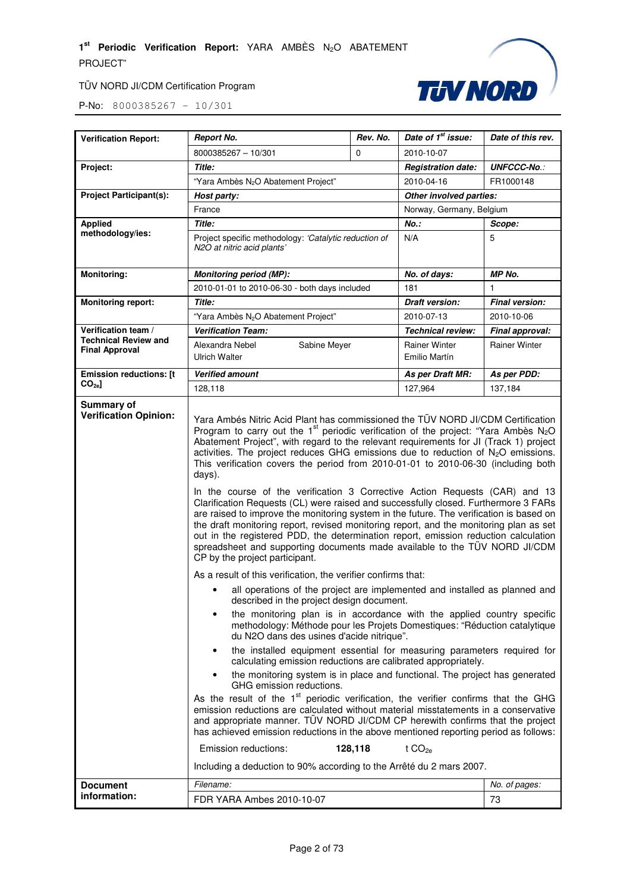



| <b>Verification Report:</b>                          | <b>Report No.</b>                                                                                                                                                                                                                                                                                                                                                                                                                                                                                                                                                                                                                                                                                                                                                                                                                                                                                                                                                                                                                                                                                                                                                                                                                                                                                                                                                                                                                                                                                                                                                                                                                                                                                                                                                                                                                                                                                                                                                                                                                                                                                                                                                                                       | Rev. No. | Date of 1 <sup>st</sup> issue:        | Date of this rev.     |
|------------------------------------------------------|---------------------------------------------------------------------------------------------------------------------------------------------------------------------------------------------------------------------------------------------------------------------------------------------------------------------------------------------------------------------------------------------------------------------------------------------------------------------------------------------------------------------------------------------------------------------------------------------------------------------------------------------------------------------------------------------------------------------------------------------------------------------------------------------------------------------------------------------------------------------------------------------------------------------------------------------------------------------------------------------------------------------------------------------------------------------------------------------------------------------------------------------------------------------------------------------------------------------------------------------------------------------------------------------------------------------------------------------------------------------------------------------------------------------------------------------------------------------------------------------------------------------------------------------------------------------------------------------------------------------------------------------------------------------------------------------------------------------------------------------------------------------------------------------------------------------------------------------------------------------------------------------------------------------------------------------------------------------------------------------------------------------------------------------------------------------------------------------------------------------------------------------------------------------------------------------------------|----------|---------------------------------------|-----------------------|
|                                                      | 8000385267 - 10/301                                                                                                                                                                                                                                                                                                                                                                                                                                                                                                                                                                                                                                                                                                                                                                                                                                                                                                                                                                                                                                                                                                                                                                                                                                                                                                                                                                                                                                                                                                                                                                                                                                                                                                                                                                                                                                                                                                                                                                                                                                                                                                                                                                                     | $\Omega$ | 2010-10-07                            |                       |
| Project:                                             | Title:                                                                                                                                                                                                                                                                                                                                                                                                                                                                                                                                                                                                                                                                                                                                                                                                                                                                                                                                                                                                                                                                                                                                                                                                                                                                                                                                                                                                                                                                                                                                                                                                                                                                                                                                                                                                                                                                                                                                                                                                                                                                                                                                                                                                  |          | <b>Registration date:</b>             | <b>UNFCCC-No.:</b>    |
|                                                      | "Yara Ambès N <sub>2</sub> O Abatement Project"                                                                                                                                                                                                                                                                                                                                                                                                                                                                                                                                                                                                                                                                                                                                                                                                                                                                                                                                                                                                                                                                                                                                                                                                                                                                                                                                                                                                                                                                                                                                                                                                                                                                                                                                                                                                                                                                                                                                                                                                                                                                                                                                                         |          | 2010-04-16                            | FR1000148             |
| <b>Project Participant(s):</b>                       | Host party:                                                                                                                                                                                                                                                                                                                                                                                                                                                                                                                                                                                                                                                                                                                                                                                                                                                                                                                                                                                                                                                                                                                                                                                                                                                                                                                                                                                                                                                                                                                                                                                                                                                                                                                                                                                                                                                                                                                                                                                                                                                                                                                                                                                             |          | Other involved parties:               |                       |
|                                                      | France                                                                                                                                                                                                                                                                                                                                                                                                                                                                                                                                                                                                                                                                                                                                                                                                                                                                                                                                                                                                                                                                                                                                                                                                                                                                                                                                                                                                                                                                                                                                                                                                                                                                                                                                                                                                                                                                                                                                                                                                                                                                                                                                                                                                  |          | Norway, Germany, Belgium              |                       |
| <b>Applied</b>                                       | <b>Title:</b>                                                                                                                                                                                                                                                                                                                                                                                                                                                                                                                                                                                                                                                                                                                                                                                                                                                                                                                                                                                                                                                                                                                                                                                                                                                                                                                                                                                                                                                                                                                                                                                                                                                                                                                                                                                                                                                                                                                                                                                                                                                                                                                                                                                           |          | $No.$ :                               | Scope:                |
| methodology/ies:                                     | Project specific methodology: 'Catalytic reduction of<br>N2O at nitric acid plants'                                                                                                                                                                                                                                                                                                                                                                                                                                                                                                                                                                                                                                                                                                                                                                                                                                                                                                                                                                                                                                                                                                                                                                                                                                                                                                                                                                                                                                                                                                                                                                                                                                                                                                                                                                                                                                                                                                                                                                                                                                                                                                                     |          | N/A                                   | 5                     |
| <b>Monitoring:</b>                                   | <b>Monitoring period (MP):</b>                                                                                                                                                                                                                                                                                                                                                                                                                                                                                                                                                                                                                                                                                                                                                                                                                                                                                                                                                                                                                                                                                                                                                                                                                                                                                                                                                                                                                                                                                                                                                                                                                                                                                                                                                                                                                                                                                                                                                                                                                                                                                                                                                                          |          | No. of days:                          | MP No.                |
|                                                      | 2010-01-01 to 2010-06-30 - both days included                                                                                                                                                                                                                                                                                                                                                                                                                                                                                                                                                                                                                                                                                                                                                                                                                                                                                                                                                                                                                                                                                                                                                                                                                                                                                                                                                                                                                                                                                                                                                                                                                                                                                                                                                                                                                                                                                                                                                                                                                                                                                                                                                           |          | 181                                   | 1                     |
| <b>Monitoring report:</b>                            | <b>Title:</b>                                                                                                                                                                                                                                                                                                                                                                                                                                                                                                                                                                                                                                                                                                                                                                                                                                                                                                                                                                                                                                                                                                                                                                                                                                                                                                                                                                                                                                                                                                                                                                                                                                                                                                                                                                                                                                                                                                                                                                                                                                                                                                                                                                                           |          | <b>Draft version:</b>                 | <b>Final version:</b> |
|                                                      | "Yara Ambès N <sub>2</sub> O Abatement Project"                                                                                                                                                                                                                                                                                                                                                                                                                                                                                                                                                                                                                                                                                                                                                                                                                                                                                                                                                                                                                                                                                                                                                                                                                                                                                                                                                                                                                                                                                                                                                                                                                                                                                                                                                                                                                                                                                                                                                                                                                                                                                                                                                         |          | 2010-07-13                            | 2010-10-06            |
| Verification team /                                  | <b>Verification Team:</b>                                                                                                                                                                                                                                                                                                                                                                                                                                                                                                                                                                                                                                                                                                                                                                                                                                                                                                                                                                                                                                                                                                                                                                                                                                                                                                                                                                                                                                                                                                                                                                                                                                                                                                                                                                                                                                                                                                                                                                                                                                                                                                                                                                               |          | <b>Technical review:</b>              | Final approval:       |
| <b>Technical Review and</b><br><b>Final Approval</b> | Alexandra Nebel<br>Sabine Meyer<br>Ulrich Walter                                                                                                                                                                                                                                                                                                                                                                                                                                                                                                                                                                                                                                                                                                                                                                                                                                                                                                                                                                                                                                                                                                                                                                                                                                                                                                                                                                                                                                                                                                                                                                                                                                                                                                                                                                                                                                                                                                                                                                                                                                                                                                                                                        |          | <b>Rainer Winter</b><br>Emilio Martín | <b>Rainer Winter</b>  |
| <b>Emission reductions: [t</b>                       | <b>Verified amount</b>                                                                                                                                                                                                                                                                                                                                                                                                                                                                                                                                                                                                                                                                                                                                                                                                                                                                                                                                                                                                                                                                                                                                                                                                                                                                                                                                                                                                                                                                                                                                                                                                                                                                                                                                                                                                                                                                                                                                                                                                                                                                                                                                                                                  |          | As per Draft MR:                      | As per PDD:           |
| $CO2e$ ]                                             | 128,118                                                                                                                                                                                                                                                                                                                                                                                                                                                                                                                                                                                                                                                                                                                                                                                                                                                                                                                                                                                                                                                                                                                                                                                                                                                                                                                                                                                                                                                                                                                                                                                                                                                                                                                                                                                                                                                                                                                                                                                                                                                                                                                                                                                                 |          | 127,964                               | 137,184               |
| <b>Verification Opinion:</b>                         | Yara Ambés Nitric Acid Plant has commissioned the TÜV NORD JI/CDM Certification<br>Program to carry out the 1 <sup>st</sup> periodic verification of the project: "Yara Ambès N <sub>2</sub> O<br>Abatement Project", with regard to the relevant requirements for JI (Track 1) project<br>activities. The project reduces GHG emissions due to reduction of $N_2O$ emissions.<br>This verification covers the period from 2010-01-01 to 2010-06-30 (including both<br>days).<br>In the course of the verification 3 Corrective Action Requests (CAR) and 13<br>Clarification Requests (CL) were raised and successfully closed. Furthermore 3 FARs<br>are raised to improve the monitoring system in the future. The verification is based on<br>the draft monitoring report, revised monitoring report, and the monitoring plan as set<br>out in the registered PDD, the determination report, emission reduction calculation<br>spreadsheet and supporting documents made available to the TÜV NORD JI/CDM<br>CP by the project participant.<br>As a result of this verification, the verifier confirms that:<br>all operations of the project are implemented and installed as planned and<br>described in the project design document.<br>the monitoring plan is in accordance with the applied country specific<br>$\bullet$<br>methodology: Méthode pour les Projets Domestiques: "Réduction catalytique<br>du N2O dans des usines d'acide nitrique".<br>the installed equipment essential for measuring parameters required for<br>٠<br>calculating emission reductions are calibrated appropriately.<br>the monitoring system is in place and functional. The project has generated<br>$\bullet$<br>GHG emission reductions.<br>As the result of the 1 <sup>st</sup> periodic verification, the verifier confirms that the GHG<br>emission reductions are calculated without material misstatements in a conservative<br>and appropriate manner. TÜV NORD JI/CDM CP herewith confirms that the project<br>has achieved emission reductions in the above mentioned reporting period as follows:<br>Emission reductions:<br>Including a deduction to 90% according to the Arrêté du 2 mars 2007. | 128,118  | t CO <sub>2e</sub>                    |                       |
| <b>Document</b>                                      | Filename:<br>No. of pages:                                                                                                                                                                                                                                                                                                                                                                                                                                                                                                                                                                                                                                                                                                                                                                                                                                                                                                                                                                                                                                                                                                                                                                                                                                                                                                                                                                                                                                                                                                                                                                                                                                                                                                                                                                                                                                                                                                                                                                                                                                                                                                                                                                              |          |                                       |                       |
| information:                                         | FDR YARA Ambes 2010-10-07                                                                                                                                                                                                                                                                                                                                                                                                                                                                                                                                                                                                                                                                                                                                                                                                                                                                                                                                                                                                                                                                                                                                                                                                                                                                                                                                                                                                                                                                                                                                                                                                                                                                                                                                                                                                                                                                                                                                                                                                                                                                                                                                                                               |          |                                       | 73                    |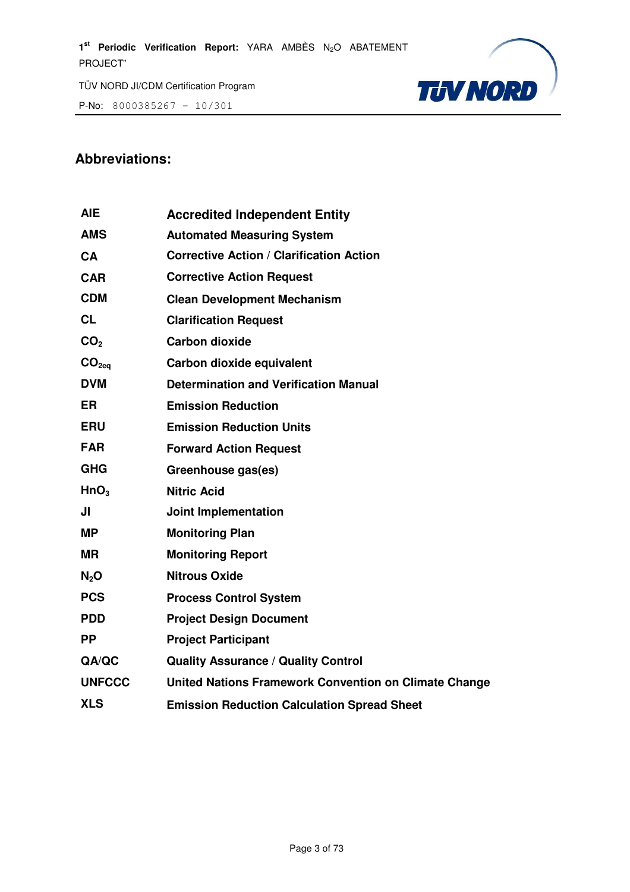P-No: 8000385267 – 10/301



#### **Abbreviations:**

| <b>AIE</b>        | <b>Accredited Independent Entity</b>                  |
|-------------------|-------------------------------------------------------|
| <b>AMS</b>        | <b>Automated Measuring System</b>                     |
| CA                | <b>Corrective Action / Clarification Action</b>       |
| <b>CAR</b>        | <b>Corrective Action Request</b>                      |
| <b>CDM</b>        | <b>Clean Development Mechanism</b>                    |
| <b>CL</b>         | <b>Clarification Request</b>                          |
| CO <sub>2</sub>   | <b>Carbon dioxide</b>                                 |
| CO <sub>2eq</sub> | Carbon dioxide equivalent                             |
| <b>DVM</b>        | <b>Determination and Verification Manual</b>          |
| <b>ER</b>         | <b>Emission Reduction</b>                             |
| <b>ERU</b>        | <b>Emission Reduction Units</b>                       |
| <b>FAR</b>        | <b>Forward Action Request</b>                         |
| <b>GHG</b>        | Greenhouse gas(es)                                    |
| HnO <sub>3</sub>  | <b>Nitric Acid</b>                                    |
| JI                | <b>Joint Implementation</b>                           |
| <b>MP</b>         | <b>Monitoring Plan</b>                                |
| <b>MR</b>         | <b>Monitoring Report</b>                              |
| N <sub>2</sub> O  | <b>Nitrous Oxide</b>                                  |
| <b>PCS</b>        | <b>Process Control System</b>                         |
| <b>PDD</b>        | <b>Project Design Document</b>                        |
| <b>PP</b>         | <b>Project Participant</b>                            |
| QA/QC             | <b>Quality Assurance / Quality Control</b>            |
| <b>UNFCCC</b>     | United Nations Framework Convention on Climate Change |
| <b>XLS</b>        | <b>Emission Reduction Calculation Spread Sheet</b>    |
|                   |                                                       |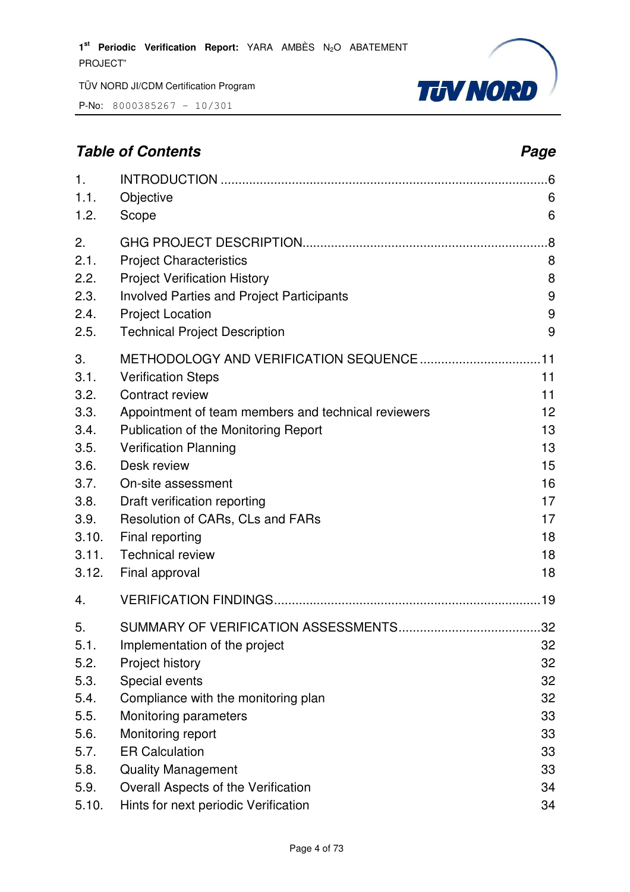P-No: 8000385267 – 10/301



# **Table of Contents Page 2014**

| 1.<br>1.1.<br>1.2.                                                                                    | Objective<br>Scope                                                                                                                                                                                                                                                                                                                                   | 6<br>6                                                               |
|-------------------------------------------------------------------------------------------------------|------------------------------------------------------------------------------------------------------------------------------------------------------------------------------------------------------------------------------------------------------------------------------------------------------------------------------------------------------|----------------------------------------------------------------------|
| 2.<br>2.1.<br>2.2.<br>2.3.<br>2.4.<br>2.5.                                                            | <b>Project Characteristics</b><br><b>Project Verification History</b><br><b>Involved Parties and Project Participants</b><br><b>Project Location</b><br><b>Technical Project Description</b>                                                                                                                                                         | .8<br>8<br>8<br>9<br>9<br>9                                          |
| 3.<br>3.1.<br>3.2.<br>3.3.<br>3.4.<br>3.5.<br>3.6.<br>3.7.<br>3.8.<br>3.9.<br>3.10.<br>3.11.<br>3.12. | <b>Verification Steps</b><br>Contract review<br>Appointment of team members and technical reviewers<br>Publication of the Monitoring Report<br><b>Verification Planning</b><br>Desk review<br>On-site assessment<br>Draft verification reporting<br>Resolution of CARs, CLs and FARs<br>Final reporting<br><b>Technical review</b><br>Final approval | 11<br>11<br>12<br>13<br>13<br>15<br>16<br>17<br>17<br>18<br>18<br>18 |
| 4.<br>5.<br>5.1.<br>5.2.<br>5.3.<br>5.4.<br>5.5.<br>5.6.<br>5.7.<br>5.8.                              | Implementation of the project<br>Project history<br>Special events<br>Compliance with the monitoring plan<br>Monitoring parameters<br>Monitoring report<br><b>ER Calculation</b><br><b>Quality Management</b>                                                                                                                                        | 32<br>32<br>32<br>32<br>33<br>33<br>33<br>33                         |
| 5.9.<br>5.10.                                                                                         | Overall Aspects of the Verification<br>Hints for next periodic Verification                                                                                                                                                                                                                                                                          | 34<br>34                                                             |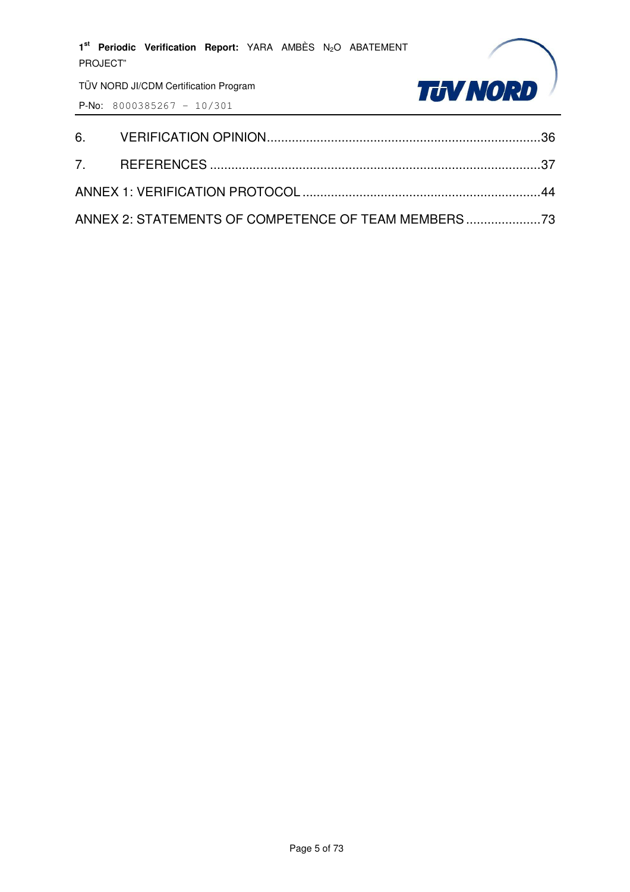| PROJECT" | 1st Periodic Verification Report: YARA AMBÈS N <sub>2</sub> O ABATEMENT |  |  |                                                   |
|----------|-------------------------------------------------------------------------|--|--|---------------------------------------------------|
|          | TÜV NORD JI/CDM Certification Program                                   |  |  | <b>TJV NORD</b>                                   |
|          | <b>P-No:</b> 8000385267 - 10/301                                        |  |  |                                                   |
| 6.       |                                                                         |  |  |                                                   |
| 7.       |                                                                         |  |  |                                                   |
|          |                                                                         |  |  |                                                   |
|          |                                                                         |  |  | ANNEX 2: STATEMENTS OF COMPETENCE OF TEAM MEMBERS |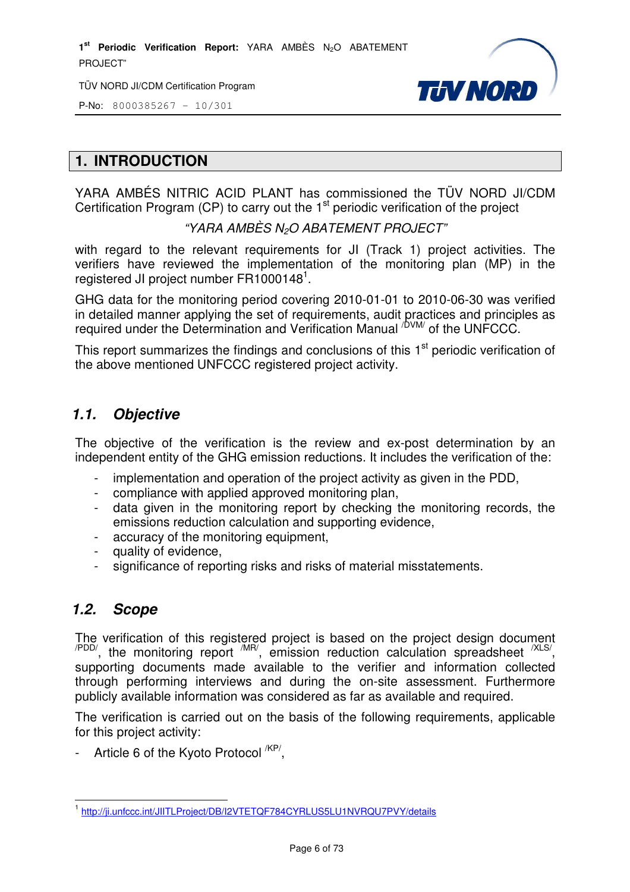TÜV NORD JI/CDM Certification Program



P-No: 8000385267 – 10/301

# **1. INTRODUCTION**

YARA AMBÉS NITRIC ACID PLANT has commissioned the TÜV NORD JI/CDM Certification Program (CP) to carry out the  $1<sup>st</sup>$  periodic verification of the project

#### "YARA AMBÈS N2O ABATEMENT PROJECT"

with regard to the relevant requirements for JI (Track 1) project activities. The verifiers have reviewed the implementation of the monitoring plan (MP) in the registered JI project number FR1000148<sup>1</sup>.

GHG data for the monitoring period covering 2010-01-01 to 2010-06-30 was verified in detailed manner applying the set of requirements, audit practices and principles as required under the Determination and Verification Manual <sup>/DVM/</sup> of the UNFCCC.

This report summarizes the findings and conclusions of this  $1<sup>st</sup>$  periodic verification of the above mentioned UNFCCC registered project activity.

#### **1.1. Objective**

The objective of the verification is the review and ex-post determination by an independent entity of the GHG emission reductions. It includes the verification of the:

- implementation and operation of the project activity as given in the PDD,
- compliance with applied approved monitoring plan,
- data given in the monitoring report by checking the monitoring records, the emissions reduction calculation and supporting evidence,
- accuracy of the monitoring equipment,
- quality of evidence,
- significance of reporting risks and risks of material misstatements.

#### **1.2. Scope**

The verification of this registered project is based on the project design document  $\alpha$ <sup>PDD/</sup>, the monitoring report  $\alpha$ <sup>MR/</sup>, emission reduction calculation spreadsheet  $\alpha$ <sup>XLS/</sup>, supporting documents made available to the verifier and information collected through performing interviews and during the on-site assessment. Furthermore publicly available information was considered as far as available and required.

The verification is carried out on the basis of the following requirements, applicable for this project activity:

- Article 6 of the Kyoto Protocol <sup>/KP/</sup>,

 1 http://ji.unfccc.int/JIITLProject/DB/I2VTETQF784CYRLUS5LU1NVRQU7PVY/details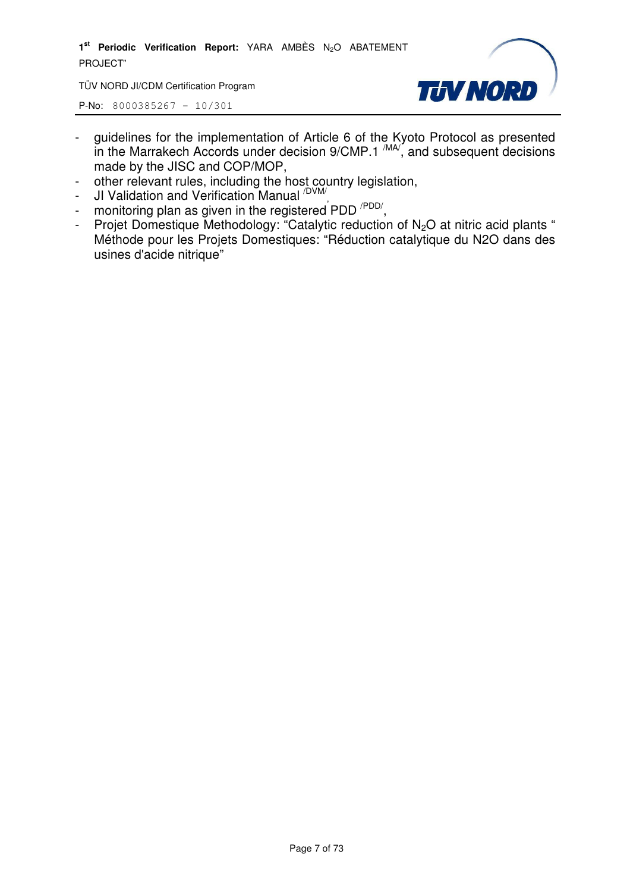TÜV NORD JI/CDM Certification Program



- guidelines for the implementation of Article 6 of the Kyoto Protocol as presented in the Marrakech Accords under decision  $9/CMP.1 \frac{MAV}{M}$ , and subsequent decisions made by the JISC and COP/MOP,
- other relevant rules, including the host country legislation,
- JI Validation and Verification Manual <sup>/DVM/</sup>,
- monitoring plan as given in the registered PDD<sup>/PDD/</sup>,
- Projet Domestique Methodology: "Catalytic reduction of  $N_2O$  at nitric acid plants " Méthode pour les Projets Domestiques: "Réduction catalytique du N2O dans des usines d'acide nitrique"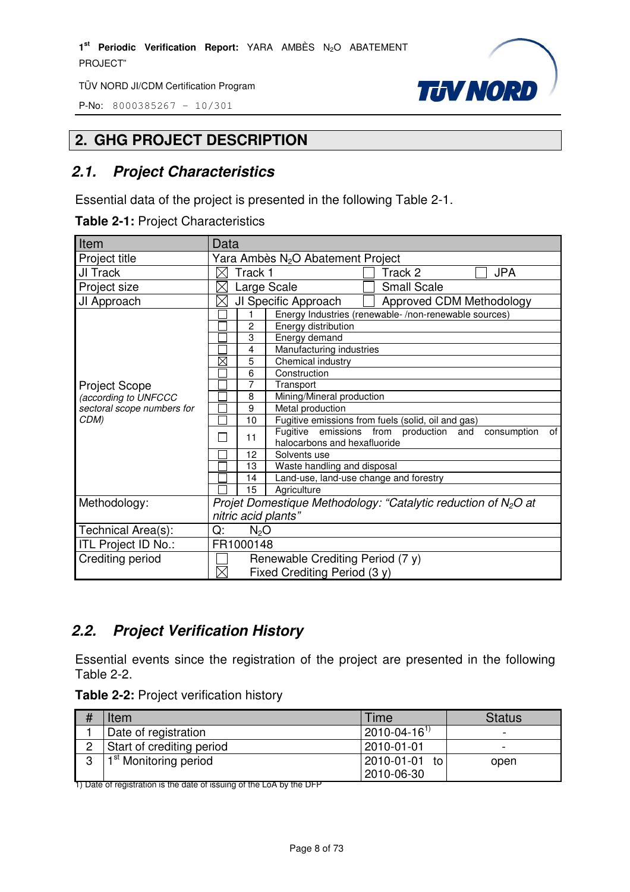P-No: 8000385267 – 10/301



## **2. GHG PROJECT DESCRIPTION**

# **2.1. Project Characteristics**

Essential data of the project is presented in the following Table 2-1.

**Table 2-1:** Project Characteristics

| Item                       | Data                                                                                              |  |  |  |  |
|----------------------------|---------------------------------------------------------------------------------------------------|--|--|--|--|
| Project title              | Yara Ambès N <sub>2</sub> O Abatement Project                                                     |  |  |  |  |
| JI Track                   | Track 1<br><b>JPA</b><br>Track 2                                                                  |  |  |  |  |
| Project size               | <b>Small Scale</b><br>Large Scale                                                                 |  |  |  |  |
| JI Approach                | JI Specific Approach<br>Approved CDM Methodology<br>$\times$                                      |  |  |  |  |
|                            | Energy Industries (renewable-/non-renewable sources)                                              |  |  |  |  |
|                            | $\overline{c}$<br>Energy distribution                                                             |  |  |  |  |
|                            | 3<br>Energy demand                                                                                |  |  |  |  |
|                            | 4<br>Manufacturing industries                                                                     |  |  |  |  |
|                            | Ø<br>5<br>Chemical industry                                                                       |  |  |  |  |
|                            | 6<br>Construction                                                                                 |  |  |  |  |
| <b>Project Scope</b>       | 7<br>Transport                                                                                    |  |  |  |  |
| (according to UNFCCC       | Mining/Mineral production<br>8                                                                    |  |  |  |  |
| sectoral scope numbers for | 9<br>Metal production                                                                             |  |  |  |  |
| CDM)                       | Fugitive emissions from fuels (solid, oil and gas)<br>10                                          |  |  |  |  |
|                            | Fugitive emissions from production and<br>consumption<br>of<br>11<br>halocarbons and hexafluoride |  |  |  |  |
|                            | 12<br>Solvents use                                                                                |  |  |  |  |
|                            | Waste handling and disposal<br>13                                                                 |  |  |  |  |
|                            | Land-use, land-use change and forestry<br>14                                                      |  |  |  |  |
|                            | 15<br>Agriculture                                                                                 |  |  |  |  |
| Methodology:               | Projet Domestique Methodology: "Catalytic reduction of $N_2O$ at                                  |  |  |  |  |
|                            | nitric acid plants"                                                                               |  |  |  |  |
| Technical Area(s):         | Q:<br>N <sub>2</sub> O                                                                            |  |  |  |  |
| ITL Project ID No.:        | FR1000148                                                                                         |  |  |  |  |
| Crediting period           | Renewable Crediting Period (7 y)                                                                  |  |  |  |  |
|                            | $\boxtimes$<br>Fixed Crediting Period (3 y)                                                       |  |  |  |  |

# **2.2. Project Verification History**

Essential events since the registration of the project are presented in the following Table 2-2.

|  |  |  | Table 2-2: Project verification history |  |
|--|--|--|-----------------------------------------|--|
|--|--|--|-----------------------------------------|--|

|   | Item                              | Time                  | <b>Status</b> |
|---|-----------------------------------|-----------------------|---------------|
|   | Date of registration              | $12010 - 04 - 16^{1}$ | -             |
|   | Start of crediting period         | 2010-01-01            | -             |
| n | 1 <sup>st</sup> Monitoring period | 2010-01-01<br>to      | open          |
|   |                                   | 2010-06-30            |               |

1) Date of registration is the date of issuing of the LoA by the DFP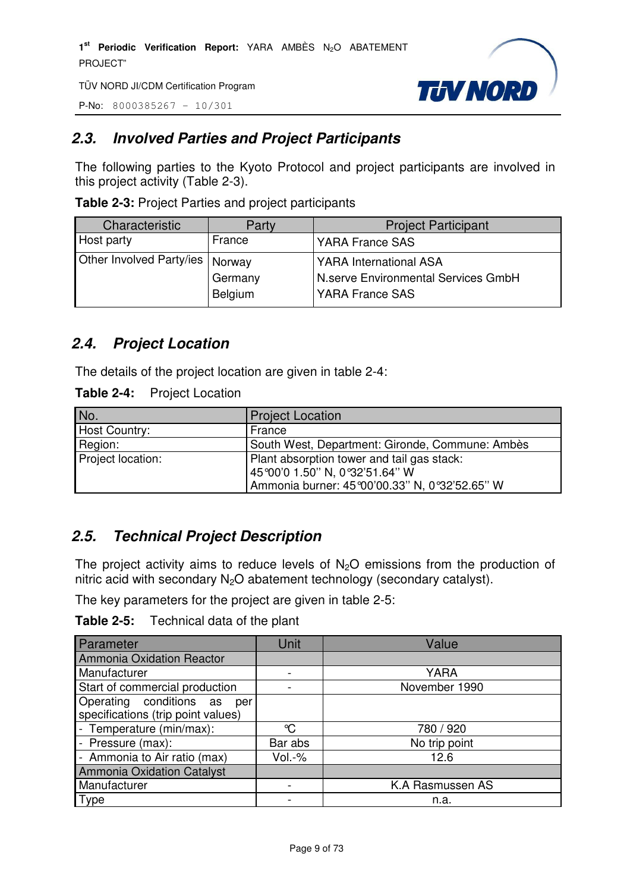TÜV NORD JI/CDM Certification Program

P-No: 8000385267 – 10/301



# **2.3. Involved Parties and Project Participants**

The following parties to the Kyoto Protocol and project participants are involved in this project activity (Table 2-3).

| Characteristic           | Party              | <b>Project Participant</b>                             |
|--------------------------|--------------------|--------------------------------------------------------|
| Host party               | France             | YARA France SAS                                        |
| Other Involved Party/ies | Norway             | <b>YARA International ASA</b>                          |
|                          | Germany<br>Belgium | N.serve Environmental Services GmbH<br>YARA France SAS |

**Table 2-3:** Project Parties and project participants

# **2.4. Project Location**

The details of the project location are given in table 2-4:

#### **Table 2-4:** Project Location

| No.                  | <b>Project Location</b>                                                                                                       |
|----------------------|-------------------------------------------------------------------------------------------------------------------------------|
| <b>Host Country:</b> | France                                                                                                                        |
| Region:              | South West, Department: Gironde, Commune: Ambès                                                                               |
| Project location:    | Plant absorption tower and tail gas stack:<br>45°00'0 1.50" N, 0°32'51.64" W<br>Ammonia burner: 45°00'00.33" N, 0°32'52.65" W |

## **2.5. Technical Project Description**

The project activity aims to reduce levels of  $N<sub>2</sub>O$  emissions from the production of nitric acid with secondary  $N_2O$  abatement technology (secondary catalyst).

The key parameters for the project are given in table 2-5:

| <b>Table 2-5:</b> | Technical data of the plant |  |
|-------------------|-----------------------------|--|
|-------------------|-----------------------------|--|

| Parameter                                                            | Unit    | Value            |
|----------------------------------------------------------------------|---------|------------------|
| Ammonia Oxidation Reactor                                            |         |                  |
| Manufacturer                                                         |         | <b>YARA</b>      |
| Start of commercial production                                       |         | November 1990    |
| Operating conditions as<br>per<br>specifications (trip point values) |         |                  |
| - Temperature (min/max):                                             | °C      | 780 / 920        |
| - Pressure (max):                                                    | Bar abs | No trip point    |
| - Ammonia to Air ratio (max)                                         | Vol.-%  | 12.6             |
| <b>Ammonia Oxidation Catalyst</b>                                    |         |                  |
| Manufacturer                                                         |         | K.A Rasmussen AS |
| Type                                                                 |         | n.a.             |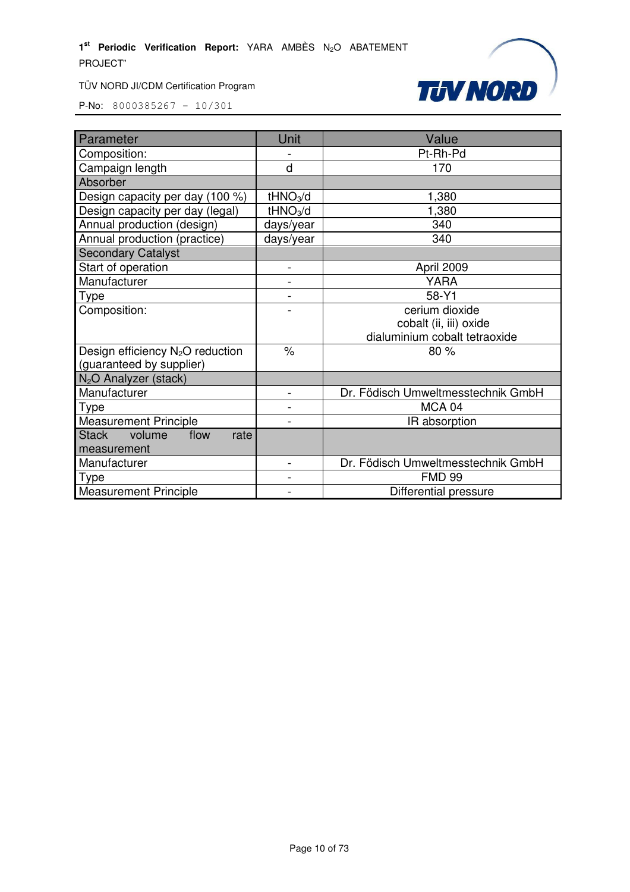



| Parameter                          | Unit                 | Value                              |
|------------------------------------|----------------------|------------------------------------|
| Composition:                       |                      | Pt-Rh-Pd                           |
| Campaign length                    | d                    | 170                                |
| Absorber                           |                      |                                    |
| Design capacity per day (100 %)    | tHNO <sub>3</sub> /d | 1,380                              |
| Design capacity per day (legal)    | tHNO <sub>3</sub> /d | 1,380                              |
| Annual production (design)         | days/year            | 340                                |
| Annual production (practice)       | days/year            | 340                                |
| <b>Secondary Catalyst</b>          |                      |                                    |
| Start of operation                 |                      | April 2009                         |
| Manufacturer                       |                      | <b>YARA</b>                        |
| Type                               |                      | 58-Y1                              |
| Composition:                       |                      | cerium dioxide                     |
|                                    |                      | cobalt (ii, iii) oxide             |
|                                    |                      | dialuminium cobalt tetraoxide      |
| Design efficiency $N_2O$ reduction | $\%$                 | 80 %                               |
| (guaranteed by supplier)           |                      |                                    |
| N <sub>2</sub> O Analyzer (stack)  |                      |                                    |
| Manufacturer                       | $\blacksquare$       | Dr. Födisch Umweltmesstechnik GmbH |
| Type                               |                      | MCA 04                             |
| <b>Measurement Principle</b>       |                      | IR absorption                      |
| Stack volume<br>flow<br>rate       |                      |                                    |
| measurement                        |                      |                                    |
| Manufacturer                       | $\blacksquare$       | Dr. Födisch Umweltmesstechnik GmbH |
| Type                               |                      | <b>FMD 99</b>                      |
| <b>Measurement Principle</b>       |                      | Differential pressure              |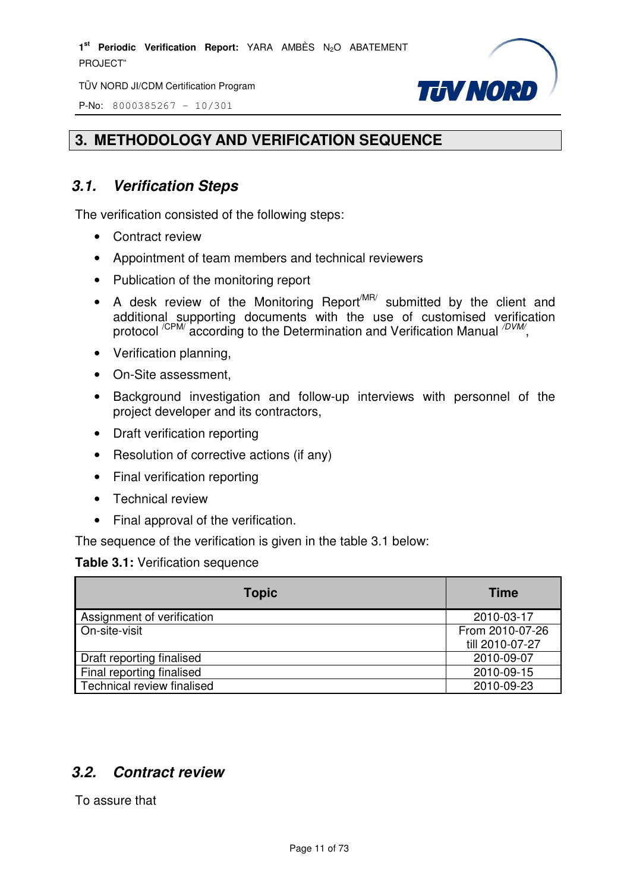TÜV NORD JI/CDM Certification Program

P-No: 8000385267 – 10/301



## **3. METHODOLOGY AND VERIFICATION SEQUENCE**

# **3.1. Verification Steps**

The verification consisted of the following steps:

- Contract review
- Appointment of team members and technical reviewers
- Publication of the monitoring report
- A desk review of the Monitoring Report<sup>MR/</sup> submitted by the client and additional supporting documents with the use of customised verification protocol <sup>/CPM/</sup> according to the Determination and Verification Manual <sup>/DVM/</sup>,
- Verification planning,
- On-Site assessment,
- Background investigation and follow-up interviews with personnel of the project developer and its contractors,
- Draft verification reporting
- Resolution of corrective actions (if any)
- Final verification reporting
- Technical review
- Final approval of the verification.

The sequence of the verification is given in the table 3.1 below:

#### **Table 3.1:** Verification sequence

| <b>Topic</b>               | <b>Time</b>     |
|----------------------------|-----------------|
| Assignment of verification | 2010-03-17      |
| On-site-visit              | From 2010-07-26 |
|                            | till 2010-07-27 |
| Draft reporting finalised  | 2010-09-07      |
| Final reporting finalised  | 2010-09-15      |
| Technical review finalised | 2010-09-23      |

## **3.2. Contract review**

To assure that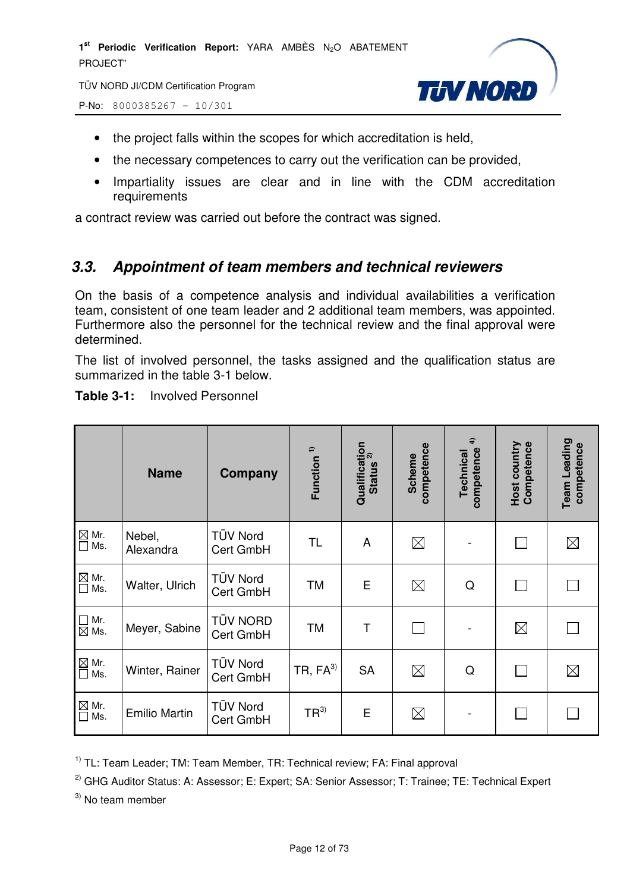TÜV NORD JI/CDM Certification Program

P-No: 8000385267 – 10/301



- the project falls within the scopes for which accreditation is held,
- the necessary competences to carry out the verification can be provided,
- Impartiality issues are clear and in line with the CDM accreditation requirements

a contract review was carried out before the contract was signed.

#### **3.3. Appointment of team members and technical reviewers**

On the basis of a competence analysis and individual availabilities a verification team, consistent of one team leader and 2 additional team members, was appointed. Furthermore also the personnel for the technical review and the final approval were determined.

The list of involved personnel, the tasks assigned and the qualification status are summarized in the table 3-1 below.

Qualification<br>Status <sup>2)</sup> **Team Leading**   $\hat{=}$ Host country<br>Competence **Qualification competence 4) Host country Competence competence**  Team Leading **competence**  competence **Function 1)** competence **Technical Scheme Name Company**   $\boxtimes$  Mr. TÜV Nord Nebel,  $Cert GmbH$   $TL$   $A$   $B$   $\boxtimes$   $-$ П  $\boxtimes$  $\overline{\Box}$  Ms. Alexandra  $\overline{\square}$  Mr.<br> $\overline{\square}$  Ms. Walter, Ulrich TÜV Nord  $C$ ert GmbH  $\begin{array}{|c|c|c|c|c|c|c|c|}\n\hline\n\end{array}$   $\begin{array}{|c|c|c|c|c|c|c|c|}\n\hline\n\end{array}$   $\begin{array}{|c|c|c|c|c|}\n\hline\n\end{array}$   $\begin{array}{|c|c|c|c|c|}\n\hline\n\end{array}$   $\begin{array}{|c|c|c|c|c|}\n\hline\n\end{array}$   $\begin{array}{|c|c|c|c|c|}\n\hline\n\end{array}$   $\begin{array}{|c|c|c|c|c|$ П  $\Box$  $\Box$  Mr.<br> $\boxtimes$  Ms. Meyer, Sabine TÜV NORD  $Cert GmbH$   $TM$   $T$   $T$  $\boxtimes$  $\Box$  $\boxtimes$  Mr.  $\boxed{\boxtimes}$  Mr. Winter, Rainer TÜV Nord  $C$ ert GmbH  $TR, FA^{3}$  SA  $\Box$  Q П  $\times$  $\boxtimes$  Mr.  $\mathbb{Z}_{\text{Ms}}^{\text{Mr.}}$  Emilio Martin  $\begin{bmatrix} \text{TÜV Nord} \\ \text{Cost GmbH} \end{bmatrix}$  $C$ ert GmbH  $\left| TR^{3} \right|$  E  $\left| \right| \quad \text{and} \quad -C$  $\Box$  $\Box$ 

**Table 3-1:** Involved Personnel

 $1)$  TL: Team Leader: TM: Team Member, TR: Technical review: FA: Final approval

<sup>2)</sup> GHG Auditor Status: A: Assessor; E: Expert; SA: Senior Assessor; T: Trainee; TE: Technical Expert

 $3)$  No team member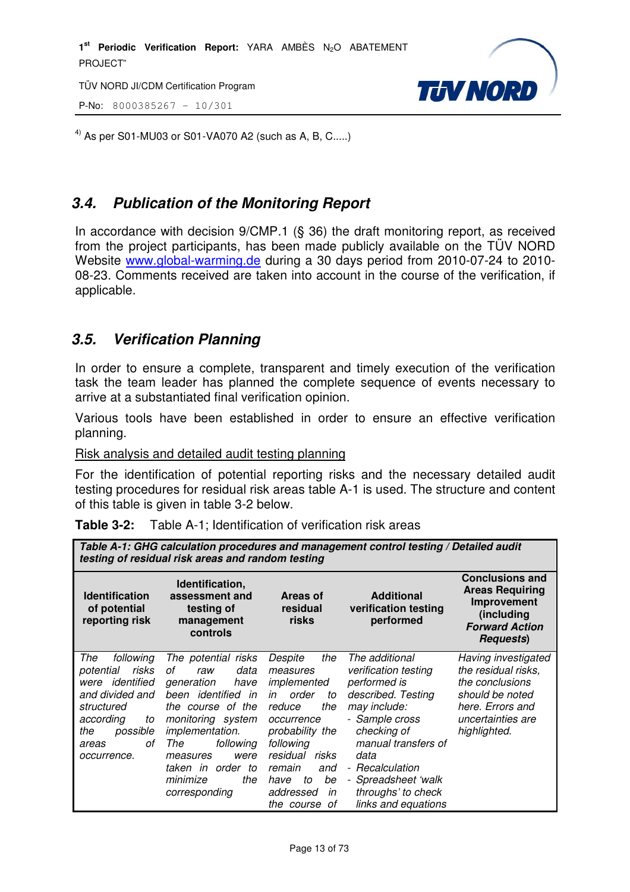TÜV NORD JI/CDM Certification Program

P-No: 8000385267 – 10/301



<sup>4)</sup> As per S01-MU03 or S01-VA070 A2 (such as A, B, C.....)

## **3.4. Publication of the Monitoring Report**

In accordance with decision 9/CMP.1 (§ 36) the draft monitoring report, as received from the project participants, has been made publicly available on the TÜV NORD Website www.global-warming.de during a 30 days period from 2010-07-24 to 2010- 08-23. Comments received are taken into account in the course of the verification, if applicable.

## **3.5. Verification Planning**

In order to ensure a complete, transparent and timely execution of the verification task the team leader has planned the complete sequence of events necessary to arrive at a substantiated final verification opinion.

Various tools have been established in order to ensure an effective verification planning.

Risk analysis and detailed audit testing planning

For the identification of potential reporting risks and the necessary detailed audit testing procedures for residual risk areas table A-1 is used. The structure and content of this table is given in table 3-2 below.

|  | <b>Table 3-2:</b> Table A-1; Identification of verification risk areas |
|--|------------------------------------------------------------------------|
|--|------------------------------------------------------------------------|

| Table A-1: GHG calculation procedures and management control testing / Detailed audit<br>testing of residual risk areas and random testing                        |                                                                                                                                                                                                                                                                       |                                                                                                                                                                                                                                  |                                                                                                                                                                                                                                                     |                                                                                                                                           |
|-------------------------------------------------------------------------------------------------------------------------------------------------------------------|-----------------------------------------------------------------------------------------------------------------------------------------------------------------------------------------------------------------------------------------------------------------------|----------------------------------------------------------------------------------------------------------------------------------------------------------------------------------------------------------------------------------|-----------------------------------------------------------------------------------------------------------------------------------------------------------------------------------------------------------------------------------------------------|-------------------------------------------------------------------------------------------------------------------------------------------|
| <b>Identification</b><br>of potential<br>reporting risk                                                                                                           | Identification,<br>assessment and<br>testing of<br>management<br>controls                                                                                                                                                                                             | Areas of<br>residual<br>risks                                                                                                                                                                                                    | <b>Additional</b><br>verification testing<br>performed                                                                                                                                                                                              | <b>Conclusions and</b><br><b>Areas Requiring</b><br>Improvement<br>(including<br><b>Forward Action</b><br><b>Requests</b> )               |
| The<br>following<br>risks<br>potential<br>identified<br>were<br>and divided and<br>structured<br>according<br>to<br>possible<br>the<br>οf<br>areas<br>occurrence. | The potential<br>risks<br>data<br>οf<br>raw<br>generation<br>have<br>been identified<br>in<br>the course of the<br>monitoring system<br><i>implementation.</i><br>following<br>The<br>were<br>measures<br>taken in<br>order<br>to<br>minimize<br>the<br>corresponding | the<br>Despite<br>measures<br>implemented<br>order<br>in<br>to<br>reduce<br>the<br>occurrence<br>probability the<br>following<br>residual<br>risks<br>remain<br>and<br>be<br>to<br>have<br>addressed<br>in<br>- of<br>the course | The additional<br>verification testing<br>performed is<br>described. Testing<br>may include:<br>- Sample cross<br>checking of<br>manual transfers of<br>data<br>- Recalculation<br>- Spreadsheet 'walk<br>throughs' to check<br>links and equations | Having investigated<br>the residual risks,<br>the conclusions<br>should be noted<br>here. Errors and<br>uncertainties are<br>highlighted. |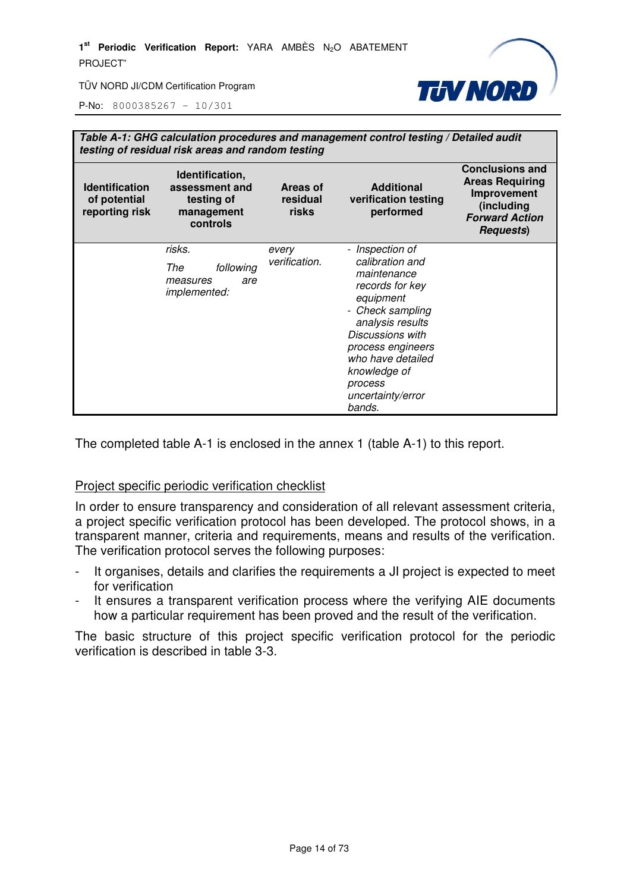

P-No: 8000385267 – 10/301

| Table A-1: GHG calculation procedures and management control testing / Detailed audit<br>testing of residual risk areas and random testing |                                                                           |                               |                                                                                                                                                                                                                                                   |                                                                                                                             |
|--------------------------------------------------------------------------------------------------------------------------------------------|---------------------------------------------------------------------------|-------------------------------|---------------------------------------------------------------------------------------------------------------------------------------------------------------------------------------------------------------------------------------------------|-----------------------------------------------------------------------------------------------------------------------------|
| <b>Identification</b><br>of potential<br>reporting risk                                                                                    | Identification,<br>assessment and<br>testing of<br>management<br>controls | Areas of<br>residual<br>risks | <b>Additional</b><br>verification testing<br>performed                                                                                                                                                                                            | <b>Conclusions and</b><br><b>Areas Requiring</b><br>Improvement<br>(including<br><b>Forward Action</b><br><b>Requests</b> ) |
|                                                                                                                                            | risks.<br>following<br>The<br>measures<br>are<br><i>implemented:</i>      | every<br>verification.        | - Inspection of<br>calibration and<br>maintenance<br>records for key<br>equipment<br>- Check sampling<br>analysis results<br>Discussions with<br>process engineers<br>who have detailed<br>knowledge of<br>process<br>uncertainty/error<br>bands. |                                                                                                                             |

The completed table A-1 is enclosed in the annex 1 (table A-1) to this report.

#### Project specific periodic verification checklist

In order to ensure transparency and consideration of all relevant assessment criteria, a project specific verification protocol has been developed. The protocol shows, in a transparent manner, criteria and requirements, means and results of the verification. The verification protocol serves the following purposes:

- It organises, details and clarifies the requirements a JI project is expected to meet for verification
- It ensures a transparent verification process where the verifying AIE documents how a particular requirement has been proved and the result of the verification.

The basic structure of this project specific verification protocol for the periodic verification is described in table 3-3.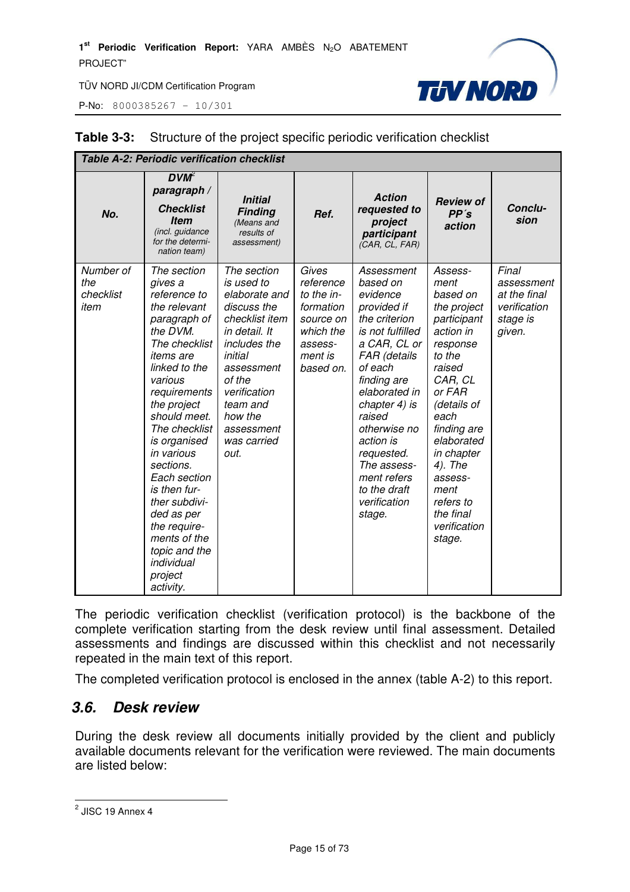P-No: 8000385267 – 10/301



| <b>Table A-2: Periodic verification checklist</b> |                                                                                                                                                                                                                                                                                                                                                                                                                      |                                                                                                                                                                                                                             |                                                                                                            |                                                                                                                                                                                                                                                                                                                 |                                                                                                                                                                                                                                                                                 |                                                                           |
|---------------------------------------------------|----------------------------------------------------------------------------------------------------------------------------------------------------------------------------------------------------------------------------------------------------------------------------------------------------------------------------------------------------------------------------------------------------------------------|-----------------------------------------------------------------------------------------------------------------------------------------------------------------------------------------------------------------------------|------------------------------------------------------------------------------------------------------------|-----------------------------------------------------------------------------------------------------------------------------------------------------------------------------------------------------------------------------------------------------------------------------------------------------------------|---------------------------------------------------------------------------------------------------------------------------------------------------------------------------------------------------------------------------------------------------------------------------------|---------------------------------------------------------------------------|
| No.                                               | $DVM^2$<br>paragraph /<br><b>Checklist</b><br><b>Item</b><br>(incl. guidance<br>for the determi-<br>nation team)                                                                                                                                                                                                                                                                                                     | <b>Initial</b><br><b>Finding</b><br>(Means and<br>results of<br>assessment)                                                                                                                                                 | Ref.                                                                                                       | <b>Action</b><br>requested to<br>project<br>participant<br>(CAR, CL, FAR)                                                                                                                                                                                                                                       | <b>Review of</b><br>PP's<br>action                                                                                                                                                                                                                                              | Conclu-<br>sion                                                           |
| Number of<br>the<br>checklist<br>item             | The section<br>gives a<br>reference to<br>the relevant<br>paragraph of<br>the DVM.<br>The checklist<br><i>items</i> are<br>linked to the<br>various<br>requirements<br>the project<br>should meet.<br>The checklist<br>is organised<br>in various<br>sections.<br>Each section<br>is then fur-<br>ther subdivi-<br>ded as per<br>the require-<br>ments of the<br>topic and the<br>individual<br>project<br>activity. | The section<br>is used to<br>elaborate and<br>discuss the<br>checklist item<br>in detail. It<br>includes the<br>initial<br>assessment<br>of the<br>verification<br>team and<br>how the<br>assessment<br>was carried<br>out. | Gives<br>reference<br>to the in-<br>formation<br>source on<br>which the<br>assess-<br>ment is<br>based on. | Assessment<br>based on<br>evidence<br>provided if<br>the criterion<br>is not fulfilled<br>a CAR, CL or<br>FAR (details<br>of each<br>finding are<br>elaborated in<br>chapter 4) is<br>raised<br>otherwise no<br>action is<br>requested.<br>The assess-<br>ment refers<br>to the draft<br>verification<br>stage. | Assess-<br>ment<br>based on<br>the project<br>participant<br>action in<br>response<br>to the<br>raised<br>CAR, CL<br>or FAR<br>(details of<br>each<br>finding are<br>elaborated<br>in chapter<br>4). The<br>assess-<br>ment<br>refers to<br>the final<br>verification<br>stage. | Final<br>assessment<br>at the final<br>verification<br>stage is<br>given. |

#### **Table 3-3:** Structure of the project specific periodic verification checklist

The periodic verification checklist (verification protocol) is the backbone of the complete verification starting from the desk review until final assessment. Detailed assessments and findings are discussed within this checklist and not necessarily repeated in the main text of this report.

The completed verification protocol is enclosed in the annex (table A-2) to this report.

#### **3.6. Desk review**

During the desk review all documents initially provided by the client and publicly available documents relevant for the verification were reviewed. The main documents are listed below:

<sup>&</sup>lt;u>2</u><br>2 JISC 19 Annex 4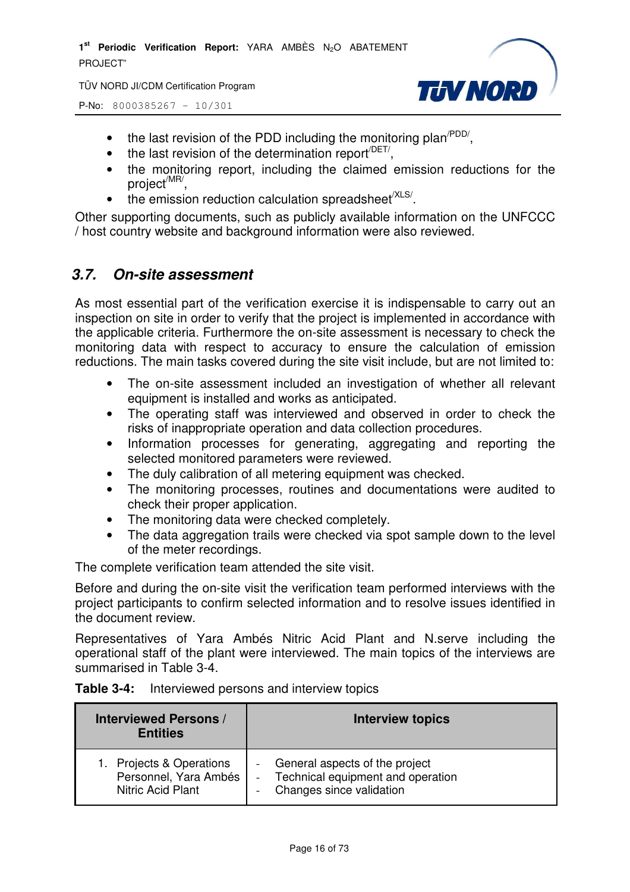TÜV NORD JI/CDM Certification Program

P-No: 8000385267 – 10/301



- the last revision of the PDD including the monitoring plan<sup> $PDD/$ </sup>,
- $\bullet$  the last revision of the determination report<sup> $/$ DET/</sup>,
- the monitoring report, including the claimed emission reductions for the project<sup>/MR/</sup>,
- $\bullet$  the emission reduction calculation spreadsheet<sup>/XLS/</sup>.

Other supporting documents, such as publicly available information on the UNFCCC / host country website and background information were also reviewed.

#### **3.7. On-site assessment**

As most essential part of the verification exercise it is indispensable to carry out an inspection on site in order to verify that the project is implemented in accordance with the applicable criteria. Furthermore the on-site assessment is necessary to check the monitoring data with respect to accuracy to ensure the calculation of emission reductions. The main tasks covered during the site visit include, but are not limited to:

- The on-site assessment included an investigation of whether all relevant equipment is installed and works as anticipated.
- The operating staff was interviewed and observed in order to check the risks of inappropriate operation and data collection procedures.
- Information processes for generating, aggregating and reporting the selected monitored parameters were reviewed.
- The duly calibration of all metering equipment was checked.
- The monitoring processes, routines and documentations were audited to check their proper application.
- The monitoring data were checked completely.
- The data aggregation trails were checked via spot sample down to the level of the meter recordings.

The complete verification team attended the site visit.

Before and during the on-site visit the verification team performed interviews with the project participants to confirm selected information and to resolve issues identified in the document review.

Representatives of Yara Ambés Nitric Acid Plant and N.serve including the operational staff of the plant were interviewed. The main topics of the interviews are summarised in Table 3-4.

| Table 3-4: | Interviewed persons and interview topics |  |
|------------|------------------------------------------|--|
|------------|------------------------------------------|--|

| <b>Interviewed Persons /</b><br><b>Entities</b> | <b>Interview topics</b>           |
|-------------------------------------------------|-----------------------------------|
| 1. Projects & Operations                        | General aspects of the project    |
| Personnel, Yara Ambés                           | Technical equipment and operation |
| Nitric Acid Plant                               | Changes since validation          |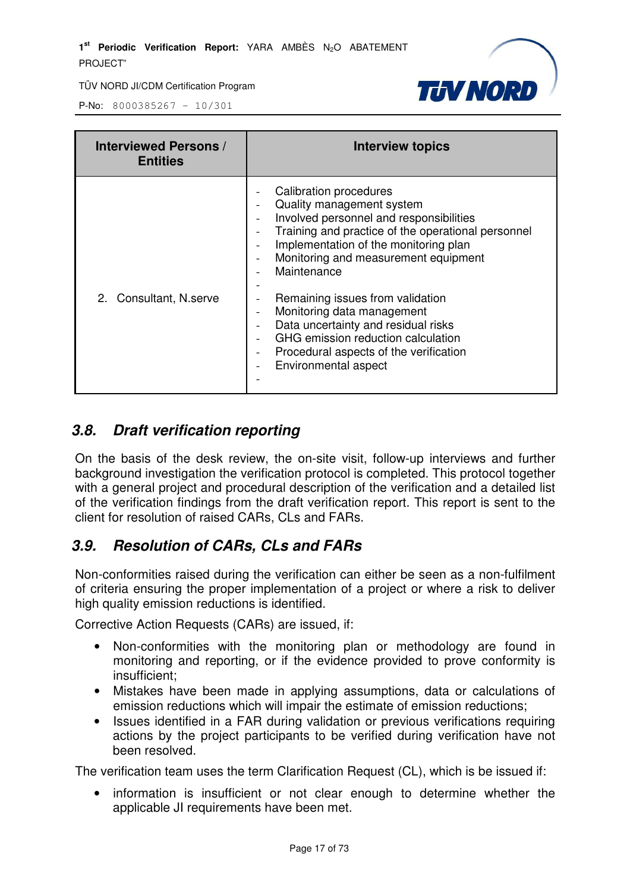

P-No: 8000385267 – 10/301

| <b>Interviewed Persons /</b><br><b>Entities</b> | <b>Interview topics</b>                                                                                                                                                                                                                                                                                                                                                                                                                                                                                  |
|-------------------------------------------------|----------------------------------------------------------------------------------------------------------------------------------------------------------------------------------------------------------------------------------------------------------------------------------------------------------------------------------------------------------------------------------------------------------------------------------------------------------------------------------------------------------|
| 2. Consultant, N.serve                          | <b>Calibration procedures</b><br>Quality management system<br>Involved personnel and responsibilities<br>Training and practice of the operational personnel<br>Implementation of the monitoring plan<br>Monitoring and measurement equipment<br>$\overline{\phantom{a}}$<br>Maintenance<br>Remaining issues from validation<br>Monitoring data management<br>Data uncertainty and residual risks<br>GHG emission reduction calculation<br>Procedural aspects of the verification<br>Environmental aspect |

# **3.8. Draft verification reporting**

On the basis of the desk review, the on-site visit, follow-up interviews and further background investigation the verification protocol is completed. This protocol together with a general project and procedural description of the verification and a detailed list of the verification findings from the draft verification report. This report is sent to the client for resolution of raised CARs, CLs and FARs.

# **3.9. Resolution of CARs, CLs and FARs**

Non-conformities raised during the verification can either be seen as a non-fulfilment of criteria ensuring the proper implementation of a project or where a risk to deliver high quality emission reductions is identified.

Corrective Action Requests (CARs) are issued, if:

- Non-conformities with the monitoring plan or methodology are found in monitoring and reporting, or if the evidence provided to prove conformity is insufficient;
- Mistakes have been made in applying assumptions, data or calculations of emission reductions which will impair the estimate of emission reductions;
- Issues identified in a FAR during validation or previous verifications requiring actions by the project participants to be verified during verification have not been resolved.

The verification team uses the term Clarification Request (CL), which is be issued if:

• information is insufficient or not clear enough to determine whether the applicable JI requirements have been met.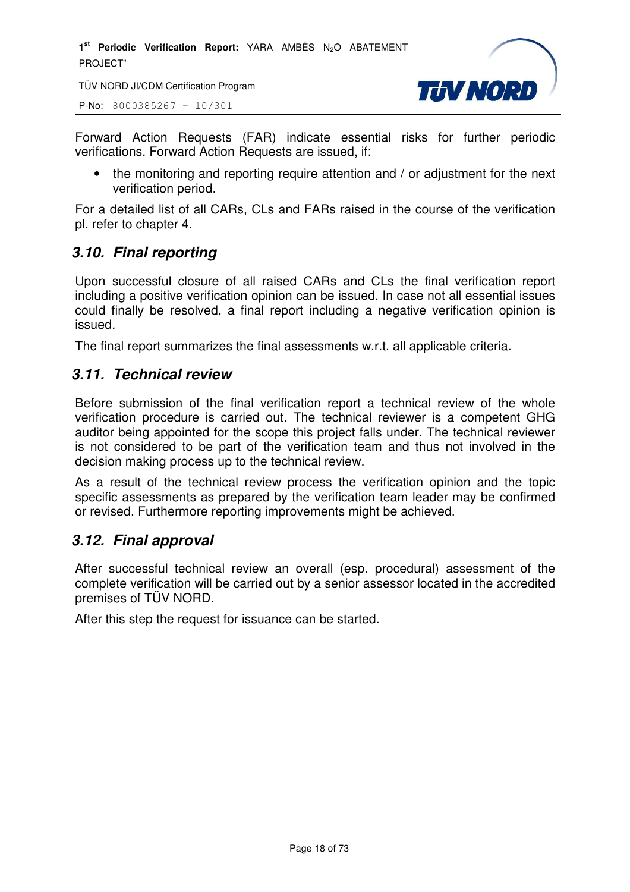TÜV NORD JI/CDM Certification Program

P-No: 8000385267 – 10/301



Forward Action Requests (FAR) indicate essential risks for further periodic verifications. Forward Action Requests are issued, if:

• the monitoring and reporting require attention and / or adjustment for the next verification period.

For a detailed list of all CARs, CLs and FARs raised in the course of the verification pl. refer to chapter 4.

## **3.10. Final reporting**

Upon successful closure of all raised CARs and CLs the final verification report including a positive verification opinion can be issued. In case not all essential issues could finally be resolved, a final report including a negative verification opinion is issued.

The final report summarizes the final assessments w.r.t. all applicable criteria.

#### **3.11. Technical review**

Before submission of the final verification report a technical review of the whole verification procedure is carried out. The technical reviewer is a competent GHG auditor being appointed for the scope this project falls under. The technical reviewer is not considered to be part of the verification team and thus not involved in the decision making process up to the technical review.

As a result of the technical review process the verification opinion and the topic specific assessments as prepared by the verification team leader may be confirmed or revised. Furthermore reporting improvements might be achieved.

#### **3.12. Final approval**

After successful technical review an overall (esp. procedural) assessment of the complete verification will be carried out by a senior assessor located in the accredited premises of TÜV NORD.

After this step the request for issuance can be started.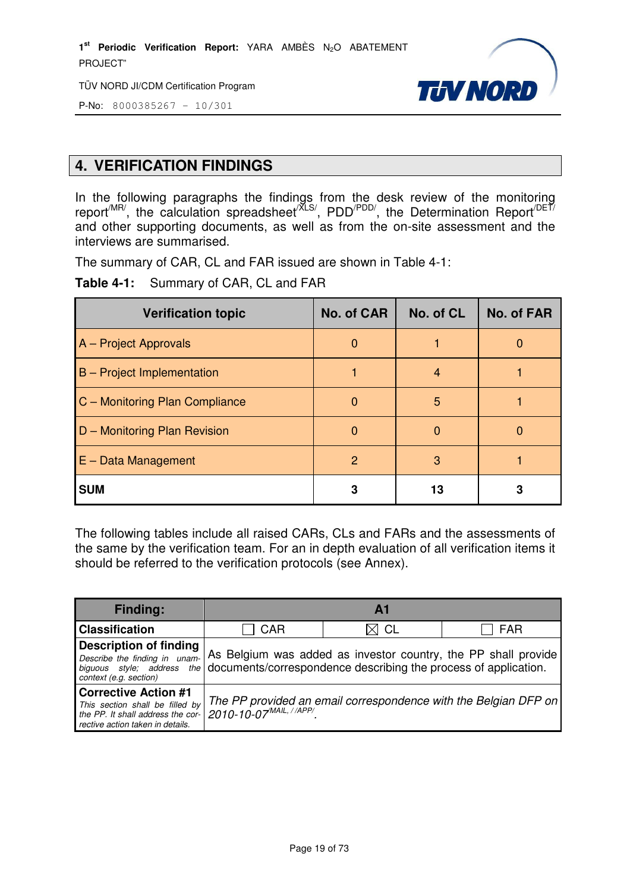TÜV NORD JI/CDM Certification Program



P-No: 8000385267 – 10/301

# **4. VERIFICATION FINDINGS**

In the following paragraphs the findings from the desk review of the monitoring report<sup>/MR/</sup>, the calculation spreadsheet<sup>/XLS/</sup>, PDD<sup>/PDD/</sup>, the Determination Report<sup>/DET/</sup> and other supporting documents, as well as from the on-site assessment and the interviews are summarised.

The summary of CAR, CL and FAR issued are shown in Table 4-1:

**Table 4-1:** Summary of CAR, CL and FAR

| <b>Verification topic</b>         | No. of CAR    | No. of CL | <b>No. of FAR</b> |
|-----------------------------------|---------------|-----------|-------------------|
| A - Project Approvals             | $\theta$      |           | 0                 |
| <b>B</b> – Project Implementation |               | 4         |                   |
| C - Monitoring Plan Compliance    |               | 5         |                   |
| D - Monitoring Plan Revision      | 0             |           |                   |
| $E - Data Management$             | $\mathcal{P}$ | 3         |                   |
| <b>SUM</b>                        | 3             | 13        |                   |

The following tables include all raised CARs, CLs and FARs and the assessments of the same by the verification team. For an in depth evaluation of all verification items it should be referred to the verification protocols (see Annex).

| <b>Finding:</b>                                                                                                                         |                                                                                                                                                              | $\mathbf{A}$ 1                                                  |            |
|-----------------------------------------------------------------------------------------------------------------------------------------|--------------------------------------------------------------------------------------------------------------------------------------------------------------|-----------------------------------------------------------------|------------|
| <b>Classification</b>                                                                                                                   | CAR                                                                                                                                                          | CL                                                              | <b>FAR</b> |
| <b>Description of finding</b><br>Describe the finding in unam-<br>context (e.g. section)                                                | As Belgium was added as investor country, the PP shall provide<br>biguous style; address the documents/correspondence describing the process of application. |                                                                 |            |
| <b>Corrective Action #1</b><br>This section shall be filled by<br>the PP. It shall address the cor-<br>rective action taken in details. | 2010-10-07 MAIL, //APP/                                                                                                                                      | The PP provided an email correspondence with the Belgian DFP on |            |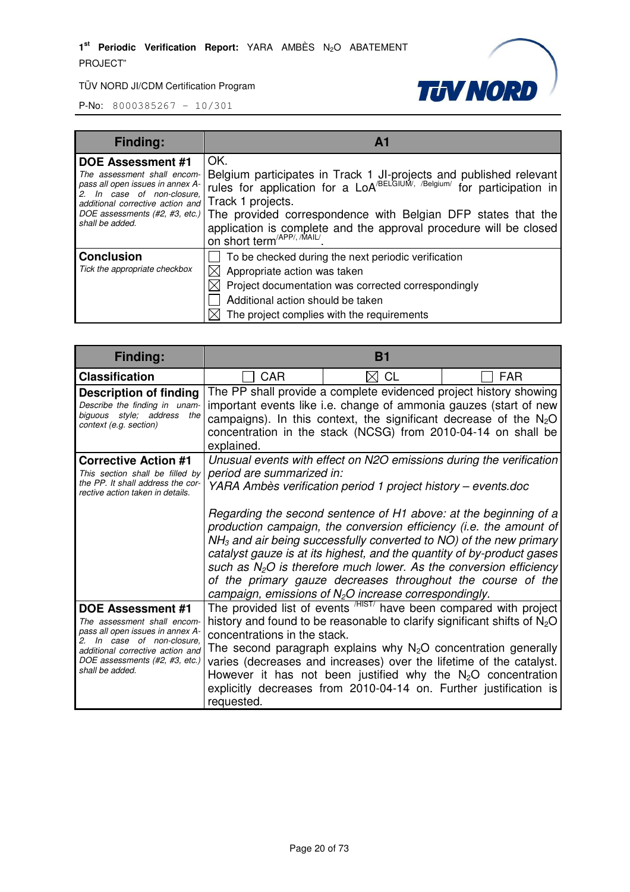

| <b>Finding:</b>                                                                                                                                                                                         | A <sup>1</sup>                                                                                                                                                                                                                                                                                                                                                                      |
|---------------------------------------------------------------------------------------------------------------------------------------------------------------------------------------------------------|-------------------------------------------------------------------------------------------------------------------------------------------------------------------------------------------------------------------------------------------------------------------------------------------------------------------------------------------------------------------------------------|
| <b>DOE Assessment #1</b><br>pass all open issues in annex A-<br>2. In case of non-closure,<br>additional corrective action and Track 1 projects.<br>DOE assessments $(H2, H3, etc.)$<br>shall be added. | OK.<br>The assessment shall encom-<br>pass all open issues in annex A-<br>$\begin{bmatrix}$ rules for application for a LoA <sup>/BELGIUM</sup> , <i>I</i> <sup>Belgium</sup> / for participation in<br>The provided correspondence with Belgian DFP states that the<br>application is complete and the approval procedure will be closed<br>on short term <sup>/APP/, /MAIL/</sup> |
| <b>Conclusion</b><br>Tick the appropriate checkbox                                                                                                                                                      | To be checked during the next periodic verification<br>Appropriate action was taken<br>Project documentation was corrected correspondingly<br>Additional action should be taken<br>The project complies with the requirements                                                                                                                                                       |

| Finding:                                                                                                                                                                                                           |                                            | <b>B1</b>                                                                                                                                                                                                                                                                                                                                                                                                                                                                                                                                                                                                                                    |            |
|--------------------------------------------------------------------------------------------------------------------------------------------------------------------------------------------------------------------|--------------------------------------------|----------------------------------------------------------------------------------------------------------------------------------------------------------------------------------------------------------------------------------------------------------------------------------------------------------------------------------------------------------------------------------------------------------------------------------------------------------------------------------------------------------------------------------------------------------------------------------------------------------------------------------------------|------------|
| <b>Classification</b>                                                                                                                                                                                              | <b>CAR</b>                                 | $\bowtie$ CL                                                                                                                                                                                                                                                                                                                                                                                                                                                                                                                                                                                                                                 | <b>FAR</b> |
| <b>Description of finding</b><br>Describe the finding in unam-<br>biguous style; address the<br>context (e.g. section)                                                                                             | explained.                                 | The PP shall provide a complete evidenced project history showing<br>important events like i.e. change of ammonia gauzes (start of new<br>campaigns). In this context, the significant decrease of the $N_2O$<br>concentration in the stack (NCSG) from 2010-04-14 on shall be                                                                                                                                                                                                                                                                                                                                                               |            |
| <b>Corrective Action #1</b><br>This section shall be filled by<br>the PP. It shall address the cor-<br>rective action taken in details.                                                                            | period are summarized in:                  | Unusual events with effect on N2O emissions during the verification<br>YARA Ambès verification period 1 project history - events.doc<br>Regarding the second sentence of H1 above: at the beginning of a<br>production campaign, the conversion efficiency (i.e. the amount of<br>$NH3$ and air being successfully converted to NO) of the new primary<br>catalyst gauze is at its highest, and the quantity of by-product gases<br>such as $N_2O$ is therefore much lower. As the conversion efficiency<br>of the primary gauze decreases throughout the course of the<br>campaign, emissions of N <sub>2</sub> O increase correspondingly. |            |
| <b>DOE Assessment #1</b><br>The assessment shall encom-<br>pass all open issues in annex A-<br>2. In case of non-closure.<br>additional corrective action and<br>DOE assessments (#2, #3, etc.)<br>shall be added. | concentrations in the stack.<br>requested. | The provided list of events <sup>HIST</sup> have been compared with project<br>history and found to be reasonable to clarify significant shifts of $N_2O$<br>The second paragraph explains why $N_2O$ concentration generally<br>varies (decreases and increases) over the lifetime of the catalyst.<br>However it has not been justified why the $N_2O$ concentration<br>explicitly decreases from 2010-04-14 on. Further justification is                                                                                                                                                                                                  |            |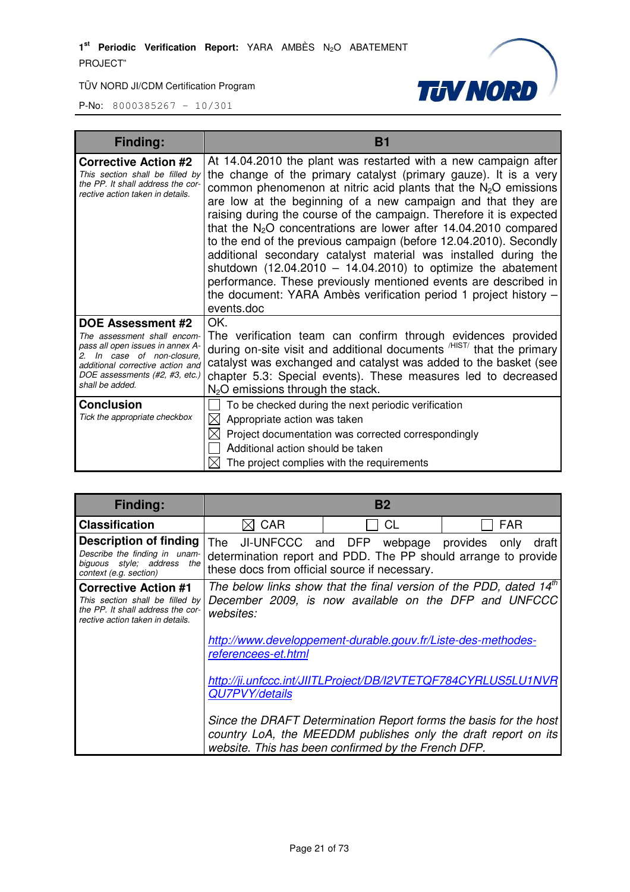

| <b>Finding:</b>                                                                                                                                                                                                       | <b>B1</b>                                                                                                                                                                                                                                                                                                                                                                                                                                                                                                                                                                                                                                                                                                                                                                            |
|-----------------------------------------------------------------------------------------------------------------------------------------------------------------------------------------------------------------------|--------------------------------------------------------------------------------------------------------------------------------------------------------------------------------------------------------------------------------------------------------------------------------------------------------------------------------------------------------------------------------------------------------------------------------------------------------------------------------------------------------------------------------------------------------------------------------------------------------------------------------------------------------------------------------------------------------------------------------------------------------------------------------------|
| <b>Corrective Action #2</b><br>This section shall be filled by<br>the PP. It shall address the cor-<br>rective action taken in details.                                                                               | At 14.04.2010 the plant was restarted with a new campaign after<br>the change of the primary catalyst (primary gauze). It is a very<br>common phenomenon at nitric acid plants that the $N_2O$ emissions<br>are low at the beginning of a new campaign and that they are<br>raising during the course of the campaign. Therefore it is expected<br>that the $N_2O$ concentrations are lower after 14.04.2010 compared<br>to the end of the previous campaign (before 12.04.2010). Secondly<br>additional secondary catalyst material was installed during the<br>shutdown $(12.04.2010 - 14.04.2010)$ to optimize the abatement<br>performance. These previously mentioned events are described in<br>the document: YARA Ambès verification period 1 project history -<br>events.doc |
| <b>DOE Assessment #2</b><br>The assessment shall encom-<br>pass all open issues in annex A-<br>In case of non-closure,<br>2.<br>additional corrective action and<br>DOE assessments (#2, #3, etc.)<br>shall be added. | OK.<br>The verification team can confirm through evidences provided<br>during on-site visit and additional documents <sup>/HIST/</sup> that the primary<br>catalyst was exchanged and catalyst was added to the basket (see<br>chapter 5.3: Special events). These measures led to decreased<br>$N2O$ emissions through the stack.                                                                                                                                                                                                                                                                                                                                                                                                                                                   |
| <b>Conclusion</b><br>Tick the appropriate checkbox                                                                                                                                                                    | To be checked during the next periodic verification<br>Appropriate action was taken<br>⊠<br>Project documentation was corrected correspondingly<br>Additional action should be taken<br>The project complies with the requirements                                                                                                                                                                                                                                                                                                                                                                                                                                                                                                                                                   |

| <b>Finding:</b>                                                                                                                         |                                                                                                                                                                                                                                                                                                                             | <b>B2</b>                                                                                                             |                                                                   |
|-----------------------------------------------------------------------------------------------------------------------------------------|-----------------------------------------------------------------------------------------------------------------------------------------------------------------------------------------------------------------------------------------------------------------------------------------------------------------------------|-----------------------------------------------------------------------------------------------------------------------|-------------------------------------------------------------------|
| <b>Classification</b>                                                                                                                   | <b>CAR</b>                                                                                                                                                                                                                                                                                                                  | CL                                                                                                                    | <b>FAR</b>                                                        |
| <b>Description of finding</b><br>Describe the finding in unam-<br>biguous style; address the<br>context (e.g. section)                  | The JI-UNFCCC and DFP webpage provides only<br>these docs from official source if necessary.                                                                                                                                                                                                                                | determination report and PDD. The PP should arrange to provide                                                        | draft                                                             |
| <b>Corrective Action #1</b><br>This section shall be filled by<br>the PP. It shall address the cor-<br>rective action taken in details. | The below links show that the final version of the PDD, dated $14th$<br>December 2009, is now available on the DFP and UNFCCC<br>websites:<br>http://www.developpement-durable.gouv.fr/Liste-des-methodes-<br>referencees-et.html<br>http://ji.unfccc.int/JIITLProject/DB/I2VTETQF784CYRLUS5LU1NVR<br><b>QU7PVY/details</b> |                                                                                                                       |                                                                   |
|                                                                                                                                         |                                                                                                                                                                                                                                                                                                                             |                                                                                                                       |                                                                   |
|                                                                                                                                         |                                                                                                                                                                                                                                                                                                                             |                                                                                                                       |                                                                   |
|                                                                                                                                         |                                                                                                                                                                                                                                                                                                                             | country LoA, the MEEDDM publishes only the draft report on its<br>website. This has been confirmed by the French DFP. | Since the DRAFT Determination Report forms the basis for the host |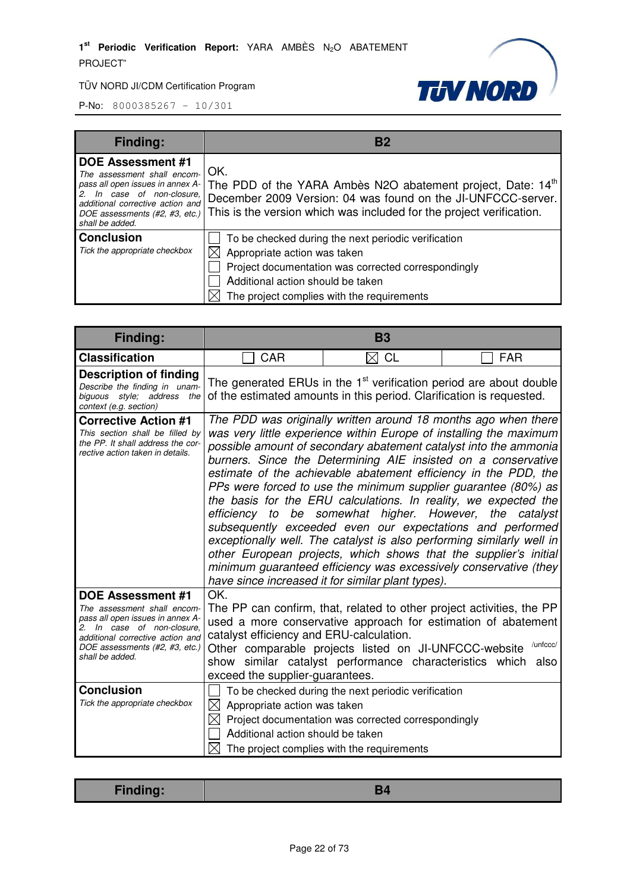

| <b>Finding:</b>                                                                                                                           | Β2                                                                                                                                                                                                                                                                                     |
|-------------------------------------------------------------------------------------------------------------------------------------------|----------------------------------------------------------------------------------------------------------------------------------------------------------------------------------------------------------------------------------------------------------------------------------------|
| <b>DOE Assessment #1</b><br>The assessment shall encom-<br>In case of non-closure.<br>additional corrective action and<br>shall be added. | OK.<br>pass all open issues in annex A- The PDD of the YARA Ambès N2O abatement project, Date: 14 <sup>th</sup><br>December 2009 Version: 04 was found on the JI-UNFCCC-server.<br>DOE assessments (#2, #3, etc.) This is the version which was included for the project verification. |
| <b>Conclusion</b><br>Tick the appropriate checkbox                                                                                        | To be checked during the next periodic verification<br>Appropriate action was taken<br>Project documentation was corrected correspondingly<br>Additional action should be taken<br>The project complies with the requirements                                                          |

| Finding:                                                                                                                                                                                                           | <b>B3</b>                                                                                                                                              |                                                                                                                                                                                                                                                                                                                                                                                                                                                                                                                                                                                                                                                                                                                                                                                                                                                      |                  |
|--------------------------------------------------------------------------------------------------------------------------------------------------------------------------------------------------------------------|--------------------------------------------------------------------------------------------------------------------------------------------------------|------------------------------------------------------------------------------------------------------------------------------------------------------------------------------------------------------------------------------------------------------------------------------------------------------------------------------------------------------------------------------------------------------------------------------------------------------------------------------------------------------------------------------------------------------------------------------------------------------------------------------------------------------------------------------------------------------------------------------------------------------------------------------------------------------------------------------------------------------|------------------|
| <b>Classification</b>                                                                                                                                                                                              | <b>CAR</b>                                                                                                                                             | $\boxtimes$ CL                                                                                                                                                                                                                                                                                                                                                                                                                                                                                                                                                                                                                                                                                                                                                                                                                                       | <b>FAR</b>       |
| <b>Description of finding</b><br>Describe the finding in unam-<br>biguous style; address the<br>context (e.g. section)                                                                                             | The generated ERUs in the 1 <sup>st</sup> verification period are about double<br>of the estimated amounts in this period. Clarification is requested. |                                                                                                                                                                                                                                                                                                                                                                                                                                                                                                                                                                                                                                                                                                                                                                                                                                                      |                  |
| <b>Corrective Action #1</b><br>This section shall be filled by<br>the PP. It shall address the cor-<br>rective action taken in details.                                                                            | efficiency to                                                                                                                                          | The PDD was originally written around 18 months ago when there<br>was very little experience within Europe of installing the maximum<br>possible amount of secondary abatement catalyst into the ammonia<br>burners. Since the Determining AIE insisted on a conservative<br>estimate of the achievable abatement efficiency in the PDD, the<br>PPs were forced to use the minimum supplier guarantee (80%) as<br>the basis for the ERU calculations. In reality, we expected the<br>be somewhat higher. However,<br>subsequently exceeded even our expectations and performed<br>exceptionally well. The catalyst is also performing similarly well in<br>other European projects, which shows that the supplier's initial<br>minimum guaranteed efficiency was excessively conservative (they<br>have since increased it for similar plant types). | the catalyst     |
| <b>DOE Assessment #1</b><br>The assessment shall encom-<br>pass all open issues in annex A-<br>2. In case of non-closure.<br>additional corrective action and<br>DOE assessments (#2, #3, etc.)<br>shall be added. | OK.<br>catalyst efficiency and ERU-calculation.<br>exceed the supplier-guarantees.                                                                     | The PP can confirm, that, related to other project activities, the PP<br>used a more conservative approach for estimation of abatement<br>Other comparable projects listed on JI-UNFCCC-website<br>show similar catalyst performance characteristics which                                                                                                                                                                                                                                                                                                                                                                                                                                                                                                                                                                                           | /unfccc/<br>also |
| <b>Conclusion</b><br>Tick the appropriate checkbox                                                                                                                                                                 | $\bowtie$<br>Appropriate action was taken<br>$\bowtie$<br>Additional action should be taken<br>$\boxtimes$ .                                           | To be checked during the next periodic verification<br>Project documentation was corrected correspondingly<br>The project complies with the requirements                                                                                                                                                                                                                                                                                                                                                                                                                                                                                                                                                                                                                                                                                             |                  |

| <b>Finding:</b> |
|-----------------|
|-----------------|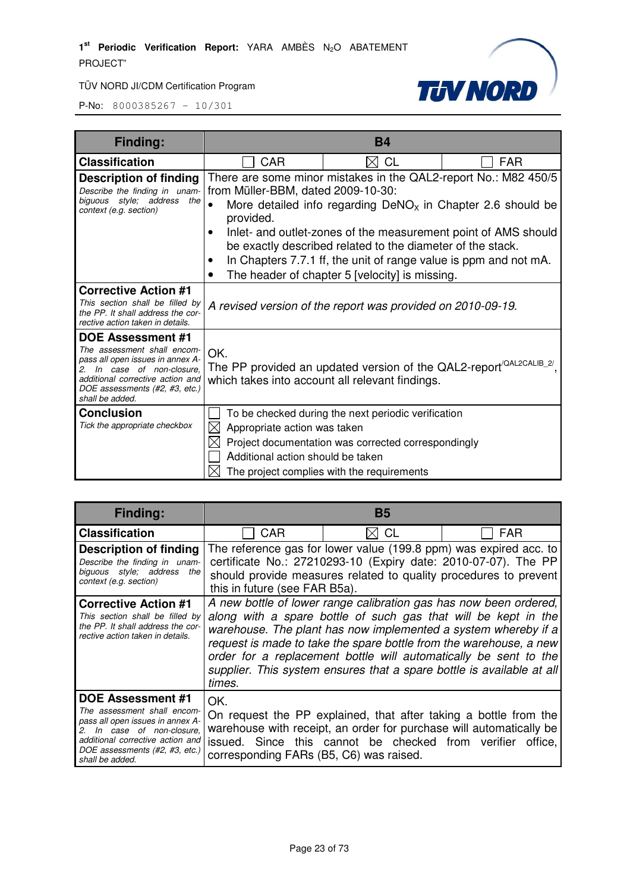

| <b>Finding:</b>                                                                                                                                                                                                    | <b>B4</b>                                                               |                                                                                                                                                                                                                                                                                                                     |                                                                 |
|--------------------------------------------------------------------------------------------------------------------------------------------------------------------------------------------------------------------|-------------------------------------------------------------------------|---------------------------------------------------------------------------------------------------------------------------------------------------------------------------------------------------------------------------------------------------------------------------------------------------------------------|-----------------------------------------------------------------|
| <b>Classification</b>                                                                                                                                                                                              | <b>CAR</b>                                                              | <b>CL</b><br>IXI                                                                                                                                                                                                                                                                                                    | <b>FAR</b>                                                      |
| <b>Description of finding</b><br>Describe the finding in unam-<br>biguous style; address the<br>context (e.g. section)                                                                                             | from Müller-BBM, dated 2009-10-30:<br>provided.                         | More detailed info regarding $DeNOx$ in Chapter 2.6 should be<br>Inlet- and outlet-zones of the measurement point of AMS should<br>be exactly described related to the diameter of the stack.<br>In Chapters 7.7.1 ff, the unit of range value is ppm and not mA.<br>The header of chapter 5 [velocity] is missing. | There are some minor mistakes in the QAL2-report No.: M82 450/5 |
| <b>Corrective Action #1</b><br>This section shall be filled by<br>the PP. It shall address the cor-<br>rective action taken in details.                                                                            |                                                                         | A revised version of the report was provided on 2010-09-19.                                                                                                                                                                                                                                                         |                                                                 |
| <b>DOE Assessment #1</b><br>The assessment shall encom-<br>pass all open issues in annex A-<br>2. In case of non-closure.<br>additional corrective action and<br>DOE assessments (#2, #3, etc.)<br>shall be added. | OK.                                                                     | The PP provided an updated version of the QAL2-report <sup>/QAL2CALIB_2/</sup><br>which takes into account all relevant findings.                                                                                                                                                                                   |                                                                 |
| <b>Conclusion</b><br>Tick the appropriate checkbox                                                                                                                                                                 | Appropriate action was taken<br>IХ<br>Additional action should be taken | To be checked during the next periodic verification<br>Project documentation was corrected correspondingly<br>The project complies with the requirements                                                                                                                                                            |                                                                 |

| <b>Finding:</b>                                                                                                                                                                                                       | В5                                                                                                                                                                                                                                                                                                                                                                                                                                 |                                                    |                                                                                                                                                                                                         |
|-----------------------------------------------------------------------------------------------------------------------------------------------------------------------------------------------------------------------|------------------------------------------------------------------------------------------------------------------------------------------------------------------------------------------------------------------------------------------------------------------------------------------------------------------------------------------------------------------------------------------------------------------------------------|----------------------------------------------------|---------------------------------------------------------------------------------------------------------------------------------------------------------------------------------------------------------|
| <b>Classification</b>                                                                                                                                                                                                 | <b>CAR</b>                                                                                                                                                                                                                                                                                                                                                                                                                         | CL                                                 | <b>FAR</b>                                                                                                                                                                                              |
| Description of finding<br>Describe the finding in unam-<br>biguous style; address<br>the<br>context (e.g. section)                                                                                                    | this in future (see FAR B5a).                                                                                                                                                                                                                                                                                                                                                                                                      |                                                    | The reference gas for lower value (199.8 ppm) was expired acc. to<br>certificate No.: 27210293-10 (Expiry date: 2010-07-07). The PP<br>should provide measures related to quality procedures to prevent |
| <b>Corrective Action #1</b><br>This section shall be filled by<br>the PP. It shall address the cor-<br>rective action taken in details.                                                                               | A new bottle of lower range calibration gas has now been ordered,<br>along with a spare bottle of such gas that will be kept in the<br>warehouse. The plant has now implemented a system whereby if a<br>request is made to take the spare bottle from the warehouse, a new<br>order for a replacement bottle will automatically be sent to the<br>supplier. This system ensures that a spare bottle is available at all<br>times. |                                                    |                                                                                                                                                                                                         |
| <b>DOE Assessment #1</b><br>The assessment shall encom-<br>pass all open issues in annex A-<br>In case of non-closure,<br>2.<br>additional corrective action and<br>DOE assessments (#2, #3, etc.)<br>shall be added. | OK.<br>corresponding FARs (B5, C6) was raised.                                                                                                                                                                                                                                                                                                                                                                                     | issued. Since this cannot be checked from verifier | On request the PP explained, that after taking a bottle from the<br>warehouse with receipt, an order for purchase will automatically be<br>office,                                                      |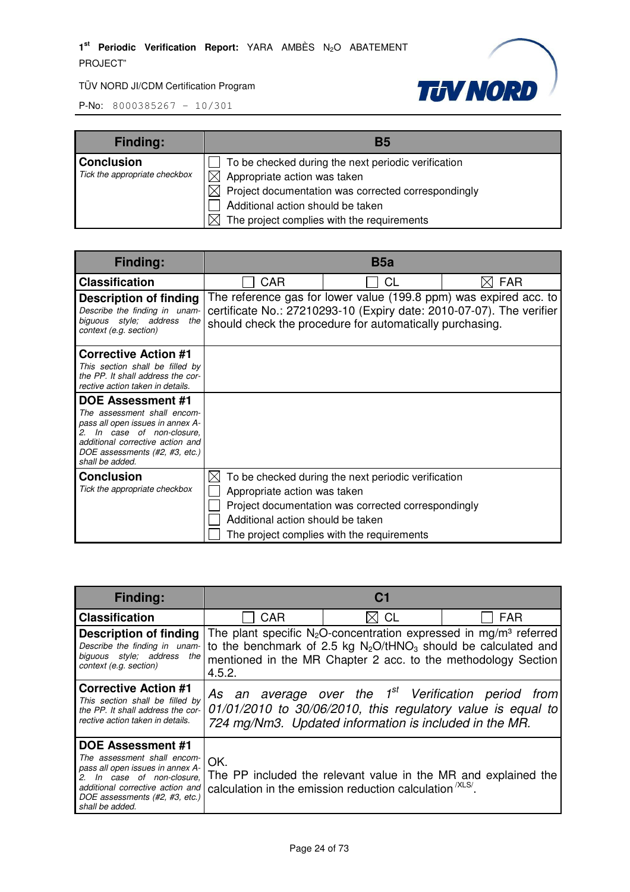

| <b>Finding:</b>               | В5                                                        |
|-------------------------------|-----------------------------------------------------------|
| <b>Conclusion</b>             | To be checked during the next periodic verification       |
| Tick the appropriate checkbox | $\bowtie$<br>Appropriate action was taken                 |
|                               | Project documentation was corrected correspondingly<br>ΧI |
|                               | Additional action should be taken                         |
|                               | The project complies with the requirements                |

| <b>Finding:</b>                                                                                                                                                                                                                                | B <sub>5</sub> a                                                  |                                                                                                                                                                                                       |            |
|------------------------------------------------------------------------------------------------------------------------------------------------------------------------------------------------------------------------------------------------|-------------------------------------------------------------------|-------------------------------------------------------------------------------------------------------------------------------------------------------------------------------------------------------|------------|
| <b>Classification</b>                                                                                                                                                                                                                          | CAR                                                               | CL                                                                                                                                                                                                    | <b>FAR</b> |
| <b>Description of finding</b><br>Describe the finding in unam-<br>biguous style; address the<br>context (e.g. section)                                                                                                                         |                                                                   | The reference gas for lower value (199.8 ppm) was expired acc. to<br>certificate No.: 27210293-10 (Expiry date: 2010-07-07). The verifier<br>should check the procedure for automatically purchasing. |            |
| <b>Corrective Action #1</b><br>This section shall be filled by<br>the PP. It shall address the cor-<br>rective action taken in details.                                                                                                        |                                                                   |                                                                                                                                                                                                       |            |
| <b>DOE Assessment #1</b><br>The assessment shall encom-<br>pass all open issues in annex A-<br>In case of non-closure.<br>$\mathcal{P}_{\mathcal{P}}$<br>additional corrective action and<br>DOE assessments (#2, #3, etc.)<br>shall be added. |                                                                   |                                                                                                                                                                                                       |            |
| <b>Conclusion</b><br>Tick the appropriate checkbox                                                                                                                                                                                             | Appropriate action was taken<br>Additional action should be taken | To be checked during the next periodic verification<br>Project documentation was corrected correspondingly<br>The project complies with the requirements                                              |            |

| <b>Finding:</b>                                                                                                                                                                                                    | C <sub>1</sub>                                                                                                                                                                                |                |                                                                                                                                                                                                                        |
|--------------------------------------------------------------------------------------------------------------------------------------------------------------------------------------------------------------------|-----------------------------------------------------------------------------------------------------------------------------------------------------------------------------------------------|----------------|------------------------------------------------------------------------------------------------------------------------------------------------------------------------------------------------------------------------|
| <b>Classification</b>                                                                                                                                                                                              | CAR                                                                                                                                                                                           | $\boxtimes$ CL | <b>FAR</b>                                                                                                                                                                                                             |
| Description of finding<br>Describe the finding in unam-<br>biguous style; address<br>the $ $<br>context (e.g. section)                                                                                             | 4.5.2.                                                                                                                                                                                        |                | The plant specific $N_2O$ -concentration expressed in mg/m <sup>3</sup> referred<br>to the benchmark of 2.5 kg $N_2O/tHNO_3$ should be calculated and<br>mentioned in the MR Chapter 2 acc. to the methodology Section |
| <b>Corrective Action #1</b><br>This section shall be filled by<br>the PP. It shall address the cor-<br>rective action taken in details.                                                                            | As an average over the 1 <sup>st</sup> Verification period from<br>$01/01/2010$ to $30/06/2010$ , this regulatory value is equal to<br>724 mg/Nm3. Updated information is included in the MR. |                |                                                                                                                                                                                                                        |
| <b>DOE Assessment #1</b><br>The assessment shall encom-<br>pass all open issues in annex A-<br>2. In case of non-closure,<br>additional corrective action and<br>DOE assessments (#2, #3, etc.)<br>shall be added. | OK.<br>calculation in the emission reduction calculation (XLS/                                                                                                                                |                | The PP included the relevant value in the MR and explained the                                                                                                                                                         |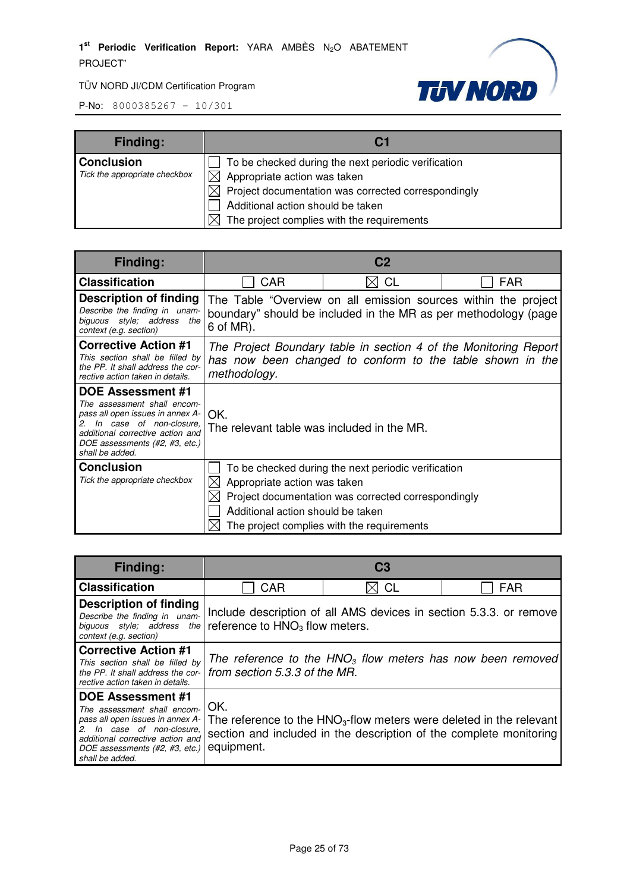

| <b>Finding:</b>               | C <sub>1</sub>                                      |
|-------------------------------|-----------------------------------------------------|
| <b>Conclusion</b>             | To be checked during the next periodic verification |
| Tick the appropriate checkbox | $\boxtimes$ Appropriate action was taken            |
|                               | Project documentation was corrected correspondingly |
|                               | Additional action should be taken                   |
|                               | The project complies with the requirements          |

| <b>Finding:</b>                                                                                                                                                                                                       | C <sub>2</sub>                                                                                                                                |                                                                                                                                                          |                                                                |
|-----------------------------------------------------------------------------------------------------------------------------------------------------------------------------------------------------------------------|-----------------------------------------------------------------------------------------------------------------------------------------------|----------------------------------------------------------------------------------------------------------------------------------------------------------|----------------------------------------------------------------|
| <b>Classification</b>                                                                                                                                                                                                 | <b>CAR</b>                                                                                                                                    | <b>CL</b><br>M                                                                                                                                           | <b>FAR</b>                                                     |
| Description of finding<br>Describe the finding in unam-<br>biguous style; address the<br>context (e.g. section)                                                                                                       | 6 of MR).                                                                                                                                     | boundary" should be included in the MR as per methodology (page                                                                                          | The Table "Overview on all emission sources within the project |
| <b>Corrective Action #1</b><br>This section shall be filled by<br>the PP. It shall address the cor-<br>rective action taken in details.                                                                               | The Project Boundary table in section 4 of the Monitoring Report<br>has now been changed to conform to the table shown in the<br>methodology. |                                                                                                                                                          |                                                                |
| <b>DOE Assessment #1</b><br>The assessment shall encom-<br>pass all open issues in annex A-<br>In case of non-closure,<br>2.<br>additional corrective action and<br>DOE assessments (#2, #3, etc.)<br>shall be added. | OK.<br>The relevant table was included in the MR.                                                                                             |                                                                                                                                                          |                                                                |
| <b>Conclusion</b><br>Tick the appropriate checkbox                                                                                                                                                                    | Appropriate action was taken<br>Additional action should be taken                                                                             | To be checked during the next periodic verification<br>Project documentation was corrected correspondingly<br>The project complies with the requirements |                                                                |

| <b>Finding:</b>                                                                                                                                                                                                    |                                                                                               | C <sub>3</sub>                                                     |                                                                       |
|--------------------------------------------------------------------------------------------------------------------------------------------------------------------------------------------------------------------|-----------------------------------------------------------------------------------------------|--------------------------------------------------------------------|-----------------------------------------------------------------------|
| <b>Classification</b>                                                                                                                                                                                              | CAR                                                                                           | CL<br>$\bowtie$                                                    | <b>FAR</b>                                                            |
| Description of finding<br>Describe the finding in unam-<br>biguous style; address<br>the I<br>context (e.g. section)                                                                                               | reference to $HNO3$ flow meters.                                                              | Include description of all AMS devices in section 5.3.3. or remove |                                                                       |
| <b>Corrective Action #1</b><br>This section shall be filled by<br>the PP. It shall address the cor-<br>rective action taken in details.                                                                            | The reference to the $HNO3$ flow meters has now been removed<br>from section 5.3.3 of the MR. |                                                                    |                                                                       |
| <b>DOE Assessment #1</b><br>The assessment shall encom-<br>pass all open issues in annex A-<br>2. In case of non-closure,<br>additional corrective action and<br>DOE assessments (#2, #3, etc.)<br>shall be added. | OK.<br>equipment.                                                                             | section and included in the description of the complete monitoring | The reference to the $HNO3$ -flow meters were deleted in the relevant |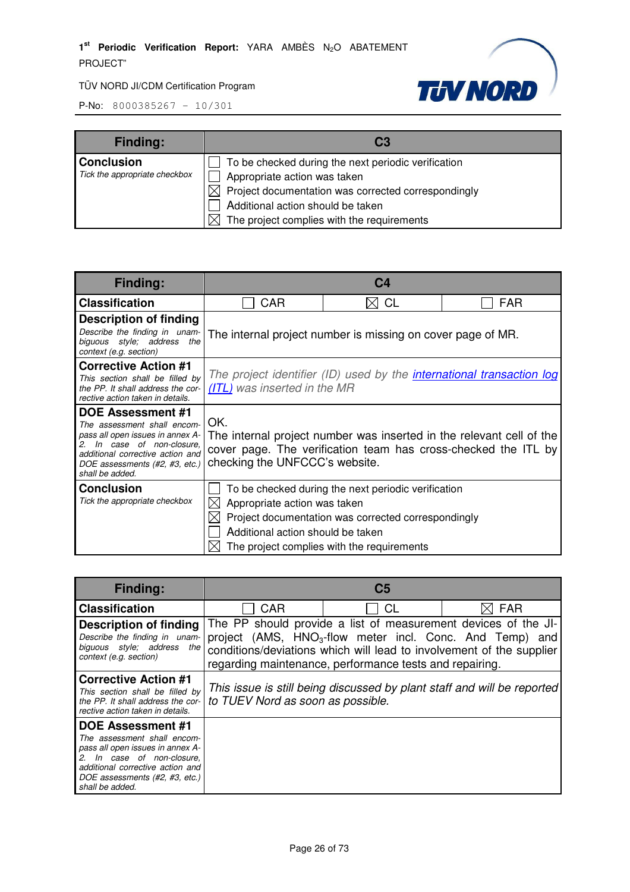

| <b>Finding:</b>                                    | C3                                                                                                                                                                                                                            |
|----------------------------------------------------|-------------------------------------------------------------------------------------------------------------------------------------------------------------------------------------------------------------------------------|
| <b>Conclusion</b><br>Tick the appropriate checkbox | To be checked during the next periodic verification<br>Appropriate action was taken<br>Project documentation was corrected correspondingly<br>Additional action should be taken<br>The project complies with the requirements |

| <b>Finding:</b>                                                                                                                                                                                                       |                                                                   | C4                                                                                                                                                       |            |
|-----------------------------------------------------------------------------------------------------------------------------------------------------------------------------------------------------------------------|-------------------------------------------------------------------|----------------------------------------------------------------------------------------------------------------------------------------------------------|------------|
| <b>Classification</b>                                                                                                                                                                                                 | CAR                                                               | <b>CL</b>                                                                                                                                                | <b>FAR</b> |
| <b>Description of finding</b><br>Describe the finding in unam-<br>biguous style; address<br>the<br>context (e.g. section)                                                                                             |                                                                   | The internal project number is missing on cover page of MR.                                                                                              |            |
| <b>Corrective Action #1</b><br>This section shall be filled by<br>the PP. It shall address the cor-<br>rective action taken in details.                                                                               | (ITL) was inserted in the MR                                      | The project identifier (ID) used by the <i>international transaction log</i>                                                                             |            |
| <b>DOE Assessment #1</b><br>The assessment shall encom-<br>pass all open issues in annex A-<br>In case of non-closure.<br>2.<br>additional corrective action and<br>DOE assessments (#2, #3, etc.)<br>shall be added. | OK.<br>checking the UNFCCC's website.                             | The internal project number was inserted in the relevant cell of the<br>cover page. The verification team has cross-checked the ITL by                   |            |
| <b>Conclusion</b><br>Tick the appropriate checkbox                                                                                                                                                                    | Appropriate action was taken<br>Additional action should be taken | To be checked during the next periodic verification<br>Project documentation was corrected correspondingly<br>The project complies with the requirements |            |

| <b>Finding:</b>                                                                                                                                                                                                 |                                   | C <sub>5</sub>                                          |                                                                                                                                                                                                                |
|-----------------------------------------------------------------------------------------------------------------------------------------------------------------------------------------------------------------|-----------------------------------|---------------------------------------------------------|----------------------------------------------------------------------------------------------------------------------------------------------------------------------------------------------------------------|
| <b>Classification</b>                                                                                                                                                                                           | CAR                               | CL                                                      | FAR                                                                                                                                                                                                            |
| <b>Description of finding</b><br>Describe the finding in unam-<br>biguous style; address the<br>context (e.g. section)                                                                                          |                                   | regarding maintenance, performance tests and repairing. | The PP should provide a list of measurement devices of the JI-<br>project (AMS, HNO <sub>3</sub> -flow meter incl. Conc. And Temp) and<br>conditions/deviations which will lead to involvement of the supplier |
| <b>Corrective Action #1</b><br>This section shall be filled by<br>the PP. It shall address the cor-<br>rective action taken in details.                                                                         | to TUEV Nord as soon as possible. |                                                         | This issue is still being discussed by plant staff and will be reported                                                                                                                                        |
| <b>DOE Assessment #1</b><br>The assessment shall encom-<br>pass all open issues in annex A-<br>In case of non-closure,<br>additional corrective action and<br>DOE assessments (#2, #3, etc.)<br>shall be added. |                                   |                                                         |                                                                                                                                                                                                                |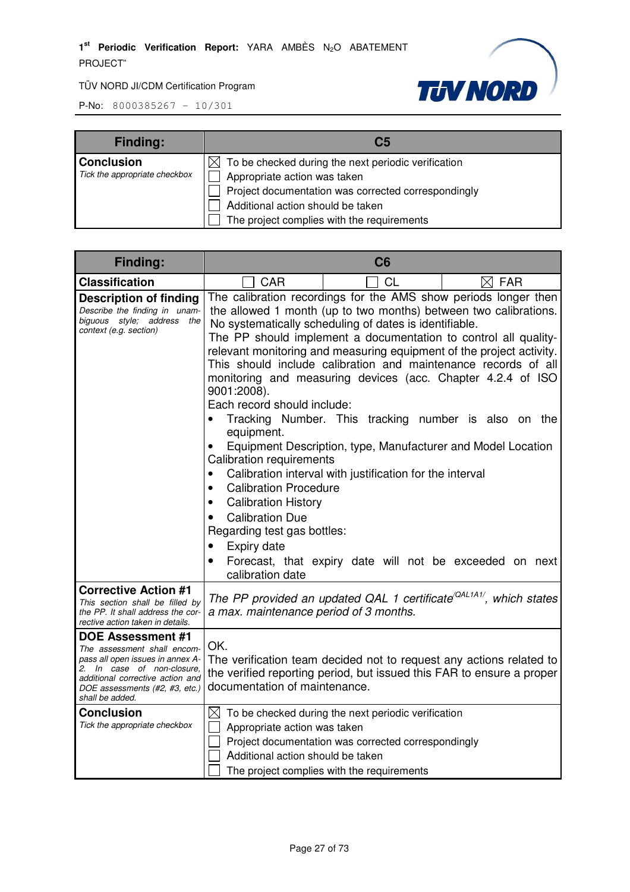

| <b>Finding:</b>               | C <sub>5</sub>                                                  |
|-------------------------------|-----------------------------------------------------------------|
| <b>Conclusion</b>             | $\boxtimes$ To be checked during the next periodic verification |
| Tick the appropriate checkbox | Appropriate action was taken                                    |
|                               | Project documentation was corrected correspondingly             |
|                               | Additional action should be taken                               |
|                               | The project complies with the requirements                      |

| Finding:                                                                                                                                                                                                    |                                                                                                                                                                                                                                                                                                                                           | C6                                                                                                                                                                                                                                                                                                                                                                                                                                                                                                                                                                                                                                                                                                                       |                 |
|-------------------------------------------------------------------------------------------------------------------------------------------------------------------------------------------------------------|-------------------------------------------------------------------------------------------------------------------------------------------------------------------------------------------------------------------------------------------------------------------------------------------------------------------------------------------|--------------------------------------------------------------------------------------------------------------------------------------------------------------------------------------------------------------------------------------------------------------------------------------------------------------------------------------------------------------------------------------------------------------------------------------------------------------------------------------------------------------------------------------------------------------------------------------------------------------------------------------------------------------------------------------------------------------------------|-----------------|
| <b>Classification</b>                                                                                                                                                                                       | CAR                                                                                                                                                                                                                                                                                                                                       | CL                                                                                                                                                                                                                                                                                                                                                                                                                                                                                                                                                                                                                                                                                                                       | $\boxtimes$ FAR |
| <b>Description of finding</b><br>Describe the finding in unam-<br>biguous style; address the<br>context (e.g. section)                                                                                      | 9001:2008).<br>Each record should include:<br>$\bullet$<br>equipment.<br>$\bullet$<br>Calibration requirements<br><b>Calibration Procedure</b><br>$\bullet$<br><b>Calibration History</b><br>$\bullet$<br><b>Calibration Due</b><br>$\bullet$<br>Regarding test gas bottles:<br>Expiry date<br>$\bullet$<br>$\bullet$<br>calibration date | The calibration recordings for the AMS show periods longer then<br>the allowed 1 month (up to two months) between two calibrations.<br>No systematically scheduling of dates is identifiable.<br>The PP should implement a documentation to control all quality-<br>relevant monitoring and measuring equipment of the project activity.<br>This should include calibration and maintenance records of all<br>monitoring and measuring devices (acc. Chapter 4.2.4 of ISO<br>Tracking Number. This tracking number is also on the<br>Equipment Description, type, Manufacturer and Model Location<br>Calibration interval with justification for the interval<br>Forecast, that expiry date will not be exceeded on next |                 |
| <b>Corrective Action #1</b><br>This section shall be filled by<br>the PP. It shall address the cor-<br>rective action taken in details.                                                                     | a max. maintenance period of 3 months.                                                                                                                                                                                                                                                                                                    | The PP provided an updated QAL 1 certificate <sup>(QAL1A1/</sup> , which states                                                                                                                                                                                                                                                                                                                                                                                                                                                                                                                                                                                                                                          |                 |
| DOE Assessment #1<br>The assessment shall encom-<br>pass all open issues in annex A-<br>2. In case of non-closure.<br>additional corrective action and<br>DOE assessments (#2, #3, etc.)<br>shall be added. | OK.<br>documentation of maintenance.                                                                                                                                                                                                                                                                                                      | The verification team decided not to request any actions related to<br>the verified reporting period, but issued this FAR to ensure a proper                                                                                                                                                                                                                                                                                                                                                                                                                                                                                                                                                                             |                 |
| <b>Conclusion</b><br>Tick the appropriate checkbox                                                                                                                                                          | Appropriate action was taken<br>Additional action should be taken                                                                                                                                                                                                                                                                         | $\boxtimes$ To be checked during the next periodic verification<br>Project documentation was corrected correspondingly<br>The project complies with the requirements                                                                                                                                                                                                                                                                                                                                                                                                                                                                                                                                                     |                 |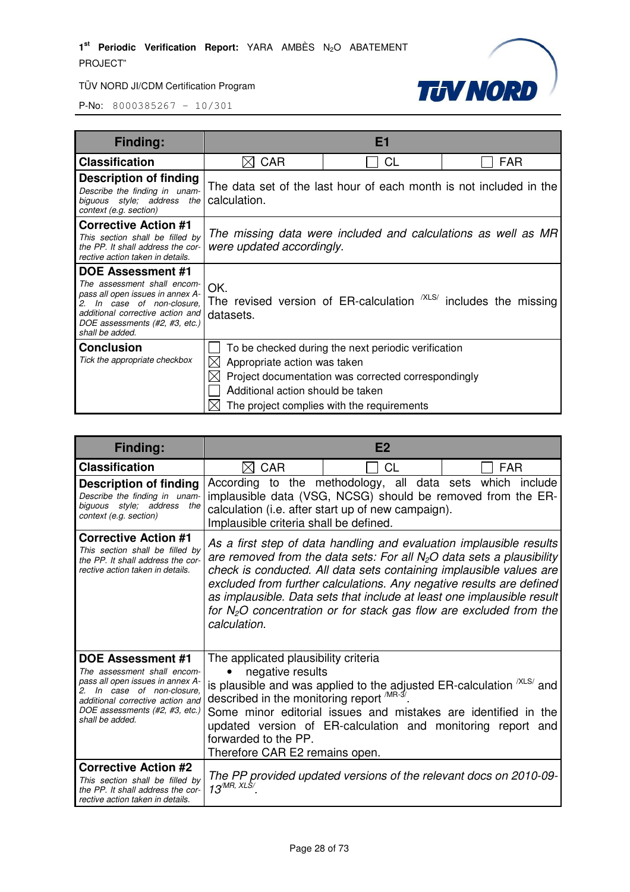

| <b>Finding:</b>                                                                                                                                                                                             |                                                                          | E <sub>1</sub>                                                                                                                                           |                                                               |
|-------------------------------------------------------------------------------------------------------------------------------------------------------------------------------------------------------------|--------------------------------------------------------------------------|----------------------------------------------------------------------------------------------------------------------------------------------------------|---------------------------------------------------------------|
| <b>Classification</b>                                                                                                                                                                                       | <b>CAR</b>                                                               | СL                                                                                                                                                       | <b>FAR</b>                                                    |
| Description of finding<br>Describe the finding in unam-<br>biguous style; address the<br>context (e.g. section)                                                                                             | calculation.                                                             | The data set of the last hour of each month is not included in the                                                                                       |                                                               |
| <b>Corrective Action #1</b><br>This section shall be filled by<br>the PP. It shall address the cor-<br>rective action taken in details.                                                                     | were updated accordingly.                                                |                                                                                                                                                          | The missing data were included and calculations as well as MR |
| DOE Assessment #1<br>The assessment shall encom-<br>pass all open issues in annex A-<br>2. In case of non-closure.<br>additional corrective action and<br>DOE assessments (#2, #3, etc.)<br>shall be added. | OK.<br>datasets.                                                         | The revised version of ER-calculation <sup>XLS/</sup> includes the missing                                                                               |                                                               |
| <b>Conclusion</b><br>Tick the appropriate checkbox                                                                                                                                                          | Appropriate action was taken<br>IХI<br>Additional action should be taken | To be checked during the next periodic verification<br>Project documentation was corrected correspondingly<br>The project complies with the requirements |                                                               |

| Finding:                                                                                                                                                                                                           |                                                                                                                                                                | E2                                                                                                                                                                                                                |                                                                                                                                                                                                                                                                                                                                                                      |
|--------------------------------------------------------------------------------------------------------------------------------------------------------------------------------------------------------------------|----------------------------------------------------------------------------------------------------------------------------------------------------------------|-------------------------------------------------------------------------------------------------------------------------------------------------------------------------------------------------------------------|----------------------------------------------------------------------------------------------------------------------------------------------------------------------------------------------------------------------------------------------------------------------------------------------------------------------------------------------------------------------|
| <b>Classification</b>                                                                                                                                                                                              | <b>CAR</b>                                                                                                                                                     | СL                                                                                                                                                                                                                | FAR                                                                                                                                                                                                                                                                                                                                                                  |
| <b>Description of finding</b><br>Describe the finding in unam-<br>biguous style; address<br>the<br>context (e.g. section)                                                                                          | Implausible criteria shall be defined.                                                                                                                         | According to the methodology, all data sets which<br>implausible data (VSG, NCSG) should be removed from the ER-<br>calculation (i.e. after start up of new campaign).                                            | include                                                                                                                                                                                                                                                                                                                                                              |
| <b>Corrective Action #1</b><br>This section shall be filled by<br>the PP. It shall address the cor-<br>rective action taken in details.                                                                            | calculation.                                                                                                                                                   | are removed from the data sets: For all $N_2O$ data sets a plausibility                                                                                                                                           | As a first step of data handling and evaluation implausible results<br>check is conducted. All data sets containing implausible values are<br>excluded from further calculations. Any negative results are defined<br>as implausible. Data sets that include at least one implausible result<br>for $N_2O$ concentration or for stack gas flow are excluded from the |
| <b>DOE Assessment #1</b><br>The assessment shall encom-<br>pass all open issues in annex A-<br>2. In case of non-closure.<br>additional corrective action and<br>DOE assessments (#2, #3, etc.)<br>shall be added. | The applicated plausibility criteria<br>negative results<br>described in the monitoring report MR-3/<br>forwarded to the PP.<br>Therefore CAR E2 remains open. | is plausible and was applied to the adjusted ER-calculation <sup>/XLS/</sup> and<br>Some minor editorial issues and mistakes are identified in the<br>updated version of ER-calculation and monitoring report and |                                                                                                                                                                                                                                                                                                                                                                      |
| <b>Corrective Action #2</b><br>This section shall be filled by<br>the PP. It shall address the cor-<br>rective action taken in details.                                                                            | $13^{\text{MR}, \, \text{XLS}}$                                                                                                                                | The PP provided updated versions of the relevant docs on 2010-09-                                                                                                                                                 |                                                                                                                                                                                                                                                                                                                                                                      |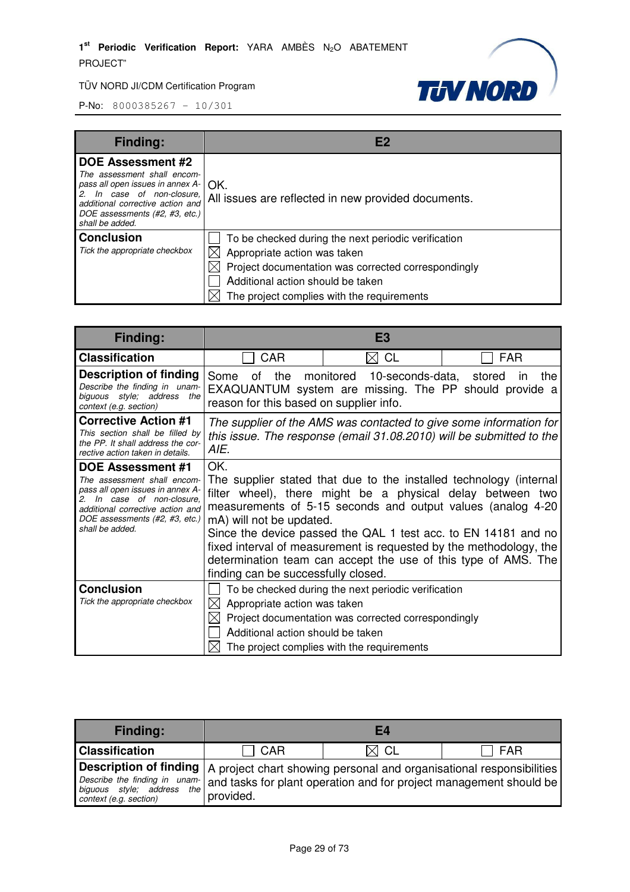

| <b>Finding:</b>                                                                                                                                                                                                                   |                                                                                                                                                                                                                               |
|-----------------------------------------------------------------------------------------------------------------------------------------------------------------------------------------------------------------------------------|-------------------------------------------------------------------------------------------------------------------------------------------------------------------------------------------------------------------------------|
| <b>DOE Assessment #2</b><br>The assessment shall encom-<br>pass all open issues in annex $A - \bigcap K$ .<br>2. In case of non-closure.<br>additional corrective action and<br>DOE assessments (#2, #3, etc.)<br>shall be added. | All issues are reflected in new provided documents.                                                                                                                                                                           |
| <b>Conclusion</b><br>Tick the appropriate checkbox                                                                                                                                                                                | To be checked during the next periodic verification<br>Appropriate action was taken<br>Project documentation was corrected correspondingly<br>Additional action should be taken<br>The project complies with the requirements |

| Finding:                                                                                                                                                                                                              | E <sub>3</sub>                                                           |                                                                                                                                                                                                                                                                                                                                                                                                           |            |
|-----------------------------------------------------------------------------------------------------------------------------------------------------------------------------------------------------------------------|--------------------------------------------------------------------------|-----------------------------------------------------------------------------------------------------------------------------------------------------------------------------------------------------------------------------------------------------------------------------------------------------------------------------------------------------------------------------------------------------------|------------|
| <b>Classification</b>                                                                                                                                                                                                 | <b>CAR</b>                                                               | $\bowtie$ CL                                                                                                                                                                                                                                                                                                                                                                                              | <b>FAR</b> |
| <b>Description of finding</b><br>Describe the finding in unam-<br>biguous style; address the<br>context (e.g. section)                                                                                                | Some<br>of<br>reason for this based on supplier info.                    | the monitored 10-seconds-data, stored<br>EXAQUANTUM system are missing. The PP should provide a                                                                                                                                                                                                                                                                                                           | the<br>ın  |
| <b>Corrective Action #1</b><br>This section shall be filled by<br>the PP. It shall address the cor-<br>rective action taken in details.                                                                               | AIE.                                                                     | The supplier of the AMS was contacted to give some information for<br>this issue. The response (email 31.08.2010) will be submitted to the                                                                                                                                                                                                                                                                |            |
| <b>DOE Assessment #1</b><br>The assessment shall encom-<br>pass all open issues in annex A-<br>In case of non-closure.<br>2.<br>additional corrective action and<br>DOE assessments (#2, #3, etc.)<br>shall be added. | OK.<br>mA) will not be updated.<br>finding can be successfully closed.   | The supplier stated that due to the installed technology (internal<br>filter wheel), there might be a physical delay between two<br>measurements of 5-15 seconds and output values (analog 4-20<br>Since the device passed the QAL 1 test acc. to EN 14181 and no<br>fixed interval of measurement is requested by the methodology, the<br>determination team can accept the use of this type of AMS. The |            |
| <b>Conclusion</b><br>Tick the appropriate checkbox                                                                                                                                                                    | Appropriate action was taken<br>IXI<br>Additional action should be taken | To be checked during the next periodic verification<br>Project documentation was corrected correspondingly<br>The project complies with the requirements                                                                                                                                                                                                                                                  |            |

| <b>Finding:</b>                                                                                                                                                                                                                      |           | E4             |     |
|--------------------------------------------------------------------------------------------------------------------------------------------------------------------------------------------------------------------------------------|-----------|----------------|-----|
| <b>Classification</b>                                                                                                                                                                                                                | CAR       | $\boxtimes$ CL | FAR |
| <b>Description of finding</b>   A project chart showing personal and organisational responsibilities  <br>Describe the finding in unam- and tasks for plant operation and for project management should be<br>context (e.g. section) | provided. |                |     |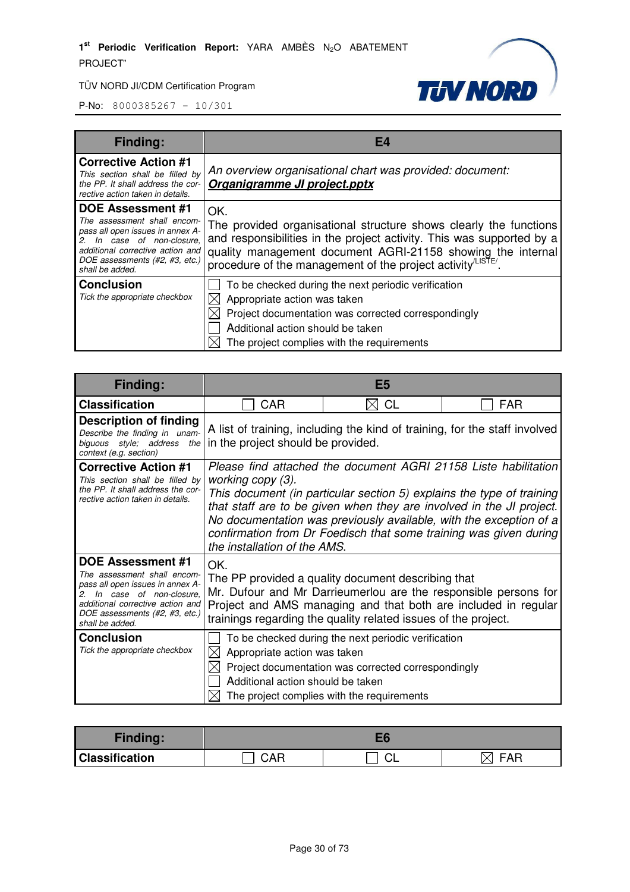

| <b>Finding:</b>                                                                                                                                                                                                    | F4                                                                                                                                                                                                                                                                                         |
|--------------------------------------------------------------------------------------------------------------------------------------------------------------------------------------------------------------------|--------------------------------------------------------------------------------------------------------------------------------------------------------------------------------------------------------------------------------------------------------------------------------------------|
| <b>Corrective Action #1</b><br>This section shall be filled by<br>the PP. It shall address the cor-<br>rective action taken in details.                                                                            | An overview organisational chart was provided: document:<br>Organigramme JI project.pptx                                                                                                                                                                                                   |
| <b>DOE Assessment #1</b><br>The assessment shall encom-<br>pass all open issues in annex A-<br>2. In case of non-closure,<br>additional corrective action and<br>DOE assessments (#2, #3, etc.)<br>shall be added. | OK.<br>The provided organisational structure shows clearly the functions<br>and responsibilities in the project activity. This was supported by a<br>quality management document AGRI-21158 showing the internal<br>procedure of the management of the project activity <sup>LISTE</sup> . |
| <b>Conclusion</b><br>Tick the appropriate checkbox                                                                                                                                                                 | To be checked during the next periodic verification<br>Appropriate action was taken<br>⊠<br>Project documentation was corrected correspondingly<br>Additional action should be taken<br>The project complies with the requirements                                                         |

| Finding:                                                                                                                                                                                                        | E <sub>5</sub>                                                                                                                                                                                                                                                                                                                                                                                                   |                                                                                                                                                          |     |
|-----------------------------------------------------------------------------------------------------------------------------------------------------------------------------------------------------------------|------------------------------------------------------------------------------------------------------------------------------------------------------------------------------------------------------------------------------------------------------------------------------------------------------------------------------------------------------------------------------------------------------------------|----------------------------------------------------------------------------------------------------------------------------------------------------------|-----|
| <b>Classification</b>                                                                                                                                                                                           | <b>CAR</b>                                                                                                                                                                                                                                                                                                                                                                                                       | <b>CL</b><br>۱X۱                                                                                                                                         | FAR |
| <b>Description of finding</b><br>Describe the finding in unam-<br>biguous style; address the<br>context (e.g. section)                                                                                          | A list of training, including the kind of training, for the staff involved<br>in the project should be provided.                                                                                                                                                                                                                                                                                                 |                                                                                                                                                          |     |
| <b>Corrective Action #1</b><br>This section shall be filled by<br>the PP. It shall address the cor-<br>rective action taken in details.                                                                         | Please find attached the document AGRI 21158 Liste habilitation<br>working copy (3).<br>This document (in particular section 5) explains the type of training<br>that staff are to be given when they are involved in the JI project.<br>No documentation was previously available, with the exception of a<br>confirmation from Dr Foedisch that some training was given during<br>the installation of the AMS. |                                                                                                                                                          |     |
| <b>DOE Assessment #1</b><br>The assessment shall encom-<br>pass all open issues in annex A-<br>In case of non-closure.<br>additional corrective action and<br>DOE assessments (#2, #3, etc.)<br>shall be added. | OK.<br>The PP provided a quality document describing that<br>Mr. Dufour and Mr Darrieumerlou are the responsible persons for<br>Project and AMS managing and that both are included in regular<br>trainings regarding the quality related issues of the project.                                                                                                                                                 |                                                                                                                                                          |     |
| <b>Conclusion</b><br>Tick the appropriate checkbox                                                                                                                                                              | Appropriate action was taken<br>IХI<br>Additional action should be taken                                                                                                                                                                                                                                                                                                                                         | To be checked during the next periodic verification<br>Project documentation was corrected correspondingly<br>The project complies with the requirements |     |

| <b>Finding:</b>       |     |         |            |
|-----------------------|-----|---------|------------|
| <b>Classification</b> | CAR | ⌒<br>◡∟ | <b>FAR</b> |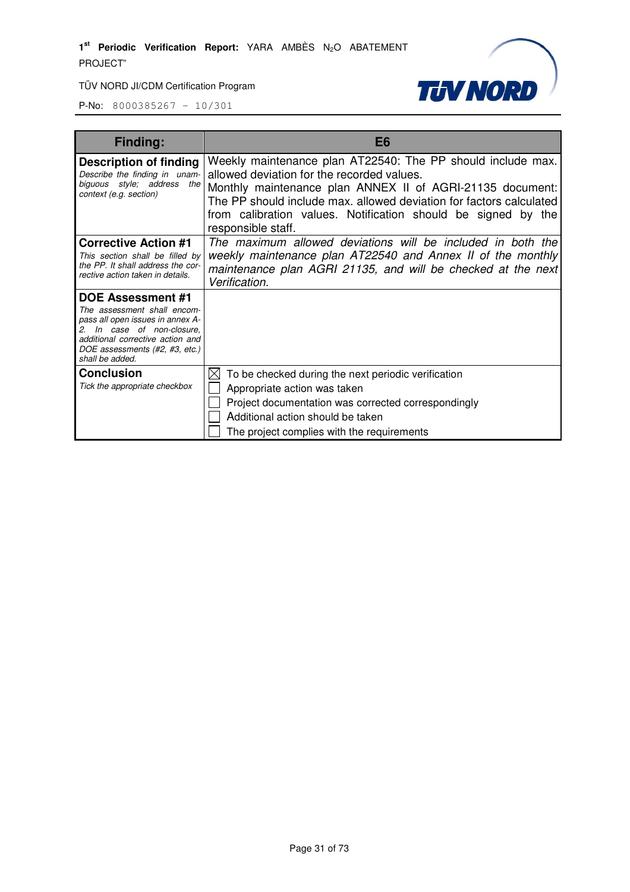

| <b>Finding:</b>                                                                                                                                                                                                    | E <sub>6</sub>                                                                                                                                                                                                                                                                                                                       |  |  |
|--------------------------------------------------------------------------------------------------------------------------------------------------------------------------------------------------------------------|--------------------------------------------------------------------------------------------------------------------------------------------------------------------------------------------------------------------------------------------------------------------------------------------------------------------------------------|--|--|
| Description of finding<br>Describe the finding in unam-<br>biguous style; address<br>the<br>context (e.g. section)                                                                                                 | Weekly maintenance plan AT22540: The PP should include max.<br>allowed deviation for the recorded values.<br>Monthly maintenance plan ANNEX II of AGRI-21135 document:<br>The PP should include max. allowed deviation for factors calculated<br>from calibration values. Notification should be signed by the<br>responsible staff. |  |  |
| <b>Corrective Action #1</b><br>This section shall be filled by<br>the PP. It shall address the cor-<br>rective action taken in details.                                                                            | The maximum allowed deviations will be included in both the<br>weekly maintenance plan AT22540 and Annex II of the monthly<br>maintenance plan AGRI 21135, and will be checked at the next<br>Verification.                                                                                                                          |  |  |
| <b>DOE Assessment #1</b><br>The assessment shall encom-<br>pass all open issues in annex A-<br>2. In case of non-closure.<br>additional corrective action and<br>DOE assessments (#2, #3, etc.)<br>shall be added. |                                                                                                                                                                                                                                                                                                                                      |  |  |
| <b>Conclusion</b><br>Tick the appropriate checkbox                                                                                                                                                                 | To be checked during the next periodic verification<br>Appropriate action was taken<br>Project documentation was corrected correspondingly<br>Additional action should be taken<br>The project complies with the requirements                                                                                                        |  |  |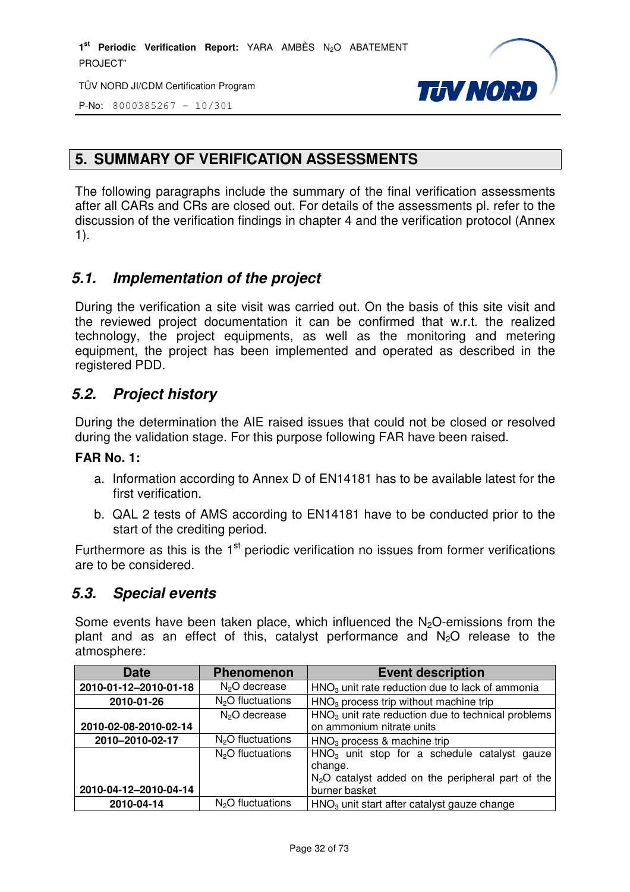TÜV NORD JI/CDM Certification Program



P-No: 8000385267 – 10/301

## **5. SUMMARY OF VERIFICATION ASSESSMENTS**

The following paragraphs include the summary of the final verification assessments after all CARs and CRs are closed out. For details of the assessments pl. refer to the discussion of the verification findings in chapter 4 and the verification protocol (Annex 1).

## **5.1. Implementation of the project**

During the verification a site visit was carried out. On the basis of this site visit and the reviewed project documentation it can be confirmed that w.r.t. the realized technology, the project equipments, as well as the monitoring and metering equipment, the project has been implemented and operated as described in the registered PDD.

#### **5.2. Project history**

During the determination the AIE raised issues that could not be closed or resolved during the validation stage. For this purpose following FAR have been raised.

#### **FAR No. 1:**

- a. Information according to Annex D of EN14181 has to be available latest for the first verification.
- b. QAL 2 tests of AMS according to EN14181 have to be conducted prior to the start of the crediting period.

Furthermore as this is the  $1<sup>st</sup>$  periodic verification no issues from former verifications are to be considered.

#### **5.3. Special events**

Some events have been taken place, which influenced the  $N<sub>2</sub>O$ -emissions from the plant and as an effect of this, catalyst performance and  $N_2O$  release to the atmosphere:

| <b>Date</b>           | <b>Phenomenon</b>         | <b>Event description</b>                                                                                        |
|-----------------------|---------------------------|-----------------------------------------------------------------------------------------------------------------|
| 2010-01-12-2010-01-18 | N <sub>2</sub> O decrease | $HNO3$ unit rate reduction due to lack of ammonia                                                               |
| 2010-01-26            | $N2O$ fluctuations        | HNO <sub>3</sub> process trip without machine trip                                                              |
|                       | N <sub>2</sub> O decrease | $HNO3$ unit rate reduction due to technical problems                                                            |
| 2010-02-08-2010-02-14 |                           | on ammonium nitrate units                                                                                       |
| 2010-2010-02-17       | $N2O$ fluctuations        | $HNO3$ process & machine trip                                                                                   |
|                       | $N2O$ fluctuations        | $HNO3$ unit stop for a schedule catalyst gauze<br>change.<br>$N2O$ catalyst added on the peripheral part of the |
| 2010-04-12-2010-04-14 |                           | burner basket                                                                                                   |
| 2010-04-14            | $N2O$ fluctuations        | HNO <sub>3</sub> unit start after catalyst gauze change                                                         |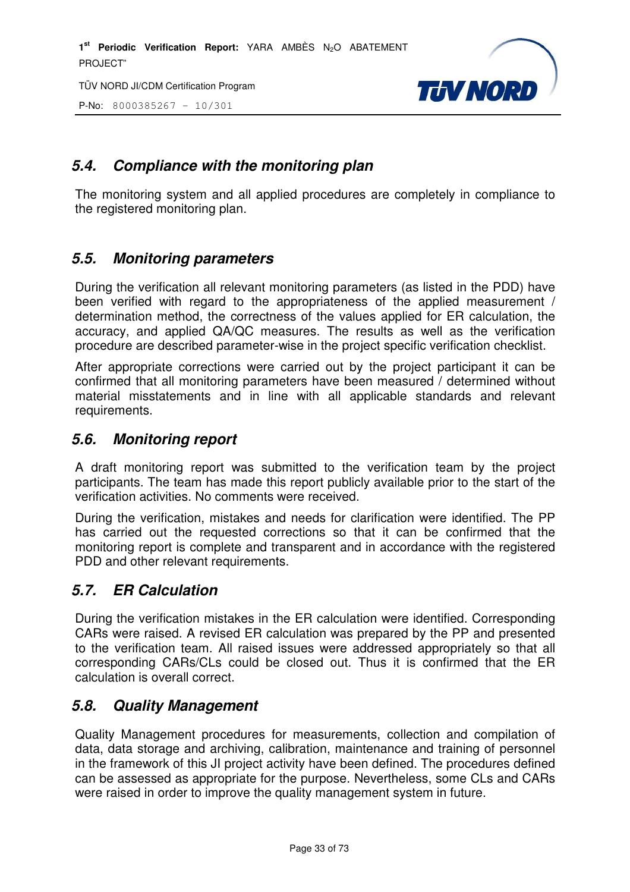TÜV NORD JI/CDM Certification Program

P-No: 8000385267 – 10/301



## **5.4. Compliance with the monitoring plan**

The monitoring system and all applied procedures are completely in compliance to the registered monitoring plan.

#### **5.5. Monitoring parameters**

During the verification all relevant monitoring parameters (as listed in the PDD) have been verified with regard to the appropriateness of the applied measurement / determination method, the correctness of the values applied for ER calculation, the accuracy, and applied QA/QC measures. The results as well as the verification procedure are described parameter-wise in the project specific verification checklist.

After appropriate corrections were carried out by the project participant it can be confirmed that all monitoring parameters have been measured / determined without material misstatements and in line with all applicable standards and relevant requirements.

#### **5.6. Monitoring report**

A draft monitoring report was submitted to the verification team by the project participants. The team has made this report publicly available prior to the start of the verification activities. No comments were received.

During the verification, mistakes and needs for clarification were identified. The PP has carried out the requested corrections so that it can be confirmed that the monitoring report is complete and transparent and in accordance with the registered PDD and other relevant requirements.

## **5.7. ER Calculation**

During the verification mistakes in the ER calculation were identified. Corresponding CARs were raised. A revised ER calculation was prepared by the PP and presented to the verification team. All raised issues were addressed appropriately so that all corresponding CARs/CLs could be closed out. Thus it is confirmed that the ER calculation is overall correct.

#### **5.8. Quality Management**

Quality Management procedures for measurements, collection and compilation of data, data storage and archiving, calibration, maintenance and training of personnel in the framework of this JI project activity have been defined. The procedures defined can be assessed as appropriate for the purpose. Nevertheless, some CLs and CARs were raised in order to improve the quality management system in future.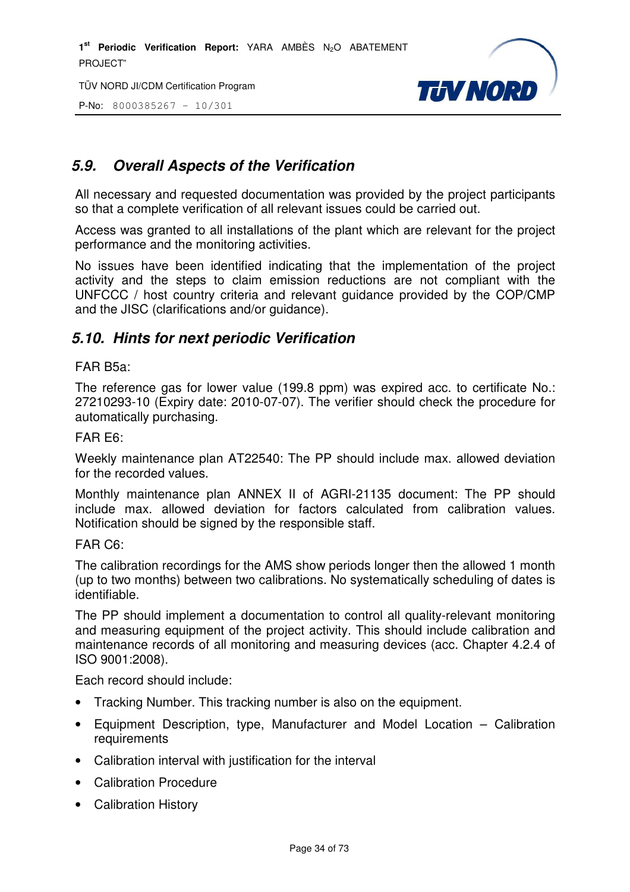TÜV NORD JI/CDM Certification Program

P-No: 8000385267 – 10/301



# **5.9. Overall Aspects of the Verification**

All necessary and requested documentation was provided by the project participants so that a complete verification of all relevant issues could be carried out.

Access was granted to all installations of the plant which are relevant for the project performance and the monitoring activities.

No issues have been identified indicating that the implementation of the project activity and the steps to claim emission reductions are not compliant with the UNFCCC / host country criteria and relevant guidance provided by the COP/CMP and the JISC (clarifications and/or guidance).

#### **5.10. Hints for next periodic Verification**

#### FAR B5a:

The reference gas for lower value (199.8 ppm) was expired acc. to certificate No.: 27210293-10 (Expiry date: 2010-07-07). The verifier should check the procedure for automatically purchasing.

#### FAR E6:

Weekly maintenance plan AT22540: The PP should include max. allowed deviation for the recorded values.

Monthly maintenance plan ANNEX II of AGRI-21135 document: The PP should include max. allowed deviation for factors calculated from calibration values. Notification should be signed by the responsible staff.

#### FAR C6:

The calibration recordings for the AMS show periods longer then the allowed 1 month (up to two months) between two calibrations. No systematically scheduling of dates is identifiable.

The PP should implement a documentation to control all quality-relevant monitoring and measuring equipment of the project activity. This should include calibration and maintenance records of all monitoring and measuring devices (acc. Chapter 4.2.4 of ISO 9001:2008).

Each record should include:

- Tracking Number. This tracking number is also on the equipment.
- Equipment Description, type, Manufacturer and Model Location Calibration requirements
- Calibration interval with justification for the interval
- Calibration Procedure
- Calibration History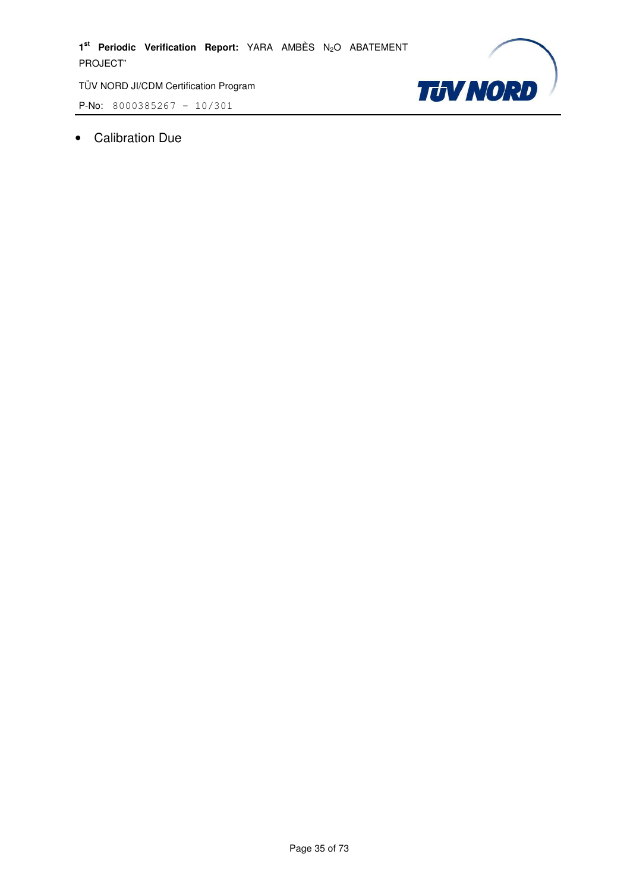P-No: 8000385267 – 10/301



• Calibration Due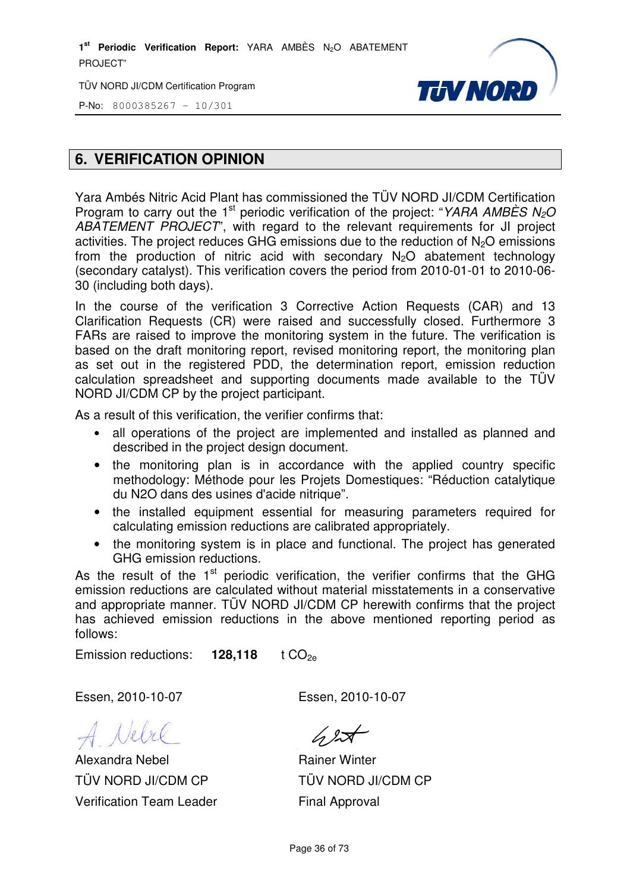TÜV NORD JI/CDM Certification Program



P-No: 8000385267 – 10/301

#### **6. VERIFICATION OPINION**

Yara Ambés Nitric Acid Plant has commissioned the TÜV NORD JI/CDM Certification Program to carry out the 1<sup>st</sup> periodic verification of the project: "YARA AMBÈS N<sub>2</sub>O ABATEMENT PROJECT", with regard to the relevant requirements for JI project activities. The project reduces GHG emissions due to the reduction of  $N<sub>2</sub>O$  emissions from the production of nitric acid with secondary  $N_2O$  abatement technology (secondary catalyst). This verification covers the period from 2010-01-01 to 2010-06- 30 (including both days).

In the course of the verification 3 Corrective Action Requests (CAR) and 13 Clarification Requests (CR) were raised and successfully closed. Furthermore 3 FARs are raised to improve the monitoring system in the future. The verification is based on the draft monitoring report, revised monitoring report, the monitoring plan as set out in the registered PDD, the determination report, emission reduction calculation spreadsheet and supporting documents made available to the TÜV NORD JI/CDM CP by the project participant.

As a result of this verification, the verifier confirms that:

- all operations of the project are implemented and installed as planned and described in the project design document.
- the monitoring plan is in accordance with the applied country specific methodology: Méthode pour les Projets Domestiques: "Réduction catalytique du N2O dans des usines d'acide nitrique".
- the installed equipment essential for measuring parameters required for calculating emission reductions are calibrated appropriately.
- the monitoring system is in place and functional. The project has generated GHG emission reductions.

As the result of the  $1<sup>st</sup>$  periodic verification, the verifier confirms that the GHG emission reductions are calculated without material misstatements in a conservative and appropriate manner. TÜV NORD JI/CDM CP herewith confirms that the project has achieved emission reductions in the above mentioned reporting period as follows:

Emission reductions: **128,118** t CO<sub>2e</sub>

Essen, 2010-10-07 Essen, 2010-10-07

Alexandra Nebel TÜV NORD JI/CDM CP Verification Team Leader

 $\sqrt{2}$ 

Rainer Winter TÜV NORD JI/CDM CP Final Approval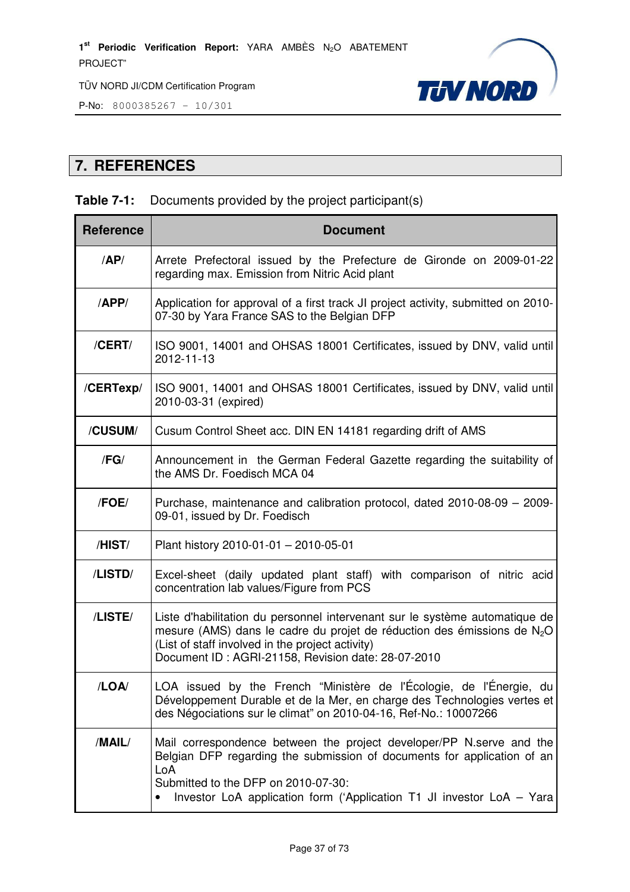



# **7. REFERENCES**

## **Table 7-1:** Documents provided by the project participant(s)

| <b>Reference</b> | <b>Document</b>                                                                                                                                                                                                                                                        |  |  |  |  |  |  |
|------------------|------------------------------------------------------------------------------------------------------------------------------------------------------------------------------------------------------------------------------------------------------------------------|--|--|--|--|--|--|
| AP/              | Arrete Prefectoral issued by the Prefecture de Gironde on 2009-01-22<br>regarding max. Emission from Nitric Acid plant                                                                                                                                                 |  |  |  |  |  |  |
| /APP/            | Application for approval of a first track JI project activity, submitted on 2010-<br>07-30 by Yara France SAS to the Belgian DFP                                                                                                                                       |  |  |  |  |  |  |
| /CERT/           | ISO 9001, 14001 and OHSAS 18001 Certificates, issued by DNV, valid until<br>2012-11-13                                                                                                                                                                                 |  |  |  |  |  |  |
| /CERTexp/        | ISO 9001, 14001 and OHSAS 18001 Certificates, issued by DNV, valid until<br>2010-03-31 (expired)                                                                                                                                                                       |  |  |  |  |  |  |
| /CUSUM/          | Cusum Control Sheet acc. DIN EN 14181 regarding drift of AMS                                                                                                                                                                                                           |  |  |  |  |  |  |
| /FG/             | Announcement in the German Federal Gazette regarding the suitability of<br>the AMS Dr. Foedisch MCA 04                                                                                                                                                                 |  |  |  |  |  |  |
| /FOE/            | Purchase, maintenance and calibration protocol, dated 2010-08-09 - 2009-<br>09-01, issued by Dr. Foedisch                                                                                                                                                              |  |  |  |  |  |  |
| /HIST/           | Plant history 2010-01-01 - 2010-05-01                                                                                                                                                                                                                                  |  |  |  |  |  |  |
| /LISTD/          | Excel-sheet (daily updated plant staff) with comparison of nitric acid<br>concentration lab values/Figure from PCS                                                                                                                                                     |  |  |  |  |  |  |
| /LISTE/          | Liste d'habilitation du personnel intervenant sur le système automatique de<br>mesure (AMS) dans le cadre du projet de réduction des émissions de $N_2O$<br>(List of staff involved in the project activity)<br>Document ID: AGRI-21158, Revision date: 28-07-2010     |  |  |  |  |  |  |
| /LOA/            | LOA issued by the French "Ministère de l'Écologie, de l'Énergie, du<br>Développement Durable et de la Mer, en charge des Technologies vertes et<br>des Négociations sur le climat" on 2010-04-16, Ref-No.: 10007266                                                    |  |  |  |  |  |  |
| /MAIL/           | Mail correspondence between the project developer/PP N.serve and the<br>Belgian DFP regarding the submission of documents for application of an<br>LoA<br>Submitted to the DFP on 2010-07-30:<br>Investor LoA application form ('Application T1 JI investor LoA - Yara |  |  |  |  |  |  |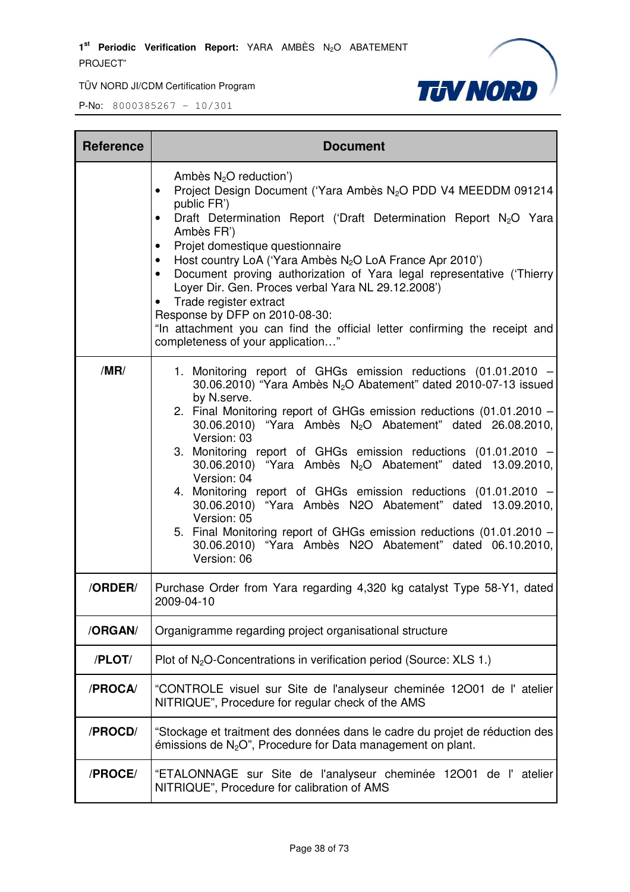1<sup>st</sup> Periodic Verification Report: YARA AMBÈS N<sub>2</sub>O ABATEMENT PROJECT"

TÜV NORD JI/CDM Certification Program



| <b>Reference</b> | <b>Document</b>                                                                                                                                                                                                                                                                                                                                                                                                                                                                                                                                                                                                                                                                                                                                                                    |  |  |  |  |  |
|------------------|------------------------------------------------------------------------------------------------------------------------------------------------------------------------------------------------------------------------------------------------------------------------------------------------------------------------------------------------------------------------------------------------------------------------------------------------------------------------------------------------------------------------------------------------------------------------------------------------------------------------------------------------------------------------------------------------------------------------------------------------------------------------------------|--|--|--|--|--|
|                  | Ambès $N_2O$ reduction')<br>Project Design Document ('Yara Ambès N <sub>2</sub> O PDD V4 MEEDDM 091214<br>$\bullet$<br>public FR')<br>Draft Determination Report ('Draft Determination Report N <sub>2</sub> O Yara<br>$\bullet$<br>Ambès FR')<br>Projet domestique questionnaire<br>$\bullet$<br>Host country LoA ('Yara Ambès N <sub>2</sub> O LoA France Apr 2010')<br>$\bullet$<br>Document proving authorization of Yara legal representative ('Thierry<br>$\bullet$<br>Loyer Dir. Gen. Proces verbal Yara NL 29.12.2008')<br>Trade register extract<br>Response by DFP on 2010-08-30:<br>"In attachment you can find the official letter confirming the receipt and<br>completeness of your application"                                                                     |  |  |  |  |  |
| /MR/             | 1. Monitoring report of GHGs emission reductions (01.01.2010<br>30.06.2010) "Yara Ambès N <sub>2</sub> O Abatement" dated 2010-07-13 issued<br>by N.serve.<br>2. Final Monitoring report of GHGs emission reductions (01.01.2010 -<br>30.06.2010) "Yara Ambès N <sub>2</sub> O Abatement" dated 26.08.2010,<br>Version: 03<br>3. Monitoring report of GHGs emission reductions (01.01.2010<br>30.06.2010) "Yara Ambès N <sub>2</sub> O Abatement" dated 13.09.2010,<br>Version: 04<br>4. Monitoring report of GHGs emission reductions (01.01.2010 -<br>30.06.2010) "Yara Ambès N2O Abatement" dated 13.09.2010,<br>Version: 05<br>5. Final Monitoring report of GHGs emission reductions (01.01.2010 -<br>30.06.2010) "Yara Ambès N2O Abatement" dated 06.10.2010,<br>Version: 06 |  |  |  |  |  |
| /ORDER/          | Purchase Order from Yara regarding 4,320 kg catalyst Type 58-Y1, dated<br>2009-04-10                                                                                                                                                                                                                                                                                                                                                                                                                                                                                                                                                                                                                                                                                               |  |  |  |  |  |
| /ORGAN/          | Organigramme regarding project organisational structure                                                                                                                                                                                                                                                                                                                                                                                                                                                                                                                                                                                                                                                                                                                            |  |  |  |  |  |
| /PLOT/           | Plot of $N_2O$ -Concentrations in verification period (Source: XLS 1.)                                                                                                                                                                                                                                                                                                                                                                                                                                                                                                                                                                                                                                                                                                             |  |  |  |  |  |
| /PROCA/          | "CONTROLE visuel sur Site de l'analyseur cheminée 12001 de l'atelier<br>NITRIQUE", Procedure for regular check of the AMS                                                                                                                                                                                                                                                                                                                                                                                                                                                                                                                                                                                                                                                          |  |  |  |  |  |
| /PROCD/          | "Stockage et traitment des données dans le cadre du projet de réduction des<br>émissions de $N_2O^{\prime\prime}$ , Procedure for Data management on plant.                                                                                                                                                                                                                                                                                                                                                                                                                                                                                                                                                                                                                        |  |  |  |  |  |
| /PROCE/          | "ETALONNAGE sur Site de l'analyseur cheminée 12001 de l'atelier<br>NITRIQUE", Procedure for calibration of AMS                                                                                                                                                                                                                                                                                                                                                                                                                                                                                                                                                                                                                                                                     |  |  |  |  |  |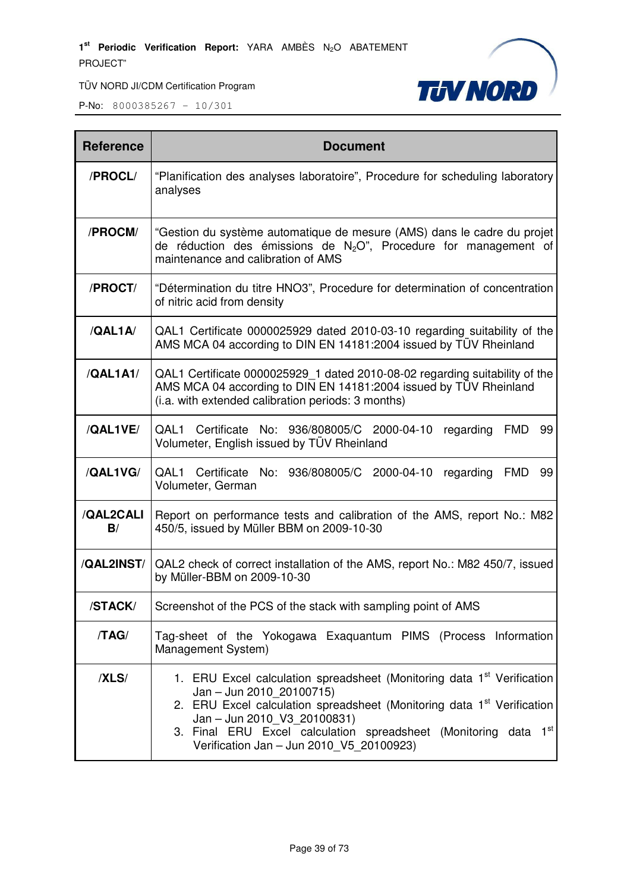

| <b>Reference</b> | <b>Document</b>                                                                                                                                                                                                                                                                                                                                    |  |  |  |  |  |
|------------------|----------------------------------------------------------------------------------------------------------------------------------------------------------------------------------------------------------------------------------------------------------------------------------------------------------------------------------------------------|--|--|--|--|--|
| /PROCL/          | "Planification des analyses laboratoire", Procedure for scheduling laboratory<br>analyses                                                                                                                                                                                                                                                          |  |  |  |  |  |
| /PROCM/          | "Gestion du système automatique de mesure (AMS) dans le cadre du projet<br>de réduction des émissions de $N_2O$ ", Procedure for management of<br>maintenance and calibration of AMS                                                                                                                                                               |  |  |  |  |  |
| /PROCT/          | "Détermination du titre HNO3", Procedure for determination of concentration<br>of nitric acid from density                                                                                                                                                                                                                                         |  |  |  |  |  |
| /QAL1A           | QAL1 Certificate 0000025929 dated 2010-03-10 regarding suitability of the<br>AMS MCA 04 according to DIN EN 14181:2004 issued by TÜV Rheinland                                                                                                                                                                                                     |  |  |  |  |  |
| /QAL1A1/         | QAL1 Certificate 0000025929_1 dated 2010-08-02 regarding suitability of the<br>AMS MCA 04 according to DIN EN 14181:2004 issued by TÜV Rheinland<br>(i.a. with extended calibration periods: 3 months)                                                                                                                                             |  |  |  |  |  |
| /QAL1VE/         | QAL1 Certificate No: 936/808005/C 2000-04-10<br>regarding FMD<br>99<br>Volumeter, English issued by TÜV Rheinland                                                                                                                                                                                                                                  |  |  |  |  |  |
| /QAL1VG/         | QAL1 Certificate No: 936/808005/C 2000-04-10<br>regarding<br><b>FMD</b><br>99<br>Volumeter, German                                                                                                                                                                                                                                                 |  |  |  |  |  |
| /QAL2CALI<br>B/  | Report on performance tests and calibration of the AMS, report No.: M82<br>450/5, issued by Müller BBM on 2009-10-30                                                                                                                                                                                                                               |  |  |  |  |  |
| /QAL2INST/       | QAL2 check of correct installation of the AMS, report No.: M82 450/7, issued<br>by Müller-BBM on 2009-10-30                                                                                                                                                                                                                                        |  |  |  |  |  |
| /STACK/          | Screenshot of the PCS of the stack with sampling point of AMS                                                                                                                                                                                                                                                                                      |  |  |  |  |  |
| /TAG/            | Tag-sheet of the Yokogawa Exaquantum PIMS (Process Information<br>Management System)                                                                                                                                                                                                                                                               |  |  |  |  |  |
| /XLS/            | 1. ERU Excel calculation spreadsheet (Monitoring data 1 <sup>st</sup> Verification<br>Jan - Jun 2010_20100715)<br>2. ERU Excel calculation spreadsheet (Monitoring data 1 <sup>st</sup> Verification<br>Jan - Jun 2010_V3_20100831)<br>3. Final ERU Excel calculation spreadsheet (Monitoring data 1st<br>Verification Jan - Jun 2010_V5_20100923) |  |  |  |  |  |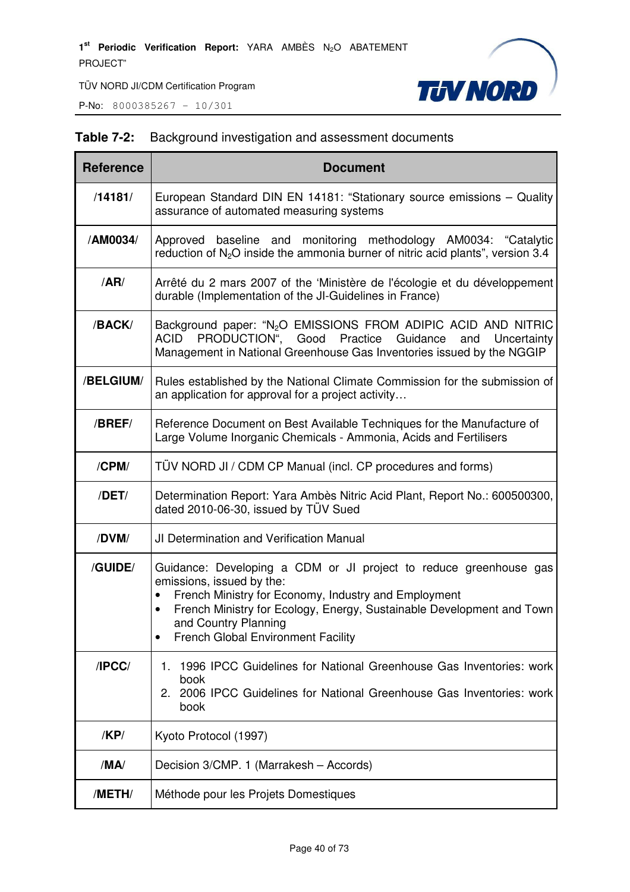**P-No:** 8000385267 - 10/301



# **Table 7-2:** Background investigation and assessment documents

| <b>Reference</b> | <b>Document</b>                                                                                                                                                                                                                                                                                                   |  |  |  |  |  |
|------------------|-------------------------------------------------------------------------------------------------------------------------------------------------------------------------------------------------------------------------------------------------------------------------------------------------------------------|--|--|--|--|--|
| /14181/          | European Standard DIN EN 14181: "Stationary source emissions - Quality<br>assurance of automated measuring systems                                                                                                                                                                                                |  |  |  |  |  |
| /AM0034/         | Approved baseline and monitoring methodology AM0034: "Catalytic<br>reduction of $N_2O$ inside the ammonia burner of nitric acid plants", version 3.4                                                                                                                                                              |  |  |  |  |  |
| /AR/             | Arrêté du 2 mars 2007 of the 'Ministère de l'écologie et du développement<br>durable (Implementation of the JI-Guidelines in France)                                                                                                                                                                              |  |  |  |  |  |
| /BACK/           | Background paper: "N <sub>2</sub> O EMISSIONS FROM ADIPIC ACID AND NITRIC<br>PRODUCTION", Good Practice<br>ACID<br>Guidance<br>and<br>Uncertainty<br>Management in National Greenhouse Gas Inventories issued by the NGGIP                                                                                        |  |  |  |  |  |
| /BELGIUM/        | Rules established by the National Climate Commission for the submission of<br>an application for approval for a project activity                                                                                                                                                                                  |  |  |  |  |  |
| /BREF/           | Reference Document on Best Available Techniques for the Manufacture of<br>Large Volume Inorganic Chemicals - Ammonia, Acids and Fertilisers                                                                                                                                                                       |  |  |  |  |  |
| /CPM/            | TÜV NORD JI / CDM CP Manual (incl. CP procedures and forms)                                                                                                                                                                                                                                                       |  |  |  |  |  |
| /DET/            | Determination Report: Yara Ambès Nitric Acid Plant, Report No.: 600500300,<br>dated 2010-06-30, issued by TÜV Sued                                                                                                                                                                                                |  |  |  |  |  |
| /DVM/            | JI Determination and Verification Manual                                                                                                                                                                                                                                                                          |  |  |  |  |  |
| /GUIDE/          | Guidance: Developing a CDM or JI project to reduce greenhouse gas<br>emissions, issued by the:<br>French Ministry for Economy, Industry and Employment<br>$\bullet$<br>French Ministry for Ecology, Energy, Sustainable Development and Town<br>and Country Planning<br><b>French Global Environment Facility</b> |  |  |  |  |  |
| /IPCC/           | 1996 IPCC Guidelines for National Greenhouse Gas Inventories: work<br>1.<br>book<br>2006 IPCC Guidelines for National Greenhouse Gas Inventories: work<br>2.<br>book                                                                                                                                              |  |  |  |  |  |
| /KP/             | Kyoto Protocol (1997)                                                                                                                                                                                                                                                                                             |  |  |  |  |  |
| /MA/             | Decision 3/CMP. 1 (Marrakesh - Accords)                                                                                                                                                                                                                                                                           |  |  |  |  |  |
| /METH/           | Méthode pour les Projets Domestiques                                                                                                                                                                                                                                                                              |  |  |  |  |  |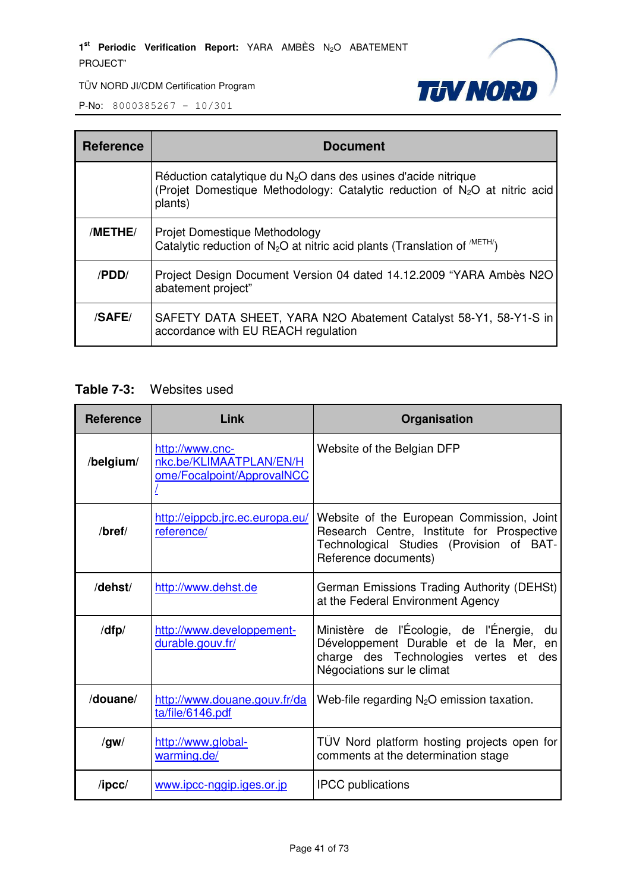1<sup>st</sup> Periodic Verification Report: YARA AMBÈS N<sub>2</sub>O ABATEMENT PROJECT"



TÜV NORD JI/CDM Certification Program

P-No: 8000385267 – 10/301

| <b>Reference</b> | <b>Document</b>                                                                                                                                                       |
|------------------|-----------------------------------------------------------------------------------------------------------------------------------------------------------------------|
|                  | Réduction catalytique du $N_2O$ dans des usines d'acide nitrique<br>(Projet Domestique Methodology: Catalytic reduction of N <sub>2</sub> O at nitric acid<br>plants) |
| /METHE/          | Projet Domestique Methodology<br>Catalytic reduction of $N_2O$ at nitric acid plants (Translation of $^{METH}$ )                                                      |
| /PDD/            | Project Design Document Version 04 dated 14.12.2009 "YARA Ambès N2O<br>abatement project"                                                                             |
| /SAFE/           | SAFETY DATA SHEET, YARA N2O Abatement Catalyst 58-Y1, 58-Y1-S in<br>accordance with EU REACH regulation                                                               |

### **Table 7-3:** Websites used

| <b>Reference</b> | Link                                                                     | Organisation                                                                                                                                                  |  |  |  |
|------------------|--------------------------------------------------------------------------|---------------------------------------------------------------------------------------------------------------------------------------------------------------|--|--|--|
| /belgium/        | http://www.cnc-<br>nkc.be/KLIMAATPLAN/EN/H<br>ome/Focalpoint/ApprovalNCC | Website of the Belgian DFP                                                                                                                                    |  |  |  |
| $/$ bref $/$     | http://eippcb.jrc.ec.europa.eu/<br>reference/                            | Website of the European Commission, Joint<br>Research Centre, Institute for Prospective<br>Technological Studies (Provision of BAT-<br>Reference documents)   |  |  |  |
| /dehst/          | http://www.dehst.de                                                      | German Emissions Trading Authority (DEHSt)<br>at the Federal Environment Agency                                                                               |  |  |  |
| /dfp/            | http://www.developpement-<br>durable.gouv.fr/                            | Ministère de l'Écologie, de l'Énergie, du<br>Développement Durable et de la Mer, en<br>charge des Technologies vertes et<br>des<br>Négociations sur le climat |  |  |  |
| /douane/         | http://www.douane.gouv.fr/da<br>ta/file/6146.pdf                         | Web-file regarding $N_2O$ emission taxation.                                                                                                                  |  |  |  |
| /gw/             | http://www.global-<br>warming.de/                                        | TÜV Nord platform hosting projects open for<br>comments at the determination stage                                                                            |  |  |  |
| $\sqrt{I}$       | www.ipcc-nggip.iges.or.jp                                                | <b>IPCC</b> publications                                                                                                                                      |  |  |  |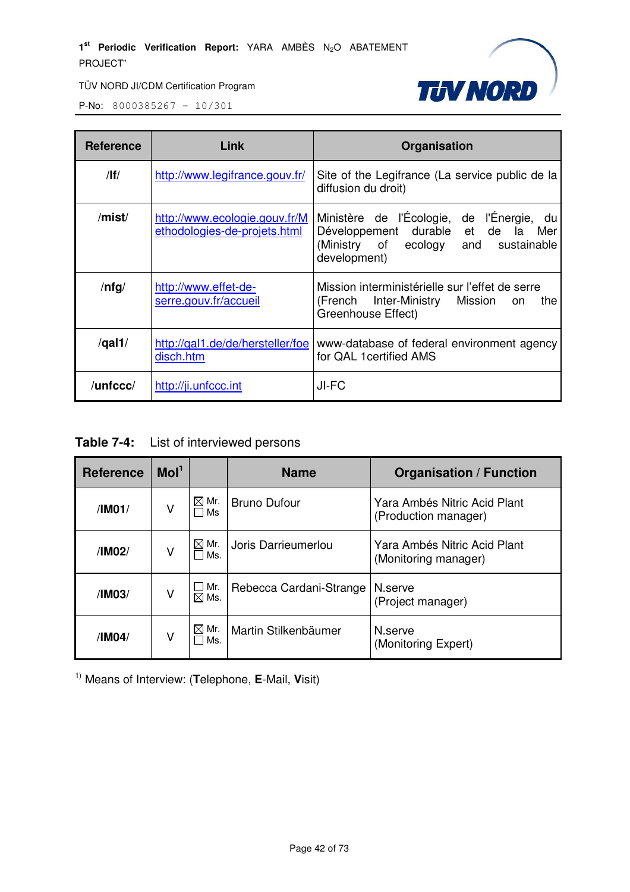

P-No: 8000385267 – 10/301

| <b>Reference</b> | Link                                                          | Organisation                                                                                                                               |  |  |
|------------------|---------------------------------------------------------------|--------------------------------------------------------------------------------------------------------------------------------------------|--|--|
| $/$ lf $/$       | http://www.legifrance.gouv.fr/                                | Site of the Legifrance (La service public de la<br>diffusion du droit)                                                                     |  |  |
| /mist/           | http://www.ecologie.gouv.fr/M<br>ethodologies-de-projets.html | Ministère de l'Écologie, de l'Énergie, du<br>Développement durable et de la<br>Mer<br>(Ministry of ecology and sustainable<br>development) |  |  |
| $/$ nfg $/$      | http://www.effet-de-<br>serre.gouv.fr/accueil                 | Mission interministérielle sur l'effet de serre<br>(French Inter-Ministry Mission<br>the<br>on<br>Greenhouse Effect)                       |  |  |
| /gal1/           | http://gal1.de/de/hersteller/foe<br>disch.htm                 | www-database of federal environment agency<br>for QAL 1 certified AMS                                                                      |  |  |
| /unfccc/         | http://ji.unfccc.int                                          | JI-FC                                                                                                                                      |  |  |

**Table 7-4:** List of interviewed persons

| Mol <sup>1</sup><br><b>Reference</b>  |   |                        | <b>Name</b>                 | <b>Organisation / Function</b>                       |
|---------------------------------------|---|------------------------|-----------------------------|------------------------------------------------------|
| Mr.<br>$\bowtie$<br>٧<br>/IM01/<br>Ms |   |                        | <b>Bruno Dufour</b>         | Yara Ambés Nitric Acid Plant<br>(Production manager) |
| Mr.<br>⊠<br>V<br>/IM02/<br>Ms.        |   |                        | Joris Darrieumerlou         | Yara Ambés Nitric Acid Plant<br>(Monitoring manager) |
| ٧<br>/IM03/                           |   | Mr.<br>$\boxtimes$ Ms. | Rebecca Cardani-Strange     | N.serve<br>(Project manager)                         |
| /IM04/                                | ٧ | Mr.<br>⊠<br>Ms.        | <b>Martin Stilkenbäumer</b> | N.serve<br>(Monitoring Expert)                       |

1) Means of Interview: (**T**elephone, **E**-Mail, **V**isit)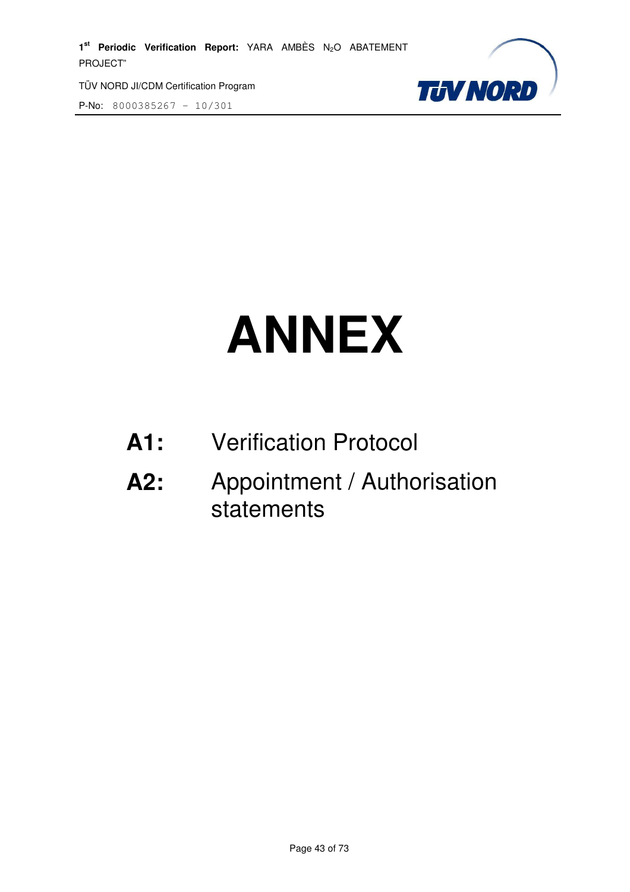1<sup>st</sup> Periodic Verification Report: YARA AMBÈS N<sub>2</sub>O ABATEMENT PROJECT"

TÜV NORD JI/CDM Certification Program

P-No: 8000385267 – 10/301



# **ANNEX**

- **A1:** Verification Protocol
- **A2:** Appointment / Authorisation statements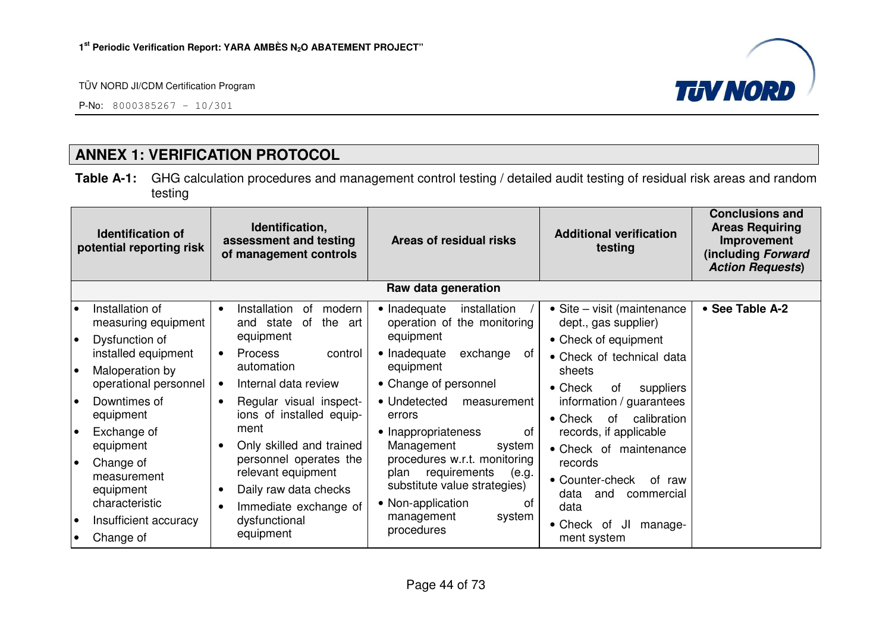P-No: 8000385267 – 10/301



# **ANNEX 1: VERIFICATION PROTOCOL**

**Table A-1:** GHG calculation procedures and management control testing / detailed audit testing of residual risk areas and random testing

| Identification,<br><b>Identification of</b><br>assessment and testing<br>potential reporting risk<br>of management controls |                                                                                   | Areas of residual risks                                                                 | <b>Additional verification</b><br>testing                                                | <b>Conclusions and</b><br><b>Areas Requiring</b><br>Improvement<br>(including Forward<br><b>Action Requests)</b> |                 |
|-----------------------------------------------------------------------------------------------------------------------------|-----------------------------------------------------------------------------------|-----------------------------------------------------------------------------------------|------------------------------------------------------------------------------------------|------------------------------------------------------------------------------------------------------------------|-----------------|
|                                                                                                                             |                                                                                   |                                                                                         | Raw data generation                                                                      |                                                                                                                  |                 |
| $\bullet$                                                                                                                   | Installation of<br>measuring equipment                                            | Installation<br>modern<br>0f<br>$\bullet$<br>the<br>of<br>and state<br>art<br>equipment | • Inadequate<br>installation<br>operation of the monitoring<br>equipment                 | • Site – visit (maintenance<br>dept., gas supplier)                                                              | • See Table A-2 |
| I۰<br>I۰                                                                                                                    | Dysfunction of<br>installed equipment<br>Maloperation by<br>operational personnel | <b>Process</b><br>control<br>$\bullet$<br>automation<br>Internal data review            | • Inadequate<br>exchange<br>0f<br>equipment<br>• Change of personnel                     | • Check of equipment<br>• Check of technical data<br>sheets                                                      |                 |
| l e                                                                                                                         | Downtimes of<br>equipment                                                         | Regular visual inspect-<br>$\bullet$<br>ions of installed equip-                        | • Undetected<br>measurement<br>errors                                                    | $\bullet$ Check<br>of<br>suppliers<br>information / guarantees<br>$\bullet$ Check<br>calibration<br>of           |                 |
| l e                                                                                                                         | Exchange of<br>equipment                                                          | ment<br>Only skilled and trained<br>personnel operates the                              | • Inappropriateness<br>οf<br>Management<br>system<br>procedures w.r.t. monitoring        | records, if applicable<br>• Check of maintenance                                                                 |                 |
| le                                                                                                                          | Change of<br>measurement<br>equipment<br>characteristic                           | relevant equipment<br>Daily raw data checks<br>$\bullet$<br>Immediate exchange of       | requirements<br>plan<br>(e.g.<br>substitute value strategies)<br>• Non-application<br>Ωt | records<br>• Counter-check<br>of raw<br>data<br>and<br>commercial<br>data                                        |                 |
| $\bullet$<br>$\bullet$                                                                                                      | Insufficient accuracy<br>Change of                                                | dysfunctional<br>equipment                                                              | management<br>system<br>procedures                                                       | • Check of<br>JI<br>manage-<br>ment system                                                                       |                 |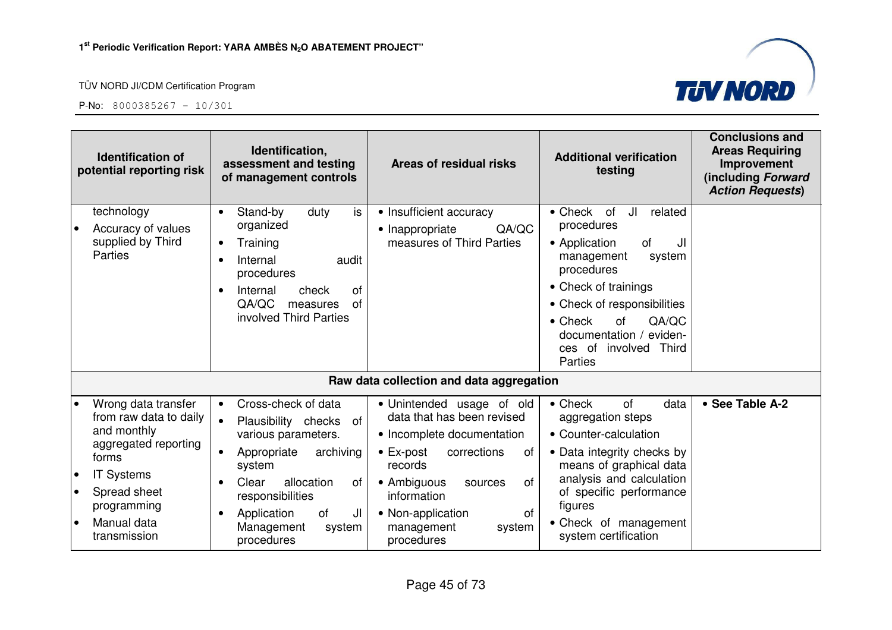

**TUV NORD** 

|                                                  | Identification,<br><b>Identification of</b><br>assessment and testing<br>potential reporting risk<br>of management controls                                                      |                                                                                                                                                                                                                                                               | Areas of residual risks                                                                                                                                                                                                                                    | <b>Additional verification</b><br>testing                                                                                                                                                                                                                                             | <b>Conclusions and</b><br><b>Areas Requiring</b><br>Improvement<br>(including Forward<br><b>Action Requests)</b> |
|--------------------------------------------------|----------------------------------------------------------------------------------------------------------------------------------------------------------------------------------|---------------------------------------------------------------------------------------------------------------------------------------------------------------------------------------------------------------------------------------------------------------|------------------------------------------------------------------------------------------------------------------------------------------------------------------------------------------------------------------------------------------------------------|---------------------------------------------------------------------------------------------------------------------------------------------------------------------------------------------------------------------------------------------------------------------------------------|------------------------------------------------------------------------------------------------------------------|
|                                                  | technology<br>Accuracy of values<br>supplied by Third<br><b>Parties</b>                                                                                                          | is<br>Stand-by<br>duty<br>$\bullet$<br>organized<br>Training<br>Internal<br>audit<br>procedures<br>Internal<br><b>of</b><br>check<br>$\bullet$<br>QA/QC<br>of<br>measures<br>involved Third Parties                                                           | • Insufficient accuracy<br>QA/QC<br>• Inappropriate<br>measures of Third Parties                                                                                                                                                                           | JI<br>$\bullet$ Check<br>of<br>related<br>procedures<br>of<br>JI<br>• Application<br>management<br>system<br>procedures<br>• Check of trainings<br>• Check of responsibilities<br>QA/QC<br>$\bullet$ Check<br>of<br>documentation /<br>eviden-<br>ces of involved<br>Third<br>Parties |                                                                                                                  |
|                                                  |                                                                                                                                                                                  |                                                                                                                                                                                                                                                               | Raw data collection and data aggregation                                                                                                                                                                                                                   |                                                                                                                                                                                                                                                                                       |                                                                                                                  |
| $\bullet$<br>$\bullet$<br>$\bullet$<br>$\bullet$ | Wrong data transfer<br>from raw data to daily<br>and monthly<br>aggregated reporting<br>forms<br><b>IT Systems</b><br>Spread sheet<br>programming<br>Manual data<br>transmission | Cross-check of data<br>$\bullet$<br>$\bullet$<br>Plausibility checks of<br>various parameters.<br>archiving<br>Appropriate<br>system<br>allocation<br>Clear<br>0f<br>responsibilities<br><b>of</b><br>JI<br>Application<br>Management<br>system<br>procedures | • Unintended usage of old<br>data that has been revised<br>• Incomplete documentation<br>$\bullet$ Ex-post<br>corrections<br>of<br>records<br>of<br>• Ambiguous<br>sources<br>information<br>of<br>• Non-application<br>management<br>system<br>procedures | of<br>$\bullet$ Check<br>data<br>aggregation steps<br>• Counter-calculation<br>• Data integrity checks by<br>means of graphical data<br>analysis and calculation<br>of specific performance<br>figures<br>• Check of management<br>system certification                               | • See Table A-2                                                                                                  |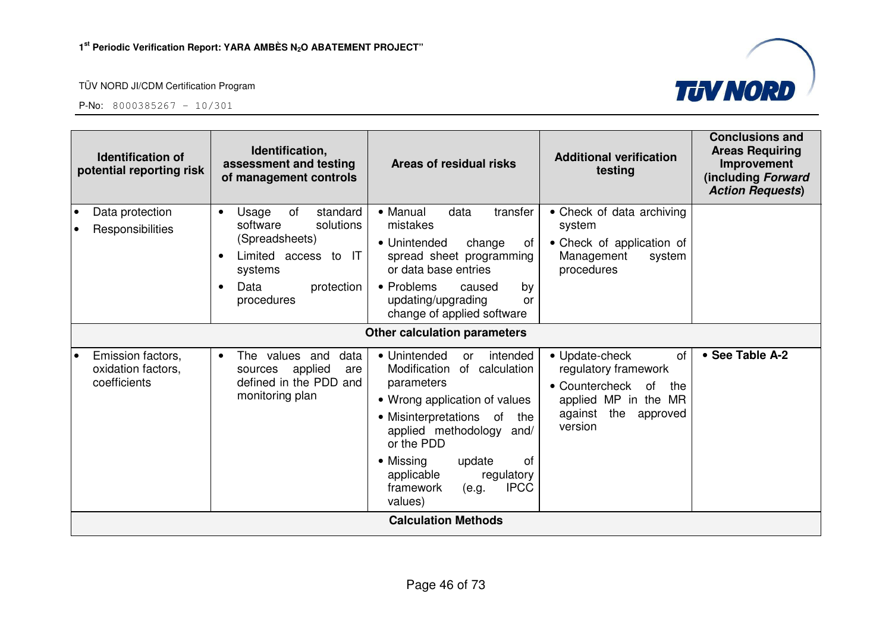



| Identification,<br><b>Identification of</b><br>assessment and testing<br>potential reporting risk<br>of management controls |                                                                                                                                                                     | Areas of residual risks                                                                                                                                                                                                                                                                              | <b>Additional verification</b><br>testing                                                                                                 | <b>Conclusions and</b><br><b>Areas Requiring</b><br>Improvement<br>(including Forward<br><b>Action Requests)</b> |  |  |  |  |
|-----------------------------------------------------------------------------------------------------------------------------|---------------------------------------------------------------------------------------------------------------------------------------------------------------------|------------------------------------------------------------------------------------------------------------------------------------------------------------------------------------------------------------------------------------------------------------------------------------------------------|-------------------------------------------------------------------------------------------------------------------------------------------|------------------------------------------------------------------------------------------------------------------|--|--|--|--|
| Data protection<br>Responsibilities                                                                                         | of<br>standard<br>Usage<br>$\bullet$<br>software<br>solutions<br>(Spreadsheets)<br>Limited access to IT<br>systems<br>Data<br>protection<br>$\bullet$<br>procedures | • Manual<br>data<br>transfer<br>mistakes<br>• Unintended<br>change<br>of<br>spread sheet programming<br>or data base entries<br>• Problems<br>caused<br>by<br>updating/upgrading<br>or<br>change of applied software                                                                                 | • Check of data archiving<br>system<br>• Check of application of<br>Management<br>system<br>procedures                                    |                                                                                                                  |  |  |  |  |
|                                                                                                                             |                                                                                                                                                                     | <b>Other calculation parameters</b>                                                                                                                                                                                                                                                                  |                                                                                                                                           |                                                                                                                  |  |  |  |  |
| Emission factors,<br>oxidation factors,<br>coefficients                                                                     | The values and<br>data<br>$\bullet$<br>applied<br>sources<br>are<br>defined in the PDD and<br>monitoring plan                                                       | • Unintended<br>intended<br>or<br>Modification<br>of calculation<br>parameters<br>• Wrong application of values<br>• Misinterpretations of<br>the<br>applied methodology and/<br>or the PDD<br>• Missing<br>of<br>update<br>applicable<br>regulatory<br><b>IPCC</b><br>framework<br>(e.g.<br>values) | • Update-check<br>of<br>regulatory framework<br>• Countercheck of<br>the<br>applied MP in the MR<br>the<br>against<br>approved<br>version | • See Table A-2                                                                                                  |  |  |  |  |
|                                                                                                                             | <b>Calculation Methods</b>                                                                                                                                          |                                                                                                                                                                                                                                                                                                      |                                                                                                                                           |                                                                                                                  |  |  |  |  |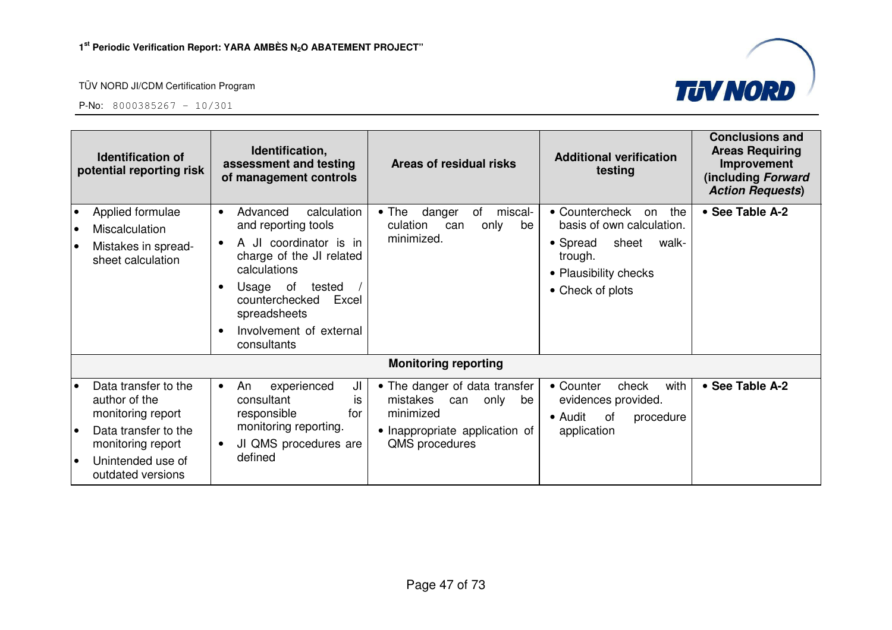

| Identification,<br><b>Identification of</b><br>assessment and testing<br>potential reporting risk<br>of management controls |                                                                                                                                                   | Areas of residual risks                                                                                                                                                                                                                      | <b>Additional verification</b><br>testing               | <b>Conclusions and</b><br><b>Areas Requiring</b><br>Improvement<br>(including Forward<br><b>Action Requests)</b>             |                                                                                                                                                |                 |
|-----------------------------------------------------------------------------------------------------------------------------|---------------------------------------------------------------------------------------------------------------------------------------------------|----------------------------------------------------------------------------------------------------------------------------------------------------------------------------------------------------------------------------------------------|---------------------------------------------------------|------------------------------------------------------------------------------------------------------------------------------|------------------------------------------------------------------------------------------------------------------------------------------------|-----------------|
| $\bullet$<br>$\bullet$                                                                                                      | Applied formulae<br>Miscalculation<br>Mistakes in spread-<br>sheet calculation                                                                    | calculation<br>Advanced<br>$\bullet$<br>and reporting tools<br>A JI coordinator is in<br>charge of the JI related<br>calculations<br>Usage of<br>tested<br>counterchecked<br>Excel<br>spreadsheets<br>Involvement of external<br>consultants |                                                         | miscal-<br>$\bullet$ The<br>danger<br>of<br>culation<br>only<br>be<br>can<br>minimized.                                      | • Countercheck<br>the<br>on<br>basis of own calculation.<br>• Spread<br>sheet<br>walk-<br>trough.<br>• Plausibility checks<br>• Check of plots | • See Table A-2 |
|                                                                                                                             |                                                                                                                                                   |                                                                                                                                                                                                                                              |                                                         | <b>Monitoring reporting</b>                                                                                                  |                                                                                                                                                |                 |
| $\bullet$<br>і е<br>$\bullet$                                                                                               | Data transfer to the<br>author of the<br>monitoring report<br>Data transfer to the<br>monitoring report<br>Unintended use of<br>outdated versions | An<br>consultant<br>responsible<br>monitoring reporting.<br>defined                                                                                                                                                                          | experienced<br>JI<br>İS<br>for<br>JI QMS procedures are | • The danger of data transfer<br>mistakes can<br>only<br>be<br>minimized<br>• Inappropriate application of<br>QMS procedures | with<br>• Counter<br>check<br>evidences provided.<br>• Audit<br>0f<br>procedure<br>application                                                 | • See Table A-2 |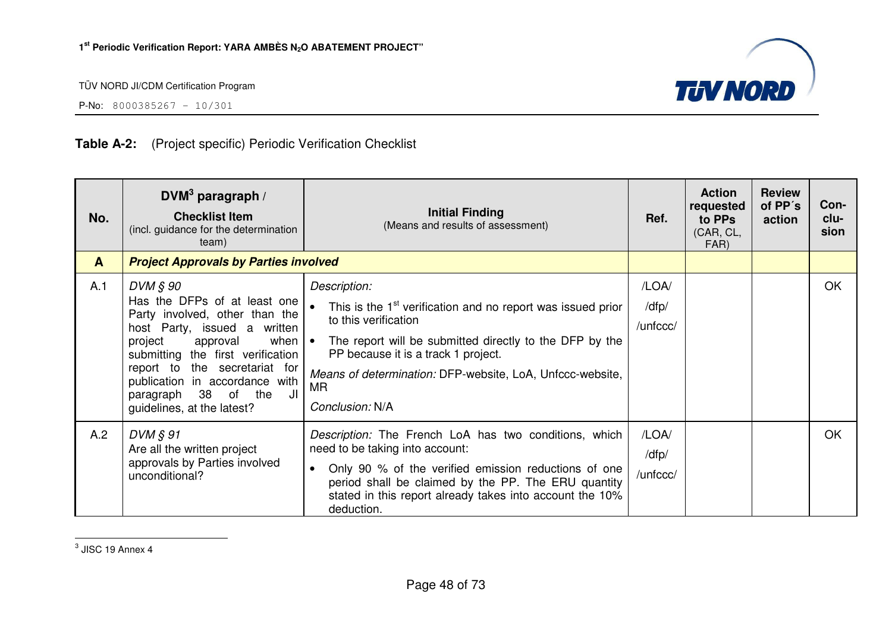

P-No: 8000385267 – 10/301

# **Table A-2:** (Project specific) Periodic Verification Checklist

| No.          | DVM $3$ paragraph /<br><b>Checklist Item</b><br>(incl. guidance for the determination<br>team)                                                                                                                                                                                                       | <b>Initial Finding</b><br>(Means and results of assessment)                                                                                                                                                                                                                                                            | Ref.                       | <b>Action</b><br>requested<br>to PPs<br>(CAR, CL,<br>FAR) | <b>Review</b><br>of PP's<br>action | Con-<br>clu-<br>sion |
|--------------|------------------------------------------------------------------------------------------------------------------------------------------------------------------------------------------------------------------------------------------------------------------------------------------------------|------------------------------------------------------------------------------------------------------------------------------------------------------------------------------------------------------------------------------------------------------------------------------------------------------------------------|----------------------------|-----------------------------------------------------------|------------------------------------|----------------------|
| $\mathbf{A}$ | <b>Project Approvals by Parties involved</b>                                                                                                                                                                                                                                                         |                                                                                                                                                                                                                                                                                                                        |                            |                                                           |                                    |                      |
| A.1          | DVM § 90<br>Has the DFPs of at least one<br>Party involved, other than the<br>host Party, issued a written<br>project<br>approval<br>submitting the first verification<br>report to the secretariat for<br>publication in accordance with<br>paragraph 38 of the<br>JI<br>guidelines, at the latest? | Description:<br>This is the 1 <sup>st</sup> verification and no report was issued prior<br>to this verification<br>when $\bullet$ The report will be submitted directly to the DFP by the<br>PP because it is a track 1 project.<br>Means of determination: DFP-website, LoA, Unfccc-website,<br>MR<br>Conclusion: N/A | /LOA/<br>/dfp/<br>/unfccc/ |                                                           |                                    | OK                   |
| A.2          | DVM § 91<br>Are all the written project<br>approvals by Parties involved<br>unconditional?                                                                                                                                                                                                           | Description: The French LoA has two conditions, which<br>need to be taking into account:<br>Only 90 % of the verified emission reductions of one<br>$\bullet$<br>period shall be claimed by the PP. The ERU quantity<br>stated in this report already takes into account the 10%<br>deduction.                         | /LOA/<br>/dfp/<br>/unfccc/ |                                                           |                                    | OK                   |

 $3$  JISC 19 Annex 4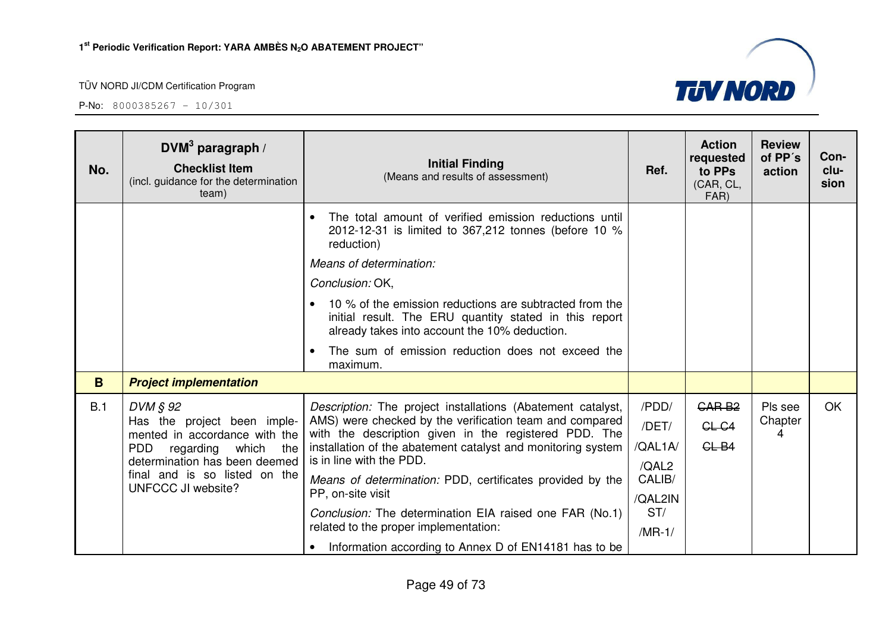

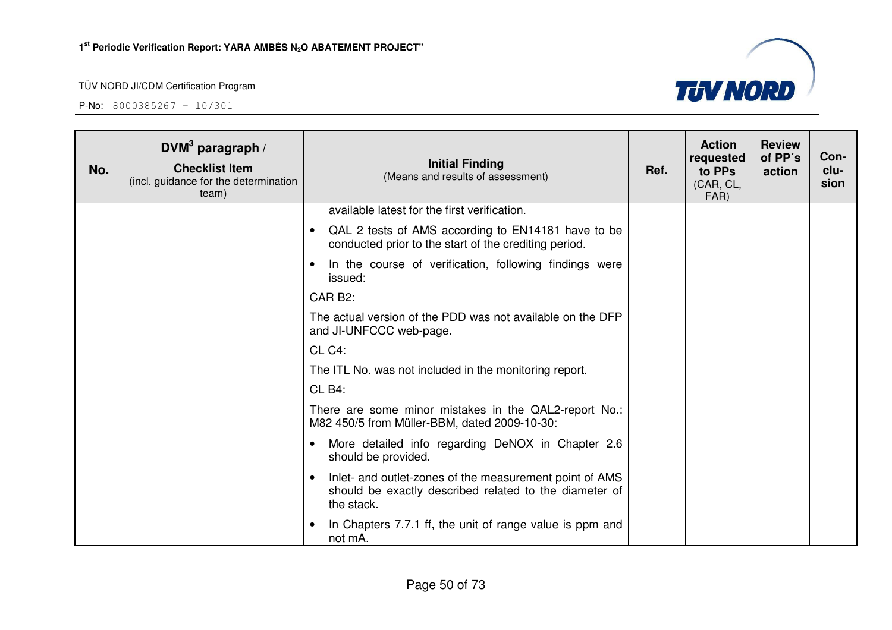

| No. | DVM <sup>3</sup> paragraph /<br><b>Checklist Item</b><br>(incl. guidance for the determination<br>team) | <b>Initial Finding</b><br>(Means and results of assessment)                                                                                  | Ref. | <b>Action</b><br>requested<br>to PPs<br>(CAR, CL,<br>FAR) | <b>Review</b><br>of PP's<br>action | Con-<br>clu-<br>sion |
|-----|---------------------------------------------------------------------------------------------------------|----------------------------------------------------------------------------------------------------------------------------------------------|------|-----------------------------------------------------------|------------------------------------|----------------------|
|     |                                                                                                         | available latest for the first verification.                                                                                                 |      |                                                           |                                    |                      |
|     |                                                                                                         | QAL 2 tests of AMS according to EN14181 have to be<br>$\bullet$<br>conducted prior to the start of the crediting period.                     |      |                                                           |                                    |                      |
|     |                                                                                                         | In the course of verification, following findings were<br>issued:                                                                            |      |                                                           |                                    |                      |
|     |                                                                                                         | CAR B <sub>2</sub> :                                                                                                                         |      |                                                           |                                    |                      |
|     |                                                                                                         | The actual version of the PDD was not available on the DFP<br>and JI-UNFCCC web-page.                                                        |      |                                                           |                                    |                      |
|     |                                                                                                         | CL C4:                                                                                                                                       |      |                                                           |                                    |                      |
|     |                                                                                                         | The ITL No. was not included in the monitoring report.                                                                                       |      |                                                           |                                    |                      |
|     |                                                                                                         | CL B4:                                                                                                                                       |      |                                                           |                                    |                      |
|     |                                                                                                         | There are some minor mistakes in the QAL2-report No.:<br>M82 450/5 from Müller-BBM, dated 2009-10-30:                                        |      |                                                           |                                    |                      |
|     |                                                                                                         | More detailed info regarding DeNOX in Chapter 2.6<br>$\bullet$<br>should be provided.                                                        |      |                                                           |                                    |                      |
|     |                                                                                                         | Inlet- and outlet-zones of the measurement point of AMS<br>$\bullet$<br>should be exactly described related to the diameter of<br>the stack. |      |                                                           |                                    |                      |
|     |                                                                                                         | In Chapters 7.7.1 ff, the unit of range value is ppm and<br>not mA.                                                                          |      |                                                           |                                    |                      |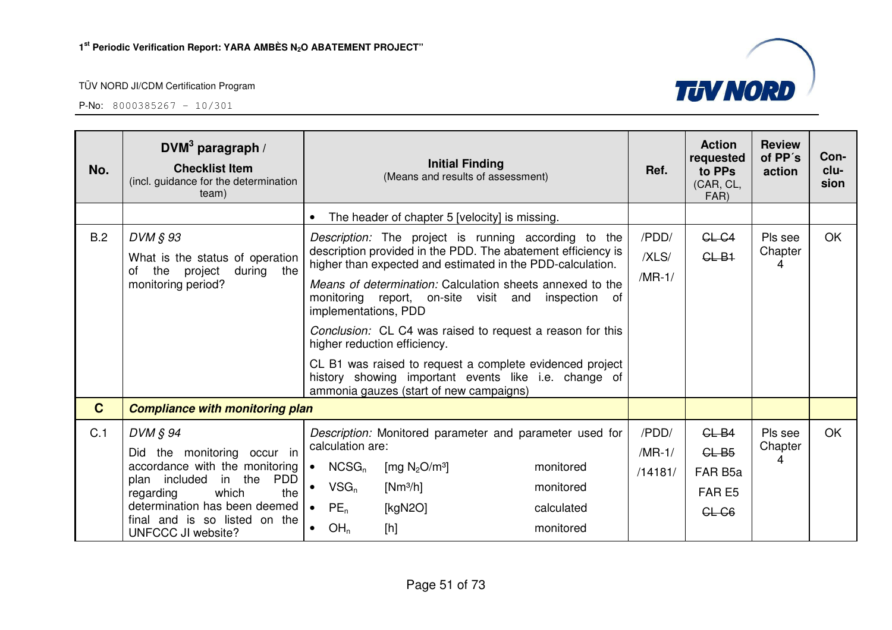|              | team)                                                                                                                                                                                                                                       |                                                                                                                                                                                                                                                                                                                                                                                                                                                                                                                                                                                           | Ref.<br>(Means and results of assessment)                                         | to PPs<br>(CAR, CL,<br>FAR)                        | action                  | clu-<br>sion |
|--------------|---------------------------------------------------------------------------------------------------------------------------------------------------------------------------------------------------------------------------------------------|-------------------------------------------------------------------------------------------------------------------------------------------------------------------------------------------------------------------------------------------------------------------------------------------------------------------------------------------------------------------------------------------------------------------------------------------------------------------------------------------------------------------------------------------------------------------------------------------|-----------------------------------------------------------------------------------|----------------------------------------------------|-------------------------|--------------|
|              |                                                                                                                                                                                                                                             | The header of chapter 5 [velocity] is missing.                                                                                                                                                                                                                                                                                                                                                                                                                                                                                                                                            |                                                                                   |                                                    |                         |              |
| B.2          | DVM § 93<br>What is the status of operation<br>of the<br>project<br>during<br>the<br>monitoring period?                                                                                                                                     | Description: The project is running according to the<br>description provided in the PDD. The abatement efficiency is<br>higher than expected and estimated in the PDD-calculation.<br>Means of determination: Calculation sheets annexed to the<br>monitoring report, on-site visit and inspection of<br>implementations, PDD<br>Conclusion: CL C4 was raised to request a reason for this<br>higher reduction efficiency.<br>CL B1 was raised to request a complete evidenced project<br>history showing important events like i.e. change of<br>ammonia gauzes (start of new campaigns) | /PDD/<br>/XLS/<br>$/MR-1/$                                                        | $GL-G4$<br>$GL-B1$                                 | Pls see<br>Chapter<br>4 | <b>OK</b>    |
| $\mathbf{C}$ | <b>Compliance with monitoring plan</b>                                                                                                                                                                                                      |                                                                                                                                                                                                                                                                                                                                                                                                                                                                                                                                                                                           |                                                                                   |                                                    |                         |              |
| C.1          | DVM § 94<br>Did the monitoring occur in<br>accordance with the monitoring<br>plan included in the<br><b>PDD</b><br>which<br>the<br>regarding<br>determination has been deemed<br>final and is so listed on the<br><b>UNFCCC JI website?</b> | Description: Monitored parameter and parameter used for<br>calculation are:<br>$\bullet$ NCSG <sub>n</sub><br>[mg $N_2O/m^3$ ]<br>$VSG_n$<br>$[Nm^3/h]$<br>$PE_n$<br>[ $kgN2O$ ]<br>$\bullet$<br>OH <sub>n</sub><br>[h]                                                                                                                                                                                                                                                                                                                                                                   | /PDD/<br>$/MR-1/$<br>monitored<br>/14181/<br>monitored<br>calculated<br>monitored | $GL-B4$<br>$GL-B5$<br>FAR B5a<br>FAR E5<br>$CL-G6$ | Pls see<br>Chapter<br>4 | OK           |

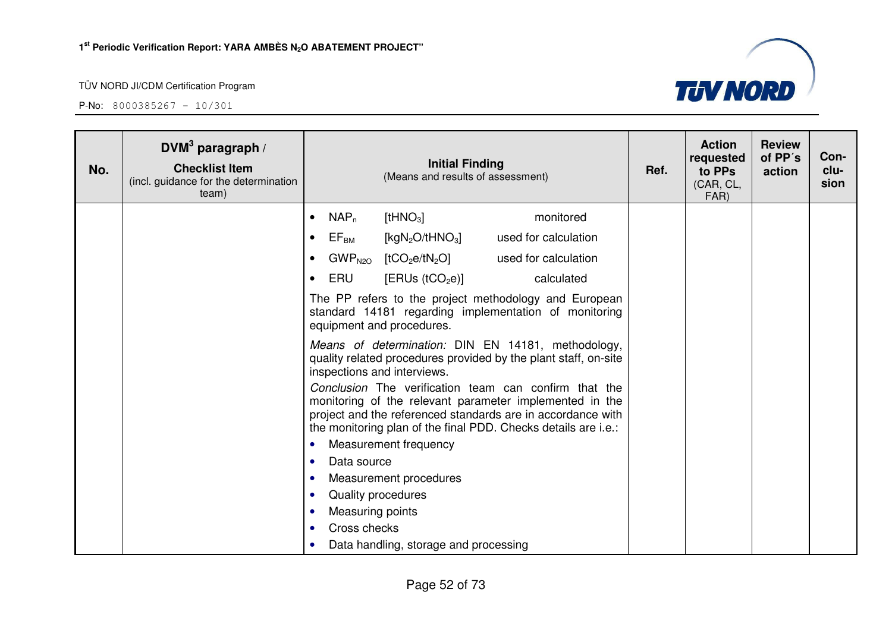

| No. | DVM <sup>3</sup> paragraph /<br><b>Checklist Item</b><br>(incl. guidance for the determination<br>team) |                |                           | <b>Initial Finding</b><br>(Means and results of assessment) |                                                                                                                                                                                                                                                                                                                                                                            | Ref. | <b>Action</b><br>requested<br>to PPs<br>(CAR, CL,<br>FAR) | <b>Review</b><br>of PP's<br>action | Con-<br>clu-<br>sion |
|-----|---------------------------------------------------------------------------------------------------------|----------------|---------------------------|-------------------------------------------------------------|----------------------------------------------------------------------------------------------------------------------------------------------------------------------------------------------------------------------------------------------------------------------------------------------------------------------------------------------------------------------------|------|-----------------------------------------------------------|------------------------------------|----------------------|
|     |                                                                                                         | $\bullet$      | $NAP_n$                   | $[$ tHNO <sub>3</sub> $]$                                   | monitored                                                                                                                                                                                                                                                                                                                                                                  |      |                                                           |                                    |                      |
|     |                                                                                                         | $\bullet$      | $\mathsf{EF}_\mathsf{BM}$ | [kg $N_2O/tHNO_3$ ]                                         | used for calculation                                                                                                                                                                                                                                                                                                                                                       |      |                                                           |                                    |                      |
|     |                                                                                                         | $\bullet$      |                           | $GWP_{N2O}$ [tCO <sub>2</sub> e/tN <sub>2</sub> O]          | used for calculation                                                                                                                                                                                                                                                                                                                                                       |      |                                                           |                                    |                      |
|     |                                                                                                         | $\bullet$      | ERU                       | [ERUs (tCO <sub>2</sub> e)]                                 | calculated                                                                                                                                                                                                                                                                                                                                                                 |      |                                                           |                                    |                      |
|     |                                                                                                         |                |                           | equipment and procedures.                                   | The PP refers to the project methodology and European<br>standard 14181 regarding implementation of monitoring                                                                                                                                                                                                                                                             |      |                                                           |                                    |                      |
|     |                                                                                                         |                |                           | inspections and interviews.                                 | Means of determination: DIN EN 14181, methodology,<br>quality related procedures provided by the plant staff, on-site<br>Conclusion The verification team can confirm that the<br>monitoring of the relevant parameter implemented in the<br>project and the referenced standards are in accordance with<br>the monitoring plan of the final PDD. Checks details are i.e.: |      |                                                           |                                    |                      |
|     |                                                                                                         | $\bullet$      |                           | Measurement frequency                                       |                                                                                                                                                                                                                                                                                                                                                                            |      |                                                           |                                    |                      |
|     |                                                                                                         | $\bullet$      | Data source               |                                                             |                                                                                                                                                                                                                                                                                                                                                                            |      |                                                           |                                    |                      |
|     |                                                                                                         | $\bullet$<br>٠ | Quality procedures        | Measurement procedures                                      |                                                                                                                                                                                                                                                                                                                                                                            |      |                                                           |                                    |                      |
|     |                                                                                                         | $\bullet$      | Measuring points          |                                                             |                                                                                                                                                                                                                                                                                                                                                                            |      |                                                           |                                    |                      |
|     |                                                                                                         | $\bullet$      | Cross checks              |                                                             |                                                                                                                                                                                                                                                                                                                                                                            |      |                                                           |                                    |                      |
|     |                                                                                                         | $\bullet$      |                           | Data handling, storage and processing                       |                                                                                                                                                                                                                                                                                                                                                                            |      |                                                           |                                    |                      |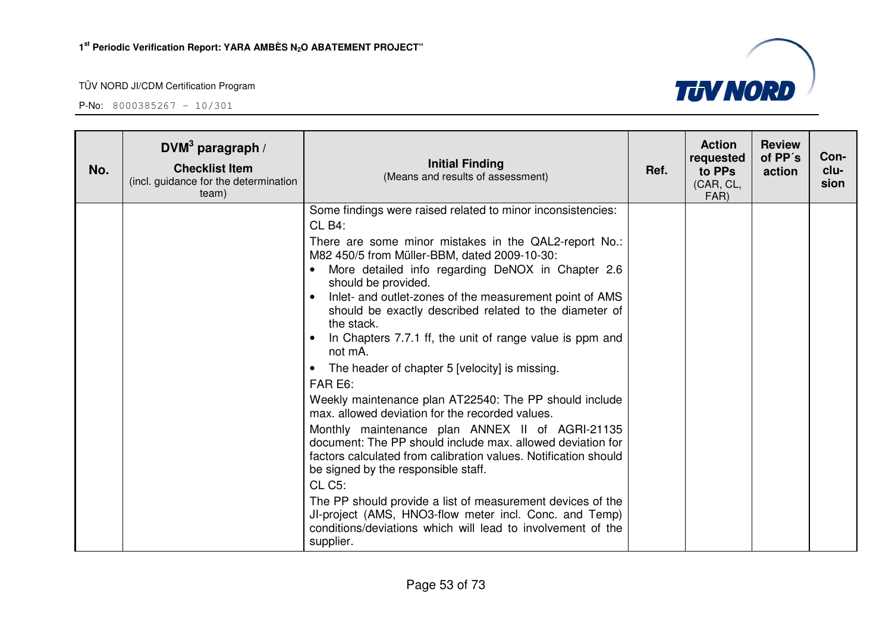

| No. | DVM <sup>3</sup> paragraph /<br><b>Checklist Item</b><br>(incl. guidance for the determination<br>team) | <b>Initial Finding</b><br>(Means and results of assessment)                                                                                                                                                                              | Ref. | <b>Action</b><br>requested<br>to PPs<br>(CAR, CL,<br>FAR) | <b>Review</b><br>of PP's<br>action | Con-<br>clu-<br>sion |
|-----|---------------------------------------------------------------------------------------------------------|------------------------------------------------------------------------------------------------------------------------------------------------------------------------------------------------------------------------------------------|------|-----------------------------------------------------------|------------------------------------|----------------------|
|     |                                                                                                         | Some findings were raised related to minor inconsistencies:<br>CL B4:                                                                                                                                                                    |      |                                                           |                                    |                      |
|     |                                                                                                         | There are some minor mistakes in the QAL2-report No.:<br>M82 450/5 from Müller-BBM, dated 2009-10-30:<br>More detailed info regarding DeNOX in Chapter 2.6<br>$\bullet$<br>should be provided.                                           |      |                                                           |                                    |                      |
|     |                                                                                                         | Inlet- and outlet-zones of the measurement point of AMS<br>$\bullet$<br>should be exactly described related to the diameter of<br>the stack.<br>In Chapters 7.7.1 ff, the unit of range value is ppm and                                 |      |                                                           |                                    |                      |
|     |                                                                                                         | not mA.<br>The header of chapter 5 [velocity] is missing.<br>$\bullet$<br>FAR E6:                                                                                                                                                        |      |                                                           |                                    |                      |
|     |                                                                                                         | Weekly maintenance plan AT22540: The PP should include<br>max, allowed deviation for the recorded values.                                                                                                                                |      |                                                           |                                    |                      |
|     |                                                                                                         | Monthly maintenance plan ANNEX II of AGRI-21135<br>document: The PP should include max. allowed deviation for<br>factors calculated from calibration values. Notification should<br>be signed by the responsible staff.<br><b>CL C5:</b> |      |                                                           |                                    |                      |
|     |                                                                                                         | The PP should provide a list of measurement devices of the<br>JI-project (AMS, HNO3-flow meter incl. Conc. and Temp)<br>conditions/deviations which will lead to involvement of the<br>supplier.                                         |      |                                                           |                                    |                      |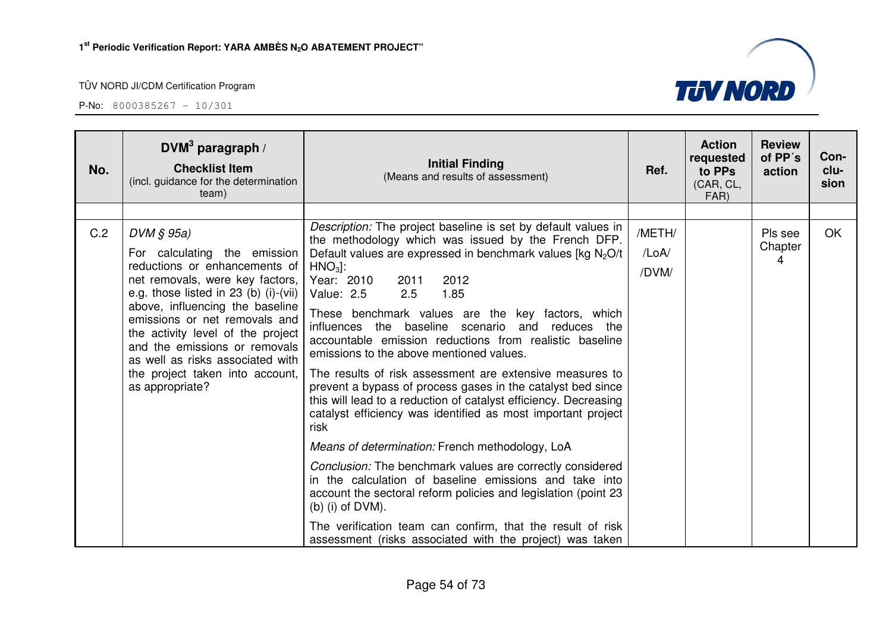| No. | DVM <sup>3</sup> paragraph /<br><b>Checklist Item</b><br>(incl. guidance for the determination<br>team)                                                                                                                                                                                                                                                                                     | <b>Initial Finding</b><br>(Means and results of assessment)                                                                                                                                                                                                                                                                                                                                                                                                                                                                                                                                                                                                                                                                                                                                                                                                                                                                                                                                                                                                                                                                                                   | Ref.                     | <b>Action</b><br>requested<br>to PPs<br>(CAR, CL,<br>FAR) | <b>Review</b><br>of PP's<br>action | Con-<br>clu-<br>sion |
|-----|---------------------------------------------------------------------------------------------------------------------------------------------------------------------------------------------------------------------------------------------------------------------------------------------------------------------------------------------------------------------------------------------|---------------------------------------------------------------------------------------------------------------------------------------------------------------------------------------------------------------------------------------------------------------------------------------------------------------------------------------------------------------------------------------------------------------------------------------------------------------------------------------------------------------------------------------------------------------------------------------------------------------------------------------------------------------------------------------------------------------------------------------------------------------------------------------------------------------------------------------------------------------------------------------------------------------------------------------------------------------------------------------------------------------------------------------------------------------------------------------------------------------------------------------------------------------|--------------------------|-----------------------------------------------------------|------------------------------------|----------------------|
|     |                                                                                                                                                                                                                                                                                                                                                                                             |                                                                                                                                                                                                                                                                                                                                                                                                                                                                                                                                                                                                                                                                                                                                                                                                                                                                                                                                                                                                                                                                                                                                                               |                          |                                                           |                                    |                      |
| C.2 | DVM § 95a)<br>For calculating the emission<br>reductions or enhancements of<br>net removals, were key factors,<br>e.g. those listed in 23 (b) (i)-(vii)<br>above, influencing the baseline<br>emissions or net removals and<br>the activity level of the project<br>and the emissions or removals<br>as well as risks associated with<br>the project taken into account,<br>as appropriate? | <i>Description:</i> The project baseline is set by default values in<br>the methodology which was issued by the French DFP.<br>Default values are expressed in benchmark values [kg $N_2O/t$<br>$HNO3$ :<br>Year: 2010<br>2012<br>2011<br>Value: 2.5<br>1.85<br>2.5<br>These benchmark values are the key factors, which<br>influences the baseline scenario<br>and reduces<br>the<br>accountable emission reductions from realistic baseline<br>emissions to the above mentioned values.<br>The results of risk assessment are extensive measures to<br>prevent a bypass of process gases in the catalyst bed since<br>this will lead to a reduction of catalyst efficiency. Decreasing<br>catalyst efficiency was identified as most important project<br>risk<br>Means of determination: French methodology, LoA<br>Conclusion: The benchmark values are correctly considered<br>in the calculation of baseline emissions and take into<br>account the sectoral reform policies and legislation (point 23<br>(b) (i) of $DVM$ ).<br>The verification team can confirm, that the result of risk<br>assessment (risks associated with the project) was taken | /METH/<br>/LoA/<br>/DVM/ |                                                           | Pls see<br>Chapter<br>4            | <b>OK</b>            |

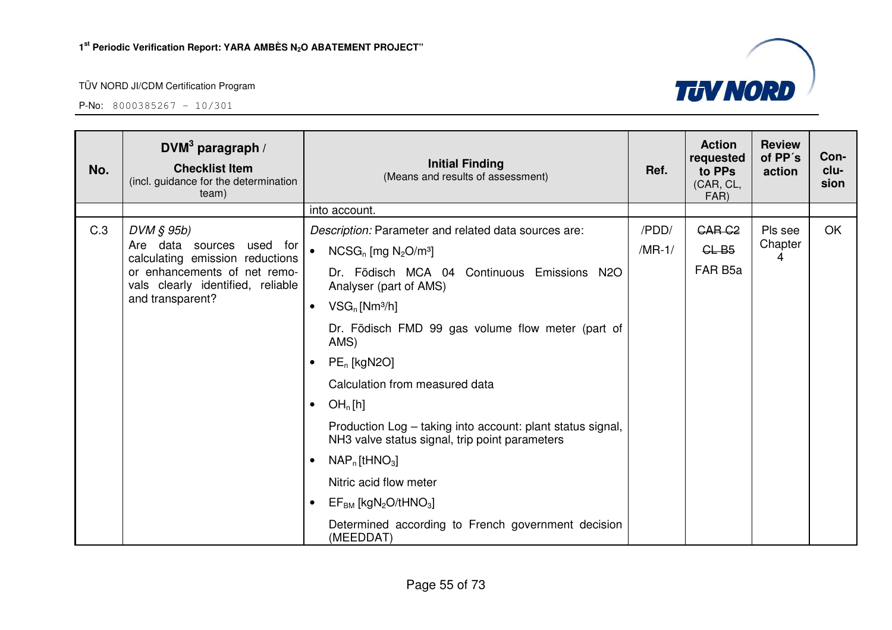

| No. | DVM <sup>3</sup> paragraph /<br><b>Checklist Item</b><br>(incl. guidance for the determination<br>team) | <b>Initial Finding</b><br>(Means and results of assessment)                                                  | Ref.     | <b>Action</b><br>requested<br>to PPs<br>(CAR, CL,<br>FAR) | <b>Review</b><br>of PP's<br>action | Con-<br>clu-<br>sion |
|-----|---------------------------------------------------------------------------------------------------------|--------------------------------------------------------------------------------------------------------------|----------|-----------------------------------------------------------|------------------------------------|----------------------|
|     |                                                                                                         | into account.                                                                                                |          |                                                           |                                    |                      |
| C.3 | DVM § 95b)                                                                                              | Description: Parameter and related data sources are:                                                         | /PDD/    | GAR <sub>G2</sub>                                         | Pls see                            | <b>OK</b>            |
|     | Are data sources<br>used for<br>calculating emission reductions                                         | $NCSG_n$ [mg $N_2O/m^3$ ]                                                                                    | $/MR-1/$ | CLB5                                                      | Chapter<br>4                       |                      |
|     | or enhancements of net remo-<br>vals clearly identified, reliable                                       | Dr. Födisch MCA 04 Continuous Emissions N2O<br>Analyser (part of AMS)                                        |          | FAR B <sub>5a</sub>                                       |                                    |                      |
|     | and transparent?                                                                                        | $VSG_n$ [Nm <sup>3</sup> /h]<br>$\bullet$                                                                    |          |                                                           |                                    |                      |
|     |                                                                                                         | Dr. Födisch FMD 99 gas volume flow meter (part of<br>AMS)                                                    |          |                                                           |                                    |                      |
|     |                                                                                                         | $PE_n$ [kgN2O]<br>$\bullet$                                                                                  |          |                                                           |                                    |                      |
|     |                                                                                                         | Calculation from measured data                                                                               |          |                                                           |                                    |                      |
|     |                                                                                                         | OH <sub>n</sub> [h]<br>$\bullet$                                                                             |          |                                                           |                                    |                      |
|     |                                                                                                         | Production Log - taking into account: plant status signal,<br>NH3 valve status signal, trip point parameters |          |                                                           |                                    |                      |
|     |                                                                                                         | $NAP_n$ [tHNO <sub>3</sub> ]<br>٠                                                                            |          |                                                           |                                    |                      |
|     |                                                                                                         | Nitric acid flow meter                                                                                       |          |                                                           |                                    |                      |
|     |                                                                                                         | $EF_{BM}$ [kgN <sub>2</sub> O/tHNO <sub>3</sub> ]                                                            |          |                                                           |                                    |                      |
|     |                                                                                                         | Determined according to French government decision<br>(MEEDDAT)                                              |          |                                                           |                                    |                      |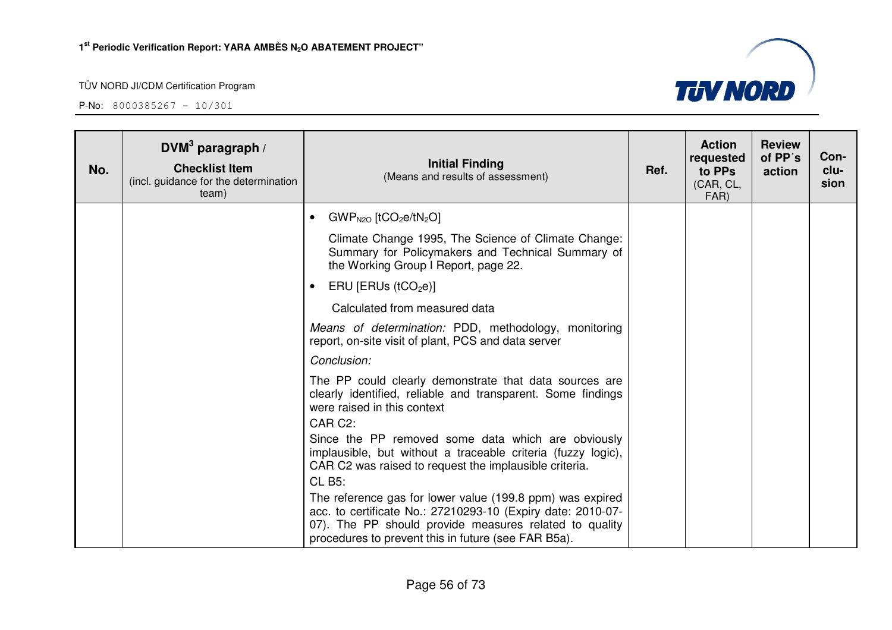

| No. | $DVM3$ paragraph /<br><b>Checklist Item</b><br>(incl. guidance for the determination<br>team) | <b>Initial Finding</b><br>(Means and results of assessment)                                                                                                                                                                               | Ref. | <b>Action</b><br>requested<br>to PPs<br>(CAR, CL,<br>FAR) | <b>Review</b><br>of PP's<br>action | Con-<br>clu-<br>sion |
|-----|-----------------------------------------------------------------------------------------------|-------------------------------------------------------------------------------------------------------------------------------------------------------------------------------------------------------------------------------------------|------|-----------------------------------------------------------|------------------------------------|----------------------|
|     |                                                                                               | $GWP_{N2O}$ [tCO <sub>2</sub> e/tN <sub>2</sub> O]<br>$\bullet$                                                                                                                                                                           |      |                                                           |                                    |                      |
|     |                                                                                               | Climate Change 1995, The Science of Climate Change:<br>Summary for Policymakers and Technical Summary of<br>the Working Group I Report, page 22.                                                                                          |      |                                                           |                                    |                      |
|     |                                                                                               | ERU [ERUs $(tCO2e)$ ]                                                                                                                                                                                                                     |      |                                                           |                                    |                      |
|     |                                                                                               | Calculated from measured data                                                                                                                                                                                                             |      |                                                           |                                    |                      |
|     |                                                                                               | Means of determination: PDD, methodology, monitoring<br>report, on-site visit of plant, PCS and data server                                                                                                                               |      |                                                           |                                    |                      |
|     |                                                                                               | Conclusion:                                                                                                                                                                                                                               |      |                                                           |                                    |                      |
|     |                                                                                               | The PP could clearly demonstrate that data sources are<br>clearly identified, reliable and transparent. Some findings<br>were raised in this context<br>CAR C2:                                                                           |      |                                                           |                                    |                      |
|     |                                                                                               | Since the PP removed some data which are obviously<br>implausible, but without a traceable criteria (fuzzy logic),<br>CAR C2 was raised to request the implausible criteria.<br><b>CL B5:</b>                                             |      |                                                           |                                    |                      |
|     |                                                                                               | The reference gas for lower value (199.8 ppm) was expired<br>acc. to certificate No.: 27210293-10 (Expiry date: 2010-07-<br>07). The PP should provide measures related to quality<br>procedures to prevent this in future (see FAR B5a). |      |                                                           |                                    |                      |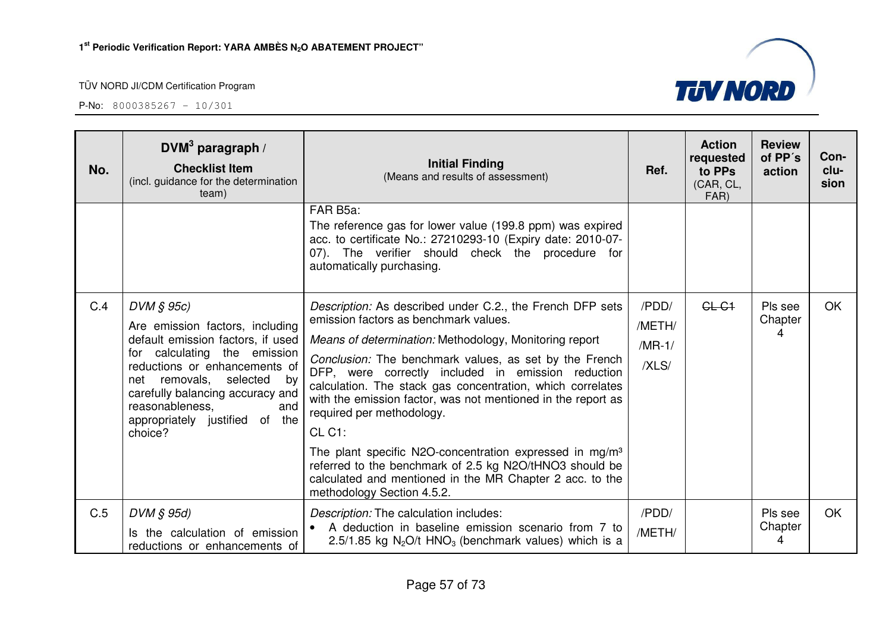| No. | DVM <sup>3</sup> paragraph /<br><b>Checklist Item</b><br>(incl. guidance for the determination<br>team)                                                                                                                                                                                             | <b>Initial Finding</b><br>(Means and results of assessment)                                                                                                                                                                                                                                                                                                                                                                                                                                                                                                                                                                                                                   | Ref.                                 | <b>Action</b><br>requested<br>to PPs<br>(CAR, CL,<br>FAR) | <b>Review</b><br>of PP's<br>action | Con-<br>clu-<br>sion |
|-----|-----------------------------------------------------------------------------------------------------------------------------------------------------------------------------------------------------------------------------------------------------------------------------------------------------|-------------------------------------------------------------------------------------------------------------------------------------------------------------------------------------------------------------------------------------------------------------------------------------------------------------------------------------------------------------------------------------------------------------------------------------------------------------------------------------------------------------------------------------------------------------------------------------------------------------------------------------------------------------------------------|--------------------------------------|-----------------------------------------------------------|------------------------------------|----------------------|
|     |                                                                                                                                                                                                                                                                                                     | FAR B5a:<br>The reference gas for lower value (199.8 ppm) was expired<br>acc. to certificate No.: 27210293-10 (Expiry date: 2010-07-<br>07). The verifier should check the procedure for<br>automatically purchasing.                                                                                                                                                                                                                                                                                                                                                                                                                                                         |                                      |                                                           |                                    |                      |
| C.4 | $DVM \S 95c$<br>Are emission factors, including<br>default emission factors, if used<br>for calculating the emission<br>reductions or enhancements of<br>removals,<br>selected by<br>net<br>carefully balancing accuracy and<br>and<br>reasonableness,<br>appropriately justified of the<br>choice? | Description: As described under C.2., the French DFP sets<br>emission factors as benchmark values.<br>Means of determination: Methodology, Monitoring report<br>Conclusion: The benchmark values, as set by the French<br>DFP, were correctly included in emission reduction<br>calculation. The stack gas concentration, which correlates<br>with the emission factor, was not mentioned in the report as<br>required per methodology.<br>CL C1:<br>The plant specific N2O-concentration expressed in mg/m <sup>3</sup><br>referred to the benchmark of 2.5 kg N2O/tHNO3 should be<br>calculated and mentioned in the MR Chapter 2 acc. to the<br>methodology Section 4.5.2. | /PDD/<br>/METH/<br>$/MR-1/$<br>/XLS/ | $GL-G1$                                                   | Pls see<br>Chapter<br>4            | OK.                  |
| C.5 | $DVM \S 95d$<br>Is the calculation of emission<br>reductions or enhancements of                                                                                                                                                                                                                     | Description: The calculation includes:<br>A deduction in baseline emission scenario from 7 to<br>2.5/1.85 kg $N_2O/t$ HNO <sub>3</sub> (benchmark values) which is a                                                                                                                                                                                                                                                                                                                                                                                                                                                                                                          | /PDD/<br>/METH/                      |                                                           | Pls see<br>Chapter<br>4            | OK                   |

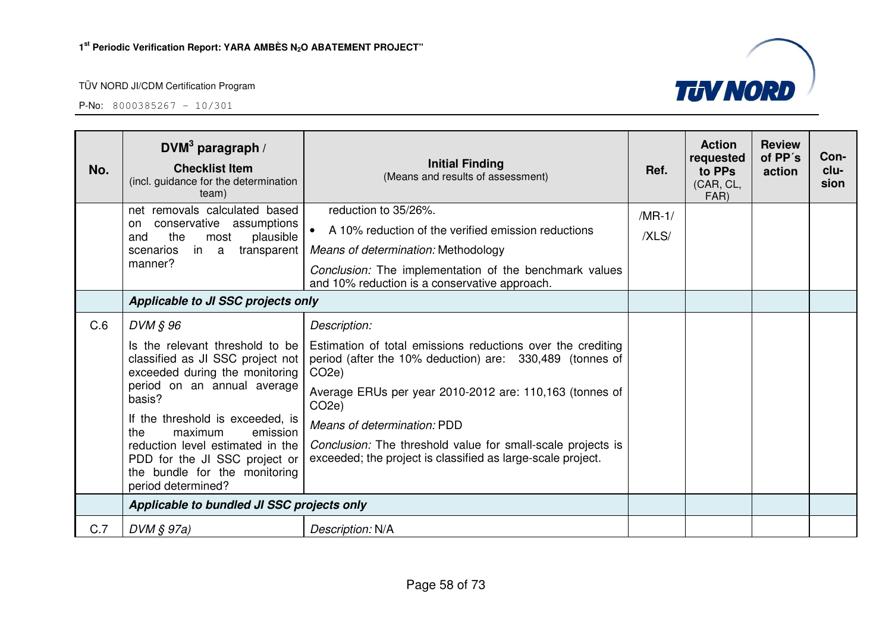

| No. | DVM <sup>3</sup> paragraph /<br><b>Checklist Item</b><br>(incl. guidance for the determination<br>team)                  | <b>Initial Finding</b><br>(Means and results of assessment)                                                                                   | Ref.     | <b>Action</b><br>requested<br>to PPs<br>(CAR, CL,<br>FAR) | <b>Review</b><br>of PP's<br>action | Con-<br>clu-<br>sion |
|-----|--------------------------------------------------------------------------------------------------------------------------|-----------------------------------------------------------------------------------------------------------------------------------------------|----------|-----------------------------------------------------------|------------------------------------|----------------------|
|     | net removals calculated based<br>conservative assumptions<br>on                                                          | reduction to 35/26%.                                                                                                                          | $/MR-1/$ |                                                           |                                    |                      |
|     | the<br>plausible<br>most<br>and                                                                                          | A 10% reduction of the verified emission reductions                                                                                           | /XLS/    |                                                           |                                    |                      |
|     | in a<br>transparent<br>scenarios                                                                                         | Means of determination: Methodology                                                                                                           |          |                                                           |                                    |                      |
|     | manner?                                                                                                                  | Conclusion: The implementation of the benchmark values<br>and 10% reduction is a conservative approach.                                       |          |                                                           |                                    |                      |
|     | Applicable to JI SSC projects only                                                                                       |                                                                                                                                               |          |                                                           |                                    |                      |
| C.6 | DVM § 96                                                                                                                 | Description:                                                                                                                                  |          |                                                           |                                    |                      |
|     | Is the relevant threshold to be<br>classified as JI SSC project not  <br>exceeded during the monitoring                  | Estimation of total emissions reductions over the crediting<br>period (after the 10% deduction) are: 330,489 (tonnes of<br>CO <sub>2</sub> e) |          |                                                           |                                    |                      |
|     | period on an annual average<br>basis?                                                                                    | Average ERUs per year 2010-2012 are: 110,163 (tonnes of<br>CO <sub>2</sub> e)                                                                 |          |                                                           |                                    |                      |
|     | If the threshold is exceeded, is<br>maximum<br>the<br>emission                                                           | Means of determination: PDD                                                                                                                   |          |                                                           |                                    |                      |
|     | reduction level estimated in the<br>PDD for the JI SSC project or<br>the bundle for the monitoring<br>period determined? | Conclusion: The threshold value for small-scale projects is<br>exceeded; the project is classified as large-scale project.                    |          |                                                           |                                    |                      |
|     | Applicable to bundled JI SSC projects only                                                                               |                                                                                                                                               |          |                                                           |                                    |                      |
| C.7 | $DVM \S 97a)$                                                                                                            | Description: N/A                                                                                                                              |          |                                                           |                                    |                      |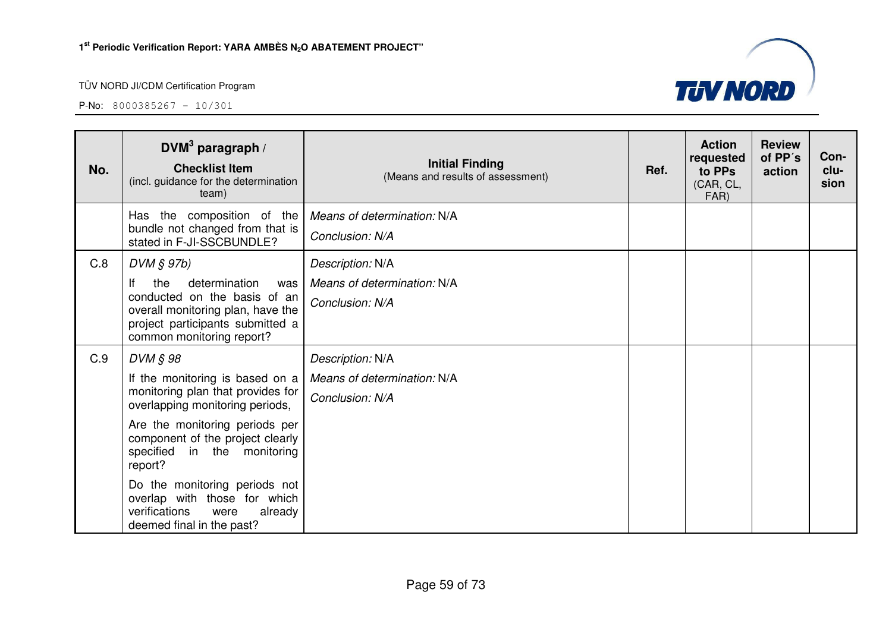

| No. | DVM <sup>3</sup> paragraph /<br><b>Checklist Item</b><br>(incl. guidance for the determination<br>team)                                                                                                                                                                                                                                                               | <b>Initial Finding</b><br>(Means and results of assessment)        | Ref. | <b>Action</b><br>requested<br>to PPs<br>(CAR, CL,<br>FAR) | <b>Review</b><br>of PP's<br>action | Con-<br>clu-<br>sion |
|-----|-----------------------------------------------------------------------------------------------------------------------------------------------------------------------------------------------------------------------------------------------------------------------------------------------------------------------------------------------------------------------|--------------------------------------------------------------------|------|-----------------------------------------------------------|------------------------------------|----------------------|
|     | Has the composition of the<br>bundle not changed from that is<br>stated in F-JI-SSCBUNDLE?                                                                                                                                                                                                                                                                            | Means of determination: N/A<br>Conclusion: N/A                     |      |                                                           |                                    |                      |
| C.8 | $DVM$ $S$ $97b)$<br>the<br>determination<br>lf<br>was<br>conducted on the basis of an<br>overall monitoring plan, have the<br>project participants submitted a<br>common monitoring report?                                                                                                                                                                           | Description: N/A<br>Means of determination: N/A<br>Conclusion: N/A |      |                                                           |                                    |                      |
| C.9 | DVM § 98<br>If the monitoring is based on a<br>monitoring plan that provides for<br>overlapping monitoring periods,<br>Are the monitoring periods per<br>component of the project clearly<br>specified in the monitoring<br>report?<br>Do the monitoring periods not<br>overlap with those for which<br>verifications<br>already<br>were<br>deemed final in the past? | Description: N/A<br>Means of determination: N/A<br>Conclusion: N/A |      |                                                           |                                    |                      |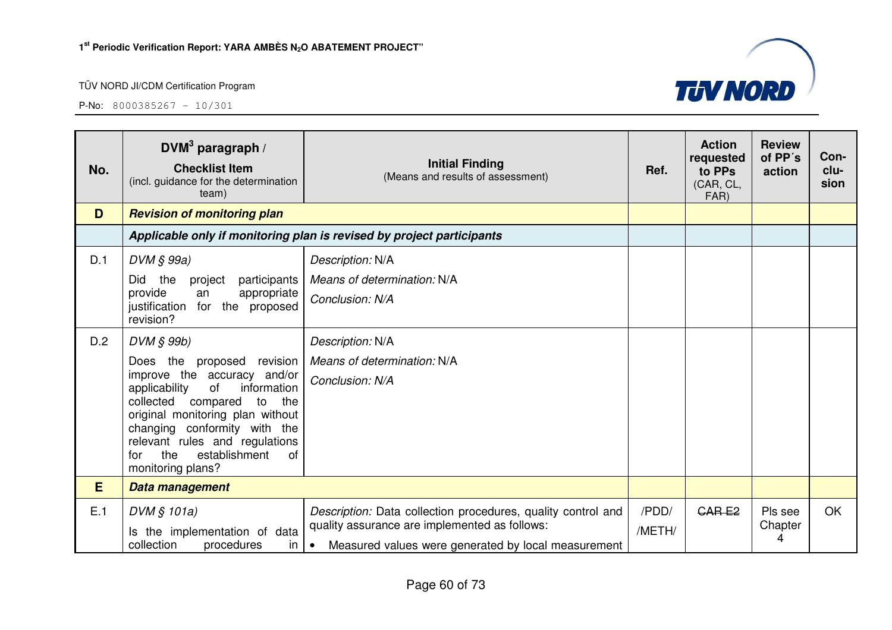

| No. | DVM <sup>3</sup> paragraph /<br><b>Checklist Item</b><br>(incl. guidance for the determination<br>team)                                                                                                                                                                                                            | <b>Initial Finding</b><br>(Means and results of assessment)                                                                                                                       | Ref.            | <b>Action</b><br>requested<br>to PPs<br>(CAR, CL,<br>FAR) | <b>Review</b><br>of PP's<br>action | Con-<br>clu-<br>sion |
|-----|--------------------------------------------------------------------------------------------------------------------------------------------------------------------------------------------------------------------------------------------------------------------------------------------------------------------|-----------------------------------------------------------------------------------------------------------------------------------------------------------------------------------|-----------------|-----------------------------------------------------------|------------------------------------|----------------------|
| D   | <b>Revision of monitoring plan</b>                                                                                                                                                                                                                                                                                 |                                                                                                                                                                                   |                 |                                                           |                                    |                      |
|     |                                                                                                                                                                                                                                                                                                                    | Applicable only if monitoring plan is revised by project participants                                                                                                             |                 |                                                           |                                    |                      |
| D.1 | DVM § 99a)                                                                                                                                                                                                                                                                                                         | Description: N/A                                                                                                                                                                  |                 |                                                           |                                    |                      |
|     | <b>Did</b><br>the<br>project<br>participants                                                                                                                                                                                                                                                                       | Means of determination: N/A                                                                                                                                                       |                 |                                                           |                                    |                      |
|     | provide<br>appropriate<br>an<br>justification for the proposed<br>revision?                                                                                                                                                                                                                                        | Conclusion: N/A                                                                                                                                                                   |                 |                                                           |                                    |                      |
| D.2 | DVM § 99b)                                                                                                                                                                                                                                                                                                         | Description: N/A                                                                                                                                                                  |                 |                                                           |                                    |                      |
|     | Does the<br>proposed<br>revision<br>improve the accuracy and/or<br>of<br>information<br>applicability<br>collected<br>compared<br>to<br>the<br>original monitoring plan without<br>changing conformity with the<br>relevant rules and regulations<br>the<br>establishment<br><b>of</b><br>for<br>monitoring plans? | Means of determination: N/A<br>Conclusion: N/A                                                                                                                                    |                 |                                                           |                                    |                      |
| E   | Data management                                                                                                                                                                                                                                                                                                    |                                                                                                                                                                                   |                 |                                                           |                                    |                      |
| E.1 | DVM § 101a)<br>Is the implementation of data<br>collection<br>procedures<br>in <sub>1</sub>                                                                                                                                                                                                                        | Description: Data collection procedures, quality control and<br>quality assurance are implemented as follows:<br>Measured values were generated by local measurement<br>$\bullet$ | /PDD/<br>/METH/ | <b>CARE2</b>                                              | Pls see<br>Chapter<br>4            | <b>OK</b>            |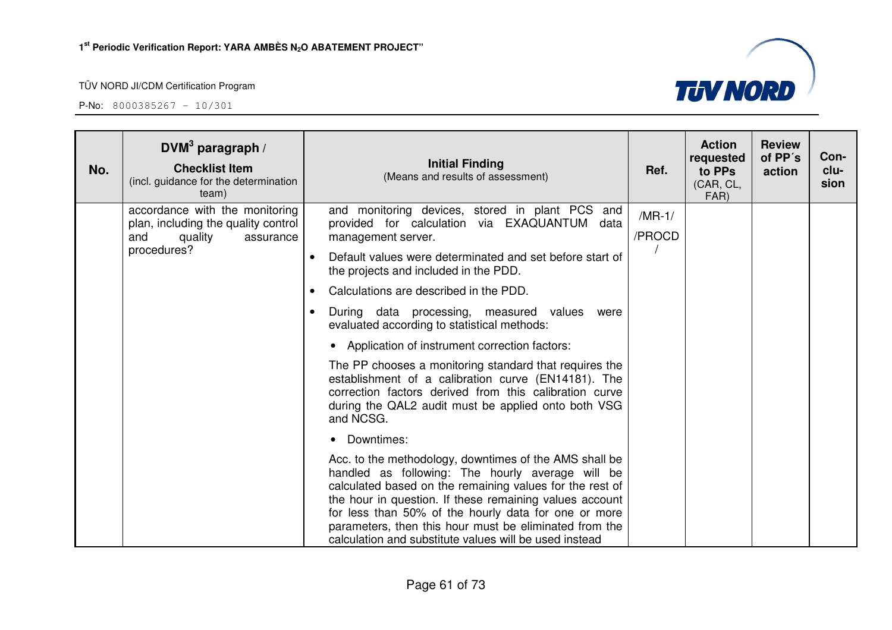

| No. | DVM $3$ paragraph /<br><b>Checklist Item</b><br>(incl. guidance for the determination<br>team)                      | <b>Initial Finding</b><br>(Means and results of assessment)                                                                                                                                                                                                                                                                                                                                                   | Ref.               | <b>Action</b><br>requested<br>to PPs<br>(CAR, CL,<br>FAR) | <b>Review</b><br>of PP's<br>action | Con-<br>clu-<br>sion |
|-----|---------------------------------------------------------------------------------------------------------------------|---------------------------------------------------------------------------------------------------------------------------------------------------------------------------------------------------------------------------------------------------------------------------------------------------------------------------------------------------------------------------------------------------------------|--------------------|-----------------------------------------------------------|------------------------------------|----------------------|
|     | accordance with the monitoring<br>plan, including the quality control<br>quality<br>and<br>assurance<br>procedures? | and monitoring devices, stored in plant PCS and<br>provided for calculation via EXAQUANTUM<br>data<br>management server.                                                                                                                                                                                                                                                                                      | $/MR-1/$<br>/PROCD |                                                           |                                    |                      |
|     |                                                                                                                     | Default values were determinated and set before start of<br>$\bullet$<br>the projects and included in the PDD.                                                                                                                                                                                                                                                                                                |                    |                                                           |                                    |                      |
|     |                                                                                                                     | Calculations are described in the PDD.<br>$\bullet$                                                                                                                                                                                                                                                                                                                                                           |                    |                                                           |                                    |                      |
|     |                                                                                                                     | During data processing, measured values<br>were<br>evaluated according to statistical methods:                                                                                                                                                                                                                                                                                                                |                    |                                                           |                                    |                      |
|     |                                                                                                                     | • Application of instrument correction factors:                                                                                                                                                                                                                                                                                                                                                               |                    |                                                           |                                    |                      |
|     |                                                                                                                     | The PP chooses a monitoring standard that requires the<br>establishment of a calibration curve (EN14181). The<br>correction factors derived from this calibration curve<br>during the QAL2 audit must be applied onto both VSG<br>and NCSG.                                                                                                                                                                   |                    |                                                           |                                    |                      |
|     |                                                                                                                     | • Downtimes:                                                                                                                                                                                                                                                                                                                                                                                                  |                    |                                                           |                                    |                      |
|     |                                                                                                                     | Acc. to the methodology, downtimes of the AMS shall be<br>handled as following: The hourly average will be<br>calculated based on the remaining values for the rest of<br>the hour in question. If these remaining values account<br>for less than 50% of the hourly data for one or more<br>parameters, then this hour must be eliminated from the<br>calculation and substitute values will be used instead |                    |                                                           |                                    |                      |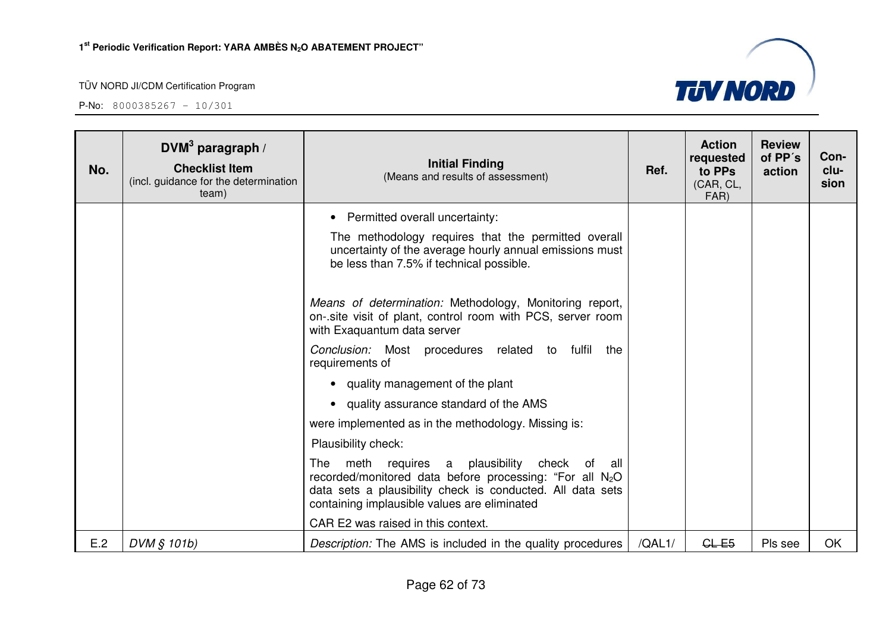

| No. | DVM <sup>3</sup> paragraph /<br><b>Checklist Item</b><br>(incl. guidance for the determination<br>team) | <b>Initial Finding</b><br>(Means and results of assessment)                                                                                                                                                                  | Ref.   | <b>Action</b><br>requested<br>to PPs<br>(CAR, CL,<br>FAR) | <b>Review</b><br>of PP's<br>action | Con-<br>clu-<br>sion |
|-----|---------------------------------------------------------------------------------------------------------|------------------------------------------------------------------------------------------------------------------------------------------------------------------------------------------------------------------------------|--------|-----------------------------------------------------------|------------------------------------|----------------------|
|     |                                                                                                         | Permitted overall uncertainty:                                                                                                                                                                                               |        |                                                           |                                    |                      |
|     |                                                                                                         | The methodology requires that the permitted overall<br>uncertainty of the average hourly annual emissions must<br>be less than 7.5% if technical possible.                                                                   |        |                                                           |                                    |                      |
|     |                                                                                                         | Means of determination: Methodology, Monitoring report,<br>on-.site visit of plant, control room with PCS, server room<br>with Exaquantum data server                                                                        |        |                                                           |                                    |                      |
|     |                                                                                                         | Conclusion: Most procedures related to fulfil the<br>requirements of                                                                                                                                                         |        |                                                           |                                    |                      |
|     |                                                                                                         | • quality management of the plant                                                                                                                                                                                            |        |                                                           |                                    |                      |
|     |                                                                                                         | • quality assurance standard of the AMS                                                                                                                                                                                      |        |                                                           |                                    |                      |
|     |                                                                                                         | were implemented as in the methodology. Missing is:                                                                                                                                                                          |        |                                                           |                                    |                      |
|     |                                                                                                         | Plausibility check:                                                                                                                                                                                                          |        |                                                           |                                    |                      |
|     |                                                                                                         | The meth requires a plausibility<br>check of all<br>recorded/monitored data before processing: "For all $N_2O$<br>data sets a plausibility check is conducted. All data sets<br>containing implausible values are eliminated |        |                                                           |                                    |                      |
|     |                                                                                                         | CAR E2 was raised in this context.                                                                                                                                                                                           |        |                                                           |                                    |                      |
| E.2 | DVM § 101b)                                                                                             | <i>Description:</i> The AMS is included in the quality procedures                                                                                                                                                            | /QAL1/ | $CL-E5$                                                   | Pls see                            | OK                   |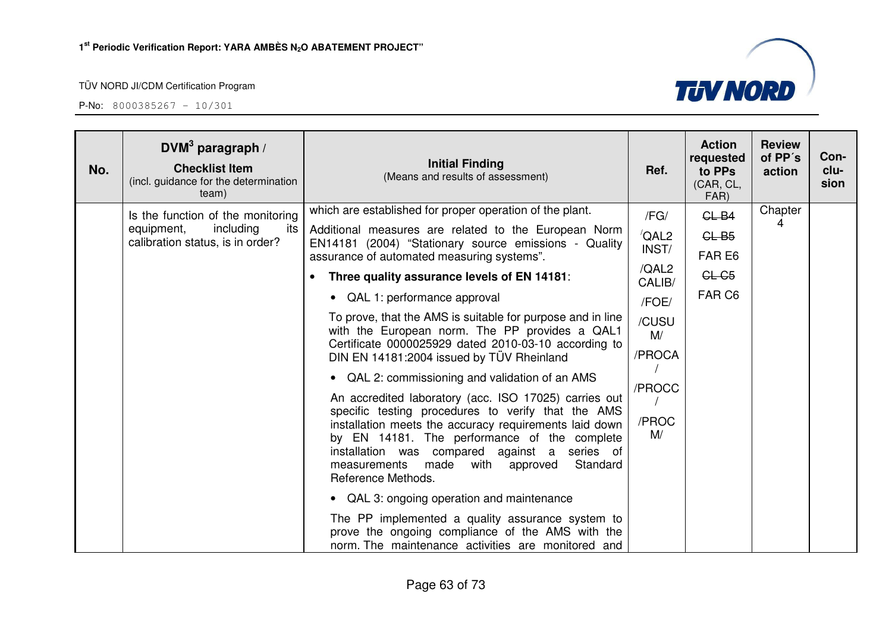| No. | DVM <sup>3</sup> paragraph /<br><b>Checklist Item</b><br>(incl. guidance for the determination<br>team) | <b>Initial Finding</b><br>(Means and results of assessment)                                                                                                                                                                                                                                                                                                                                                                                                                                                                                                                                                                                                                                                                                                                                                                                                                                                                                                                                                                                                                                                                      | Ref.                                                                                                                  | <b>Action</b><br>requested<br>to PPs<br>(CAR, CL,<br>FAR) | <b>Review</b><br>of PP's<br>action | Con-<br>clu-<br>sion |
|-----|---------------------------------------------------------------------------------------------------------|----------------------------------------------------------------------------------------------------------------------------------------------------------------------------------------------------------------------------------------------------------------------------------------------------------------------------------------------------------------------------------------------------------------------------------------------------------------------------------------------------------------------------------------------------------------------------------------------------------------------------------------------------------------------------------------------------------------------------------------------------------------------------------------------------------------------------------------------------------------------------------------------------------------------------------------------------------------------------------------------------------------------------------------------------------------------------------------------------------------------------------|-----------------------------------------------------------------------------------------------------------------------|-----------------------------------------------------------|------------------------------------|----------------------|
|     | Is the function of the monitoring<br>including<br>equipment,<br>its<br>calibration status, is in order? | which are established for proper operation of the plant.<br>Additional measures are related to the European Norm<br>EN14181 (2004) "Stationary source emissions - Quality<br>assurance of automated measuring systems".<br>Three quality assurance levels of EN 14181:<br>$\bullet$<br>QAL 1: performance approval<br>$\bullet$<br>To prove, that the AMS is suitable for purpose and in line<br>with the European norm. The PP provides a QAL1<br>Certificate 0000025929 dated 2010-03-10 according to<br>DIN EN 14181:2004 issued by TÜV Rheinland<br>• QAL 2: commissioning and validation of an AMS<br>An accredited laboratory (acc. ISO 17025) carries out<br>specific testing procedures to verify that the AMS<br>installation meets the accuracy requirements laid down<br>by EN 14181. The performance of the complete<br>installation was compared against a series of<br>Standard<br>made<br>measurements<br>with<br>approved<br>Reference Methods.<br>QAL 3: ongoing operation and maintenance<br>$\bullet$<br>The PP implemented a quality assurance system to<br>prove the ongoing compliance of the AMS with the | /FG/<br>$\sqrt{\mathsf{QAL2}}$<br>INST/<br>/QAL2<br>CALIB/<br>/FOE/<br>/CUSU<br>M/<br>/PROCA<br>/PROCC<br>/PROC<br>M/ | $GL-B4$<br>CLB5<br>FAR E6<br>CL-C5<br>FAR C6              | Chapter<br>4                       |                      |
|     |                                                                                                         | norm. The maintenance activities are monitored and                                                                                                                                                                                                                                                                                                                                                                                                                                                                                                                                                                                                                                                                                                                                                                                                                                                                                                                                                                                                                                                                               |                                                                                                                       |                                                           |                                    |                      |

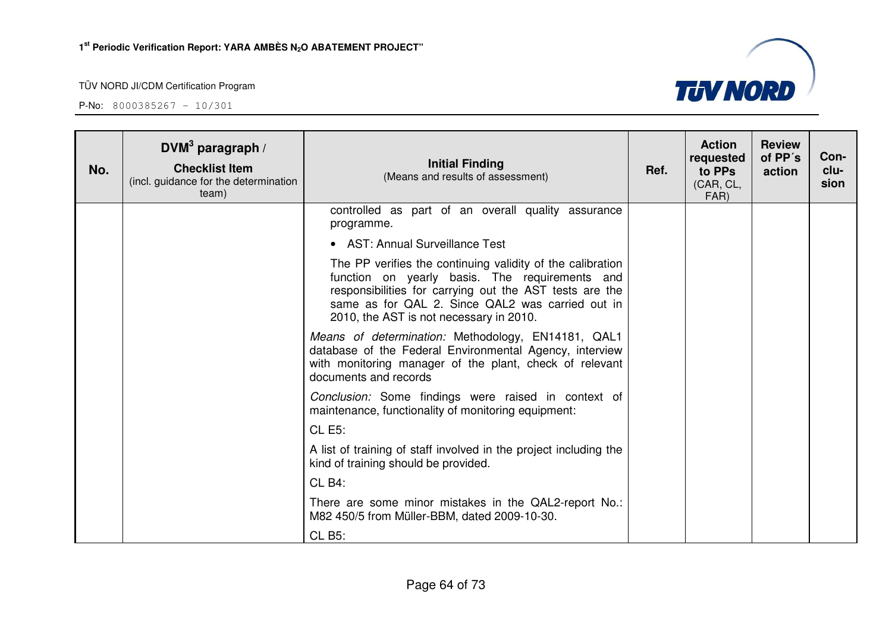

| No. | DVM <sup>3</sup> paragraph /<br><b>Checklist Item</b><br>(incl. guidance for the determination<br>team) | <b>Initial Finding</b><br>(Means and results of assessment)                                                                                                                                                                                                            | Ref. | <b>Action</b><br>requested<br>to PPs<br>(CAR, CL,<br>FAR) | <b>Review</b><br>of PP's<br>action | Con-<br>clu-<br>sion |
|-----|---------------------------------------------------------------------------------------------------------|------------------------------------------------------------------------------------------------------------------------------------------------------------------------------------------------------------------------------------------------------------------------|------|-----------------------------------------------------------|------------------------------------|----------------------|
|     |                                                                                                         | controlled as part of an overall quality assurance<br>programme.                                                                                                                                                                                                       |      |                                                           |                                    |                      |
|     |                                                                                                         | • AST: Annual Surveillance Test                                                                                                                                                                                                                                        |      |                                                           |                                    |                      |
|     |                                                                                                         | The PP verifies the continuing validity of the calibration<br>function on yearly basis. The requirements and<br>responsibilities for carrying out the AST tests are the<br>same as for QAL 2. Since QAL2 was carried out in<br>2010, the AST is not necessary in 2010. |      |                                                           |                                    |                      |
|     |                                                                                                         | Means of determination: Methodology, EN14181, QAL1<br>database of the Federal Environmental Agency, interview<br>with monitoring manager of the plant, check of relevant<br>documents and records                                                                      |      |                                                           |                                    |                      |
|     |                                                                                                         | Conclusion: Some findings were raised in context of<br>maintenance, functionality of monitoring equipment:                                                                                                                                                             |      |                                                           |                                    |                      |
|     |                                                                                                         | <b>CL E5:</b>                                                                                                                                                                                                                                                          |      |                                                           |                                    |                      |
|     |                                                                                                         | A list of training of staff involved in the project including the<br>kind of training should be provided.                                                                                                                                                              |      |                                                           |                                    |                      |
|     |                                                                                                         | CLB4:                                                                                                                                                                                                                                                                  |      |                                                           |                                    |                      |
|     |                                                                                                         | There are some minor mistakes in the QAL2-report No.:<br>M82 450/5 from Müller-BBM, dated 2009-10-30.                                                                                                                                                                  |      |                                                           |                                    |                      |
|     |                                                                                                         | <b>CL B5:</b>                                                                                                                                                                                                                                                          |      |                                                           |                                    |                      |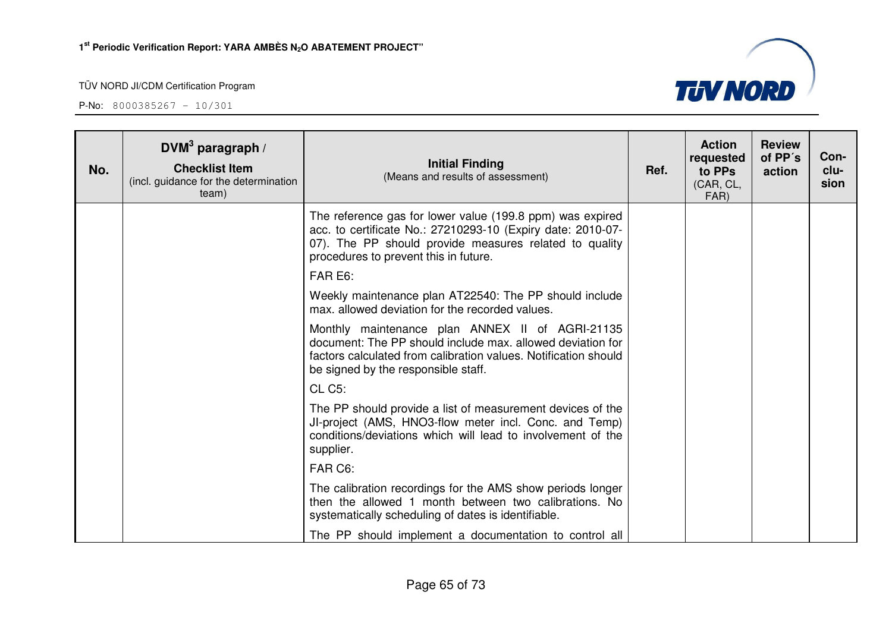| No. | DVM <sup>3</sup> paragraph /<br><b>Checklist Item</b><br>(incl. guidance for the determination<br>team) | <b>Initial Finding</b><br>(Means and results of assessment)                                                                                                                                                                 | Ref. | <b>Action</b><br>requested<br>to PPs<br>(CAR, CL,<br>FAR) | <b>Review</b><br>of PP's<br>action | Con-<br>clu-<br>sion |
|-----|---------------------------------------------------------------------------------------------------------|-----------------------------------------------------------------------------------------------------------------------------------------------------------------------------------------------------------------------------|------|-----------------------------------------------------------|------------------------------------|----------------------|
|     |                                                                                                         | The reference gas for lower value (199.8 ppm) was expired<br>acc. to certificate No.: 27210293-10 (Expiry date: 2010-07-<br>07). The PP should provide measures related to quality<br>procedures to prevent this in future. |      |                                                           |                                    |                      |
|     |                                                                                                         | FAR E6:                                                                                                                                                                                                                     |      |                                                           |                                    |                      |
|     |                                                                                                         | Weekly maintenance plan AT22540: The PP should include<br>max, allowed deviation for the recorded values.                                                                                                                   |      |                                                           |                                    |                      |
|     |                                                                                                         | Monthly maintenance plan ANNEX II of AGRI-21135<br>document: The PP should include max, allowed deviation for<br>factors calculated from calibration values. Notification should<br>be signed by the responsible staff.     |      |                                                           |                                    |                      |
|     |                                                                                                         | CL C <sub>5</sub> :                                                                                                                                                                                                         |      |                                                           |                                    |                      |
|     |                                                                                                         | The PP should provide a list of measurement devices of the<br>JI-project (AMS, HNO3-flow meter incl. Conc. and Temp)<br>conditions/deviations which will lead to involvement of the<br>supplier.                            |      |                                                           |                                    |                      |
|     |                                                                                                         | FAR C6:                                                                                                                                                                                                                     |      |                                                           |                                    |                      |
|     |                                                                                                         | The calibration recordings for the AMS show periods longer<br>then the allowed 1 month between two calibrations. No<br>systematically scheduling of dates is identifiable.                                                  |      |                                                           |                                    |                      |
|     |                                                                                                         | The PP should implement a documentation to control all                                                                                                                                                                      |      |                                                           |                                    |                      |

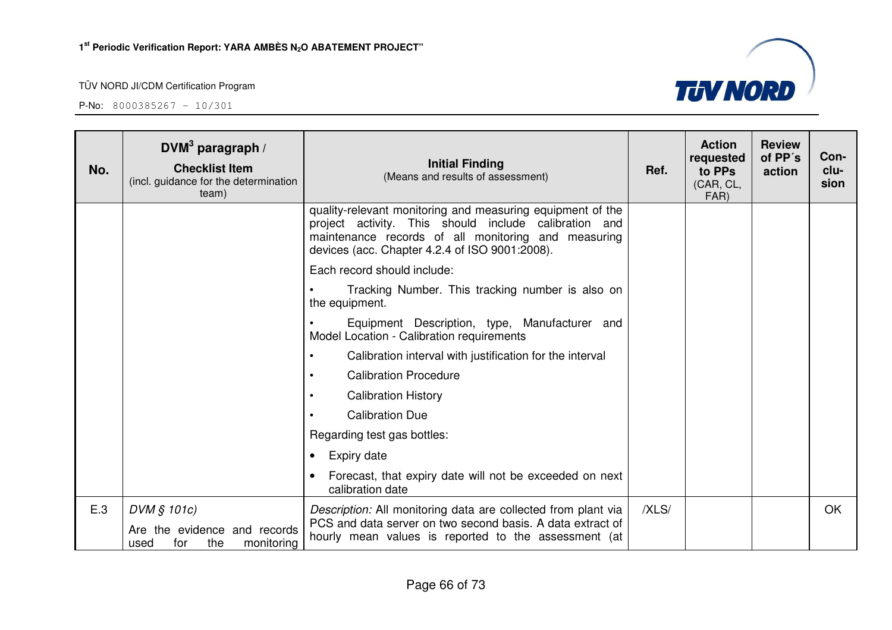P-No: 8000385267 – 10/301

Н

| No. | DVM $3$ paragraph /<br><b>Checklist Item</b><br>(incl. guidance for the determination<br>team) | <b>Initial Finding</b><br>(Means and results of assessment)                                                                                                                                                                  | Ref.  | <b>Action</b><br>requested<br>to PPs<br>(CAR, CL,<br>FAR) | <b>Review</b><br>of PP's<br>action | Con-<br>clu-<br>sion |
|-----|------------------------------------------------------------------------------------------------|------------------------------------------------------------------------------------------------------------------------------------------------------------------------------------------------------------------------------|-------|-----------------------------------------------------------|------------------------------------|----------------------|
|     |                                                                                                | quality-relevant monitoring and measuring equipment of the<br>project activity. This should include calibration and<br>maintenance records of all monitoring and measuring<br>devices (acc. Chapter 4.2.4 of ISO 9001:2008). |       |                                                           |                                    |                      |
|     |                                                                                                | Each record should include:                                                                                                                                                                                                  |       |                                                           |                                    |                      |
|     |                                                                                                | Tracking Number. This tracking number is also on<br>the equipment.                                                                                                                                                           |       |                                                           |                                    |                      |
|     |                                                                                                | Equipment Description, type, Manufacturer and<br>Model Location - Calibration requirements                                                                                                                                   |       |                                                           |                                    |                      |
|     |                                                                                                | Calibration interval with justification for the interval                                                                                                                                                                     |       |                                                           |                                    |                      |
|     |                                                                                                | <b>Calibration Procedure</b><br>$\bullet$                                                                                                                                                                                    |       |                                                           |                                    |                      |
|     |                                                                                                | <b>Calibration History</b>                                                                                                                                                                                                   |       |                                                           |                                    |                      |
|     |                                                                                                | <b>Calibration Due</b>                                                                                                                                                                                                       |       |                                                           |                                    |                      |
|     |                                                                                                | Regarding test gas bottles:                                                                                                                                                                                                  |       |                                                           |                                    |                      |
|     |                                                                                                | <b>Expiry date</b><br>٠                                                                                                                                                                                                      |       |                                                           |                                    |                      |
|     |                                                                                                | Forecast, that expiry date will not be exceeded on next<br>calibration date                                                                                                                                                  |       |                                                           |                                    |                      |
| E.3 | DVM § 101c)                                                                                    | Description: All monitoring data are collected from plant via                                                                                                                                                                | /XLS/ |                                                           |                                    | OK.                  |
|     | Are the evidence and records<br>the<br>monitoring<br>used<br>for                               | PCS and data server on two second basis. A data extract of<br>hourly mean values is reported to the assessment (at                                                                                                           |       |                                                           |                                    |                      |

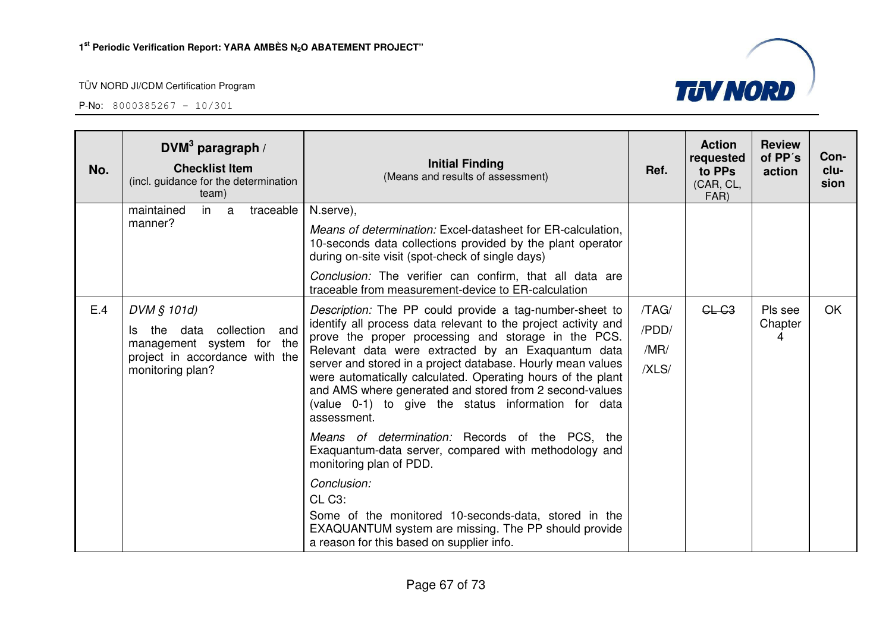| No. | DVM <sup>3</sup> paragraph /<br><b>Checklist Item</b><br>(incl. guidance for the determination<br>team)                                | <b>Initial Finding</b><br>(Means and results of assessment)                                                                                                                                                                                                                                                                                                                                                                                                                                           | Ref.                            | <b>Action</b><br>requested<br>to PPs<br>(CAR, CL,<br>FAR) | <b>Review</b><br>of PP's<br>action | Con-<br>clu-<br>sion |
|-----|----------------------------------------------------------------------------------------------------------------------------------------|-------------------------------------------------------------------------------------------------------------------------------------------------------------------------------------------------------------------------------------------------------------------------------------------------------------------------------------------------------------------------------------------------------------------------------------------------------------------------------------------------------|---------------------------------|-----------------------------------------------------------|------------------------------------|----------------------|
|     | in a<br>traceable<br>maintained<br>manner?                                                                                             | N.serve),<br><i>Means of determination:</i> Excel-datasheet for ER-calculation,<br>10-seconds data collections provided by the plant operator<br>during on-site visit (spot-check of single days)<br>Conclusion: The verifier can confirm, that all data are<br>traceable from measurement-device to ER-calculation                                                                                                                                                                                   |                                 |                                                           |                                    |                      |
| E.4 | DVM § 101d)<br>and<br>collection<br>the data<br>ls.<br>management system for the<br>project in accordance with the<br>monitoring plan? | Description: The PP could provide a tag-number-sheet to<br>identify all process data relevant to the project activity and<br>prove the proper processing and storage in the PCS.<br>Relevant data were extracted by an Exaguantum data<br>server and stored in a project database. Hourly mean values<br>were automatically calculated. Operating hours of the plant<br>and AMS where generated and stored from 2 second-values<br>(value 0-1) to give the status information for data<br>assessment. | /TAG/<br>/PDD/<br>/MR/<br>/XLS/ | $CL-C3$                                                   | Pls see<br>Chapter<br>4            | <b>OK</b>            |
|     |                                                                                                                                        | Means of determination: Records of the PCS, the<br>Exaquantum-data server, compared with methodology and<br>monitoring plan of PDD.                                                                                                                                                                                                                                                                                                                                                                   |                                 |                                                           |                                    |                      |
|     |                                                                                                                                        | Conclusion:<br>CL C <sub>3</sub> :<br>Some of the monitored 10-seconds-data, stored in the<br>EXAQUANTUM system are missing. The PP should provide<br>a reason for this based on supplier info.                                                                                                                                                                                                                                                                                                       |                                 |                                                           |                                    |                      |

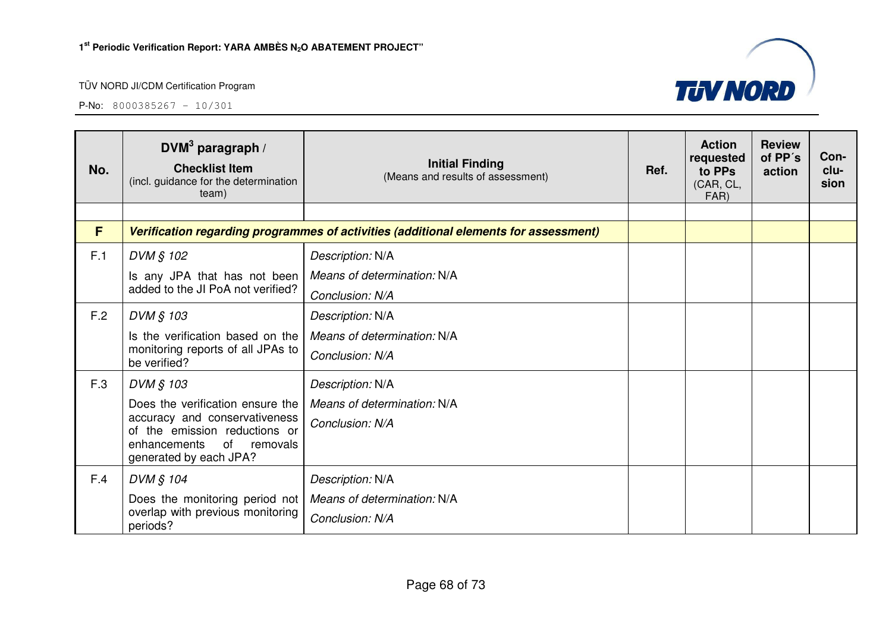

| No. | DVM <sup>3</sup> paragraph /<br><b>Checklist Item</b><br>(incl. guidance for the determination<br>team) | <b>Initial Finding</b><br>(Means and results of assessment) | Ref. | <b>Action</b><br>requested<br>to PPs<br>(CAR, CL,<br>FAR) | <b>Review</b><br>of PP's<br>action | Con-<br>clu-<br>sion |
|-----|---------------------------------------------------------------------------------------------------------|-------------------------------------------------------------|------|-----------------------------------------------------------|------------------------------------|----------------------|
|     |                                                                                                         |                                                             |      |                                                           |                                    |                      |
| F   | Verification regarding programmes of activities (additional elements for assessment)                    |                                                             |      |                                                           |                                    |                      |
| F.1 | DVM § 102                                                                                               | Description: N/A                                            |      |                                                           |                                    |                      |
|     | Is any JPA that has not been                                                                            | Means of determination: N/A                                 |      |                                                           |                                    |                      |
|     | added to the JI PoA not verified?                                                                       | Conclusion: N/A                                             |      |                                                           |                                    |                      |
| F.2 | DVM § 103                                                                                               | Description: N/A                                            |      |                                                           |                                    |                      |
|     | Is the verification based on the                                                                        | Means of determination: N/A                                 |      |                                                           |                                    |                      |
|     | monitoring reports of all JPAs to<br>be verified?                                                       | Conclusion: N/A                                             |      |                                                           |                                    |                      |
| F.3 | DVM § 103                                                                                               | Description: N/A                                            |      |                                                           |                                    |                      |
|     | Does the verification ensure the                                                                        | Means of determination: N/A                                 |      |                                                           |                                    |                      |
|     | accuracy and conservativeness<br>of the emission reductions or                                          | Conclusion: N/A                                             |      |                                                           |                                    |                      |
|     | of removals<br>enhancements<br>generated by each JPA?                                                   |                                                             |      |                                                           |                                    |                      |
| F.4 | DVM § 104                                                                                               | Description: N/A                                            |      |                                                           |                                    |                      |
|     | Does the monitoring period not                                                                          | Means of determination: N/A                                 |      |                                                           |                                    |                      |
|     | overlap with previous monitoring<br>periods?                                                            | Conclusion: N/A                                             |      |                                                           |                                    |                      |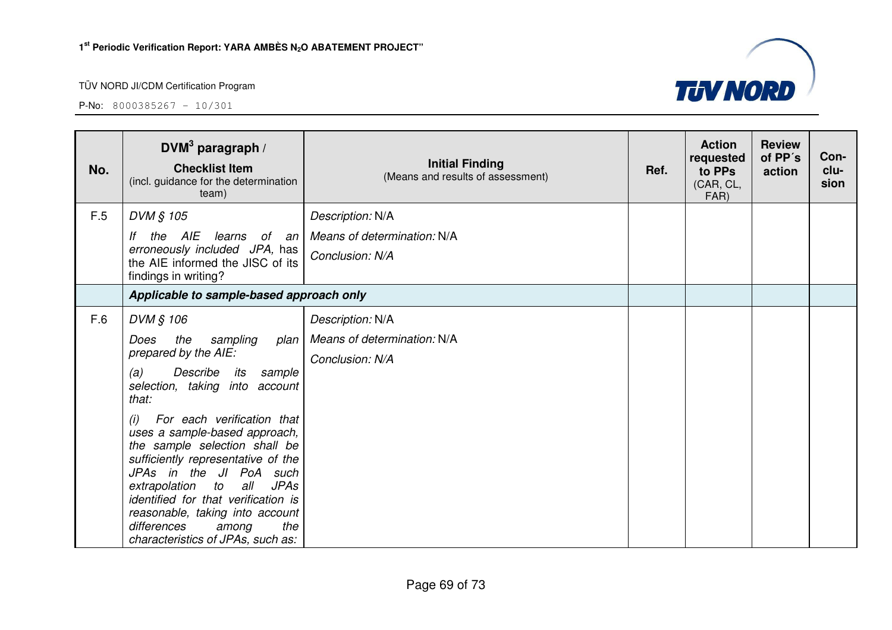

| No. | $DVM3$ paragraph /<br><b>Checklist Item</b><br>(incl. guidance for the determination<br>team)                                                                                                                                                                                                                                                                                                                                                                                                                          | <b>Initial Finding</b><br>(Means and results of assessment)        | Ref. | <b>Action</b><br>requested<br>to PPs<br>(CAR, CL,<br>FAR) | <b>Review</b><br>of PP's<br>action | Con-<br>clu-<br>sion |
|-----|------------------------------------------------------------------------------------------------------------------------------------------------------------------------------------------------------------------------------------------------------------------------------------------------------------------------------------------------------------------------------------------------------------------------------------------------------------------------------------------------------------------------|--------------------------------------------------------------------|------|-----------------------------------------------------------|------------------------------------|----------------------|
| F.5 | DVM § 105<br>the AIE<br>learns of an<br>lf<br>erroneously included JPA, has<br>the AIE informed the JISC of its<br>findings in writing?                                                                                                                                                                                                                                                                                                                                                                                | Description: N/A<br>Means of determination: N/A<br>Conclusion: N/A |      |                                                           |                                    |                      |
|     | Applicable to sample-based approach only                                                                                                                                                                                                                                                                                                                                                                                                                                                                               |                                                                    |      |                                                           |                                    |                      |
| F.6 | DVM § 106<br>the<br>sampling<br>Does<br>plan<br>prepared by the AIE:<br>Describe<br>its<br>(a)<br>sample<br>selection, taking into<br>account<br>that:<br>For each verification that<br>(i)<br>uses a sample-based approach,<br>the sample selection shall be<br>sufficiently representative of the<br>JPAs in the JI PoA such<br>extrapolation to<br>all<br><b>JPAs</b><br>identified for that verification is<br>reasonable, taking into account<br>differences<br>the<br>among<br>characteristics of JPAs, such as: | Description: N/A<br>Means of determination: N/A<br>Conclusion: N/A |      |                                                           |                                    |                      |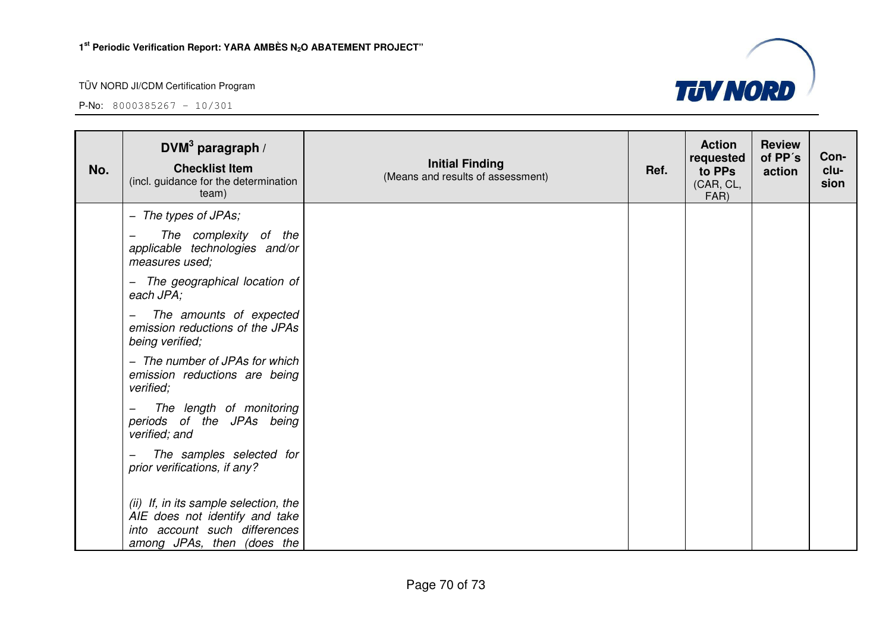among JPAs, then (does the

#### TÜV NORD JI/CDM Certification Program

P-No: 8000385267 – 10/301

| No. | DVM $3$ paragraph /<br><b>Checklist Item</b><br>(incl. guidance for the determination<br>team)           | <b>Initial Finding</b><br>(Means and results of assessment) | Ref. | <b>Action</b><br>requested<br>to PPs<br>(CAR, CL,<br>FAR) | <b>Review</b><br>of PP's<br>action | Con-<br>clu-<br>sion |
|-----|----------------------------------------------------------------------------------------------------------|-------------------------------------------------------------|------|-----------------------------------------------------------|------------------------------------|----------------------|
|     | - The types of JPAs;                                                                                     |                                                             |      |                                                           |                                    |                      |
|     | The complexity of the<br>applicable technologies and/or<br>measures used;                                |                                                             |      |                                                           |                                    |                      |
|     | The geographical location of<br>$-$<br>each JPA;                                                         |                                                             |      |                                                           |                                    |                      |
|     | The amounts of expected<br>emission reductions of the JPAs<br>being verified;                            |                                                             |      |                                                           |                                    |                      |
|     | - The number of JPAs for which<br>emission reductions are being<br>verified;                             |                                                             |      |                                                           |                                    |                      |
|     | The length of monitoring<br>periods of the JPAs being<br>verified; and                                   |                                                             |      |                                                           |                                    |                      |
|     | The samples selected for<br>$\qquad \qquad$<br>prior verifications, if any?                              |                                                             |      |                                                           |                                    |                      |
|     | (ii) If, in its sample selection, the<br>AIE does not identify and take<br>into account such differences |                                                             |      |                                                           |                                    |                      |

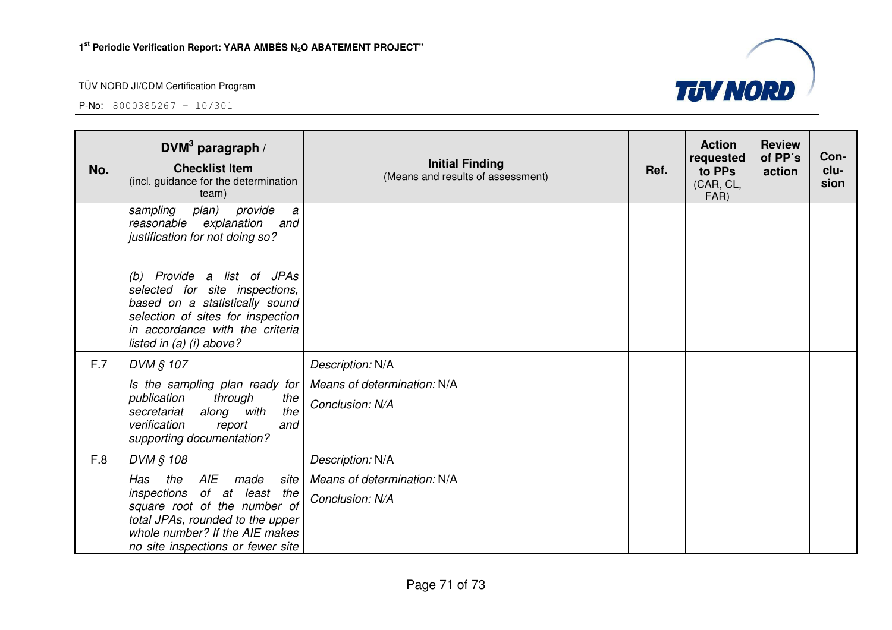| No. | DVM <sup>3</sup> paragraph /<br><b>Checklist Item</b><br>(incl. guidance for the determination<br>team)                                                                                                                                                                         | <b>Initial Finding</b><br>(Means and results of assessment)        | Ref. | <b>Action</b><br>requested<br>to PPs<br>(CAR, CL,<br>FAR) | <b>Review</b><br>of PP's<br>action | Con-<br>clu-<br>sion |
|-----|---------------------------------------------------------------------------------------------------------------------------------------------------------------------------------------------------------------------------------------------------------------------------------|--------------------------------------------------------------------|------|-----------------------------------------------------------|------------------------------------|----------------------|
|     | provide<br>sampling<br>plan)<br>a<br>reasonable explanation<br>and<br>justification for not doing so?<br>(b) Provide a list of JPAs<br>selected for site inspections,<br>based on a statistically sound<br>selection of sites for inspection<br>in accordance with the criteria |                                                                    |      |                                                           |                                    |                      |
| F.7 | listed in (a) (i) above?<br>DVM § 107                                                                                                                                                                                                                                           | Description: N/A                                                   |      |                                                           |                                    |                      |
|     | Is the sampling plan ready for<br>through<br>publication<br>the<br>along with<br>the<br>secretariat<br>verification<br>and<br>report<br>supporting documentation?                                                                                                               | Means of determination: N/A<br>Conclusion: N/A                     |      |                                                           |                                    |                      |
| F.8 | DVM § 108<br>AIE<br>Has<br>the<br>made<br>site<br>inspections of at least the<br>square root of the number of<br>total JPAs, rounded to the upper<br>whole number? If the AIE makes<br>no site inspections or fewer site                                                        | Description: N/A<br>Means of determination: N/A<br>Conclusion: N/A |      |                                                           |                                    |                      |

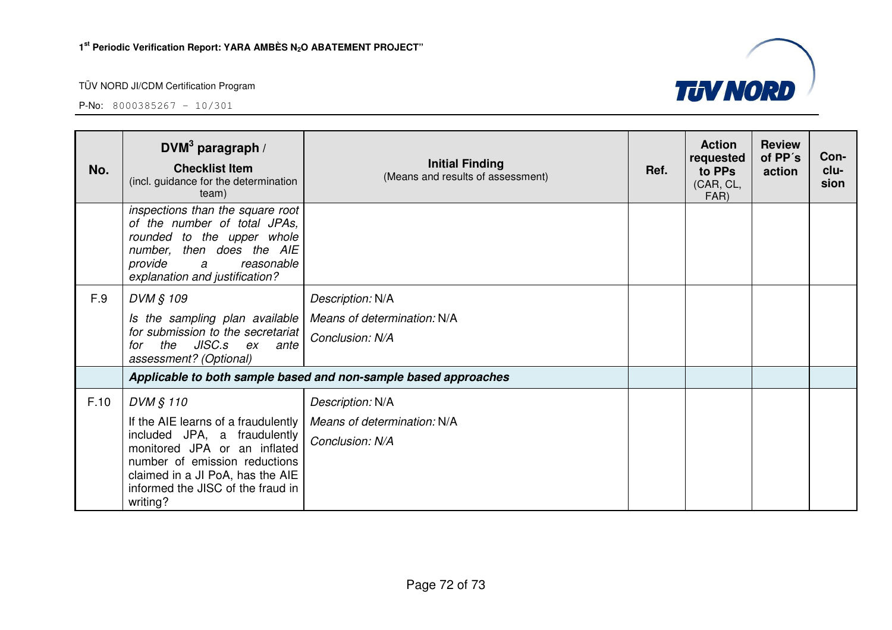

| No.  | DVM <sup>3</sup> paragraph /<br><b>Checklist Item</b><br>(incl. guidance for the determination<br>team)                                                                                                                                | <b>Initial Finding</b><br>(Means and results of assessment)        | Ref. | <b>Action</b><br>requested<br>to PPs<br>(CAR, CL,<br>FAR) | <b>Review</b><br>of PP's<br>action | Con-<br>clu-<br>sion |
|------|----------------------------------------------------------------------------------------------------------------------------------------------------------------------------------------------------------------------------------------|--------------------------------------------------------------------|------|-----------------------------------------------------------|------------------------------------|----------------------|
|      | inspections than the square root<br>of the number of total JPAs,<br>rounded to the upper whole<br>number, then does the AIE<br>provide<br>reasonable<br>a<br>explanation and justification?                                            |                                                                    |      |                                                           |                                    |                      |
| F.9  | DVM § 109<br>Is the sampling plan available<br>for submission to the secretariat<br>the JISC.s ex ante<br>for<br>assessment? (Optional)                                                                                                | Description: N/A<br>Means of determination: N/A<br>Conclusion: N/A |      |                                                           |                                    |                      |
|      |                                                                                                                                                                                                                                        | Applicable to both sample based and non-sample based approaches    |      |                                                           |                                    |                      |
| F.10 | DVM § 110<br>If the AIE learns of a fraudulently<br>included JPA, a fraudulently<br>monitored JPA or an inflated<br>number of emission reductions<br>claimed in a JI PoA, has the AIE<br>informed the JISC of the fraud in<br>writing? | Description: N/A<br>Means of determination: N/A<br>Conclusion: N/A |      |                                                           |                                    |                      |